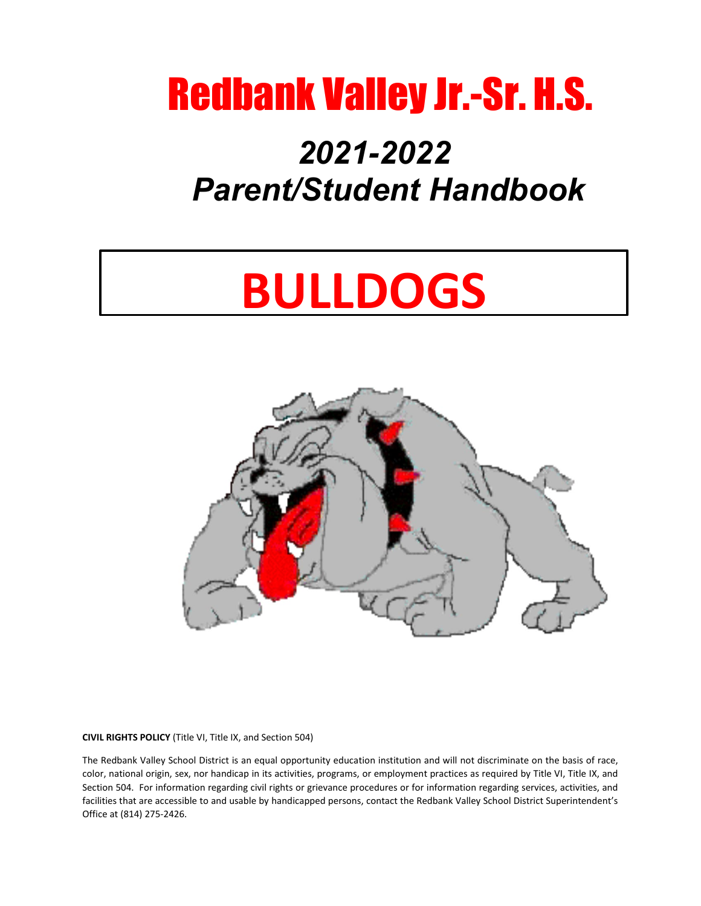# Redbank Valley Jr.-Sr. H.S.

# *2021-2022 Parent/Student Handbook*

# **BULLDOGS**



**CIVIL RIGHTS POLICY** (Title VI, Title IX, and Section 504)

The Redbank Valley School District is an equal opportunity education institution and will not discriminate on the basis of race, color, national origin, sex, nor handicap in its activities, programs, or employment practices as required by Title VI, Title IX, and Section 504. For information regarding civil rights or grievance procedures or for information regarding services, activities, and facilities that are accessible to and usable by handicapped persons, contact the Redbank Valley School District Superintendent's Office at (814) 275-2426.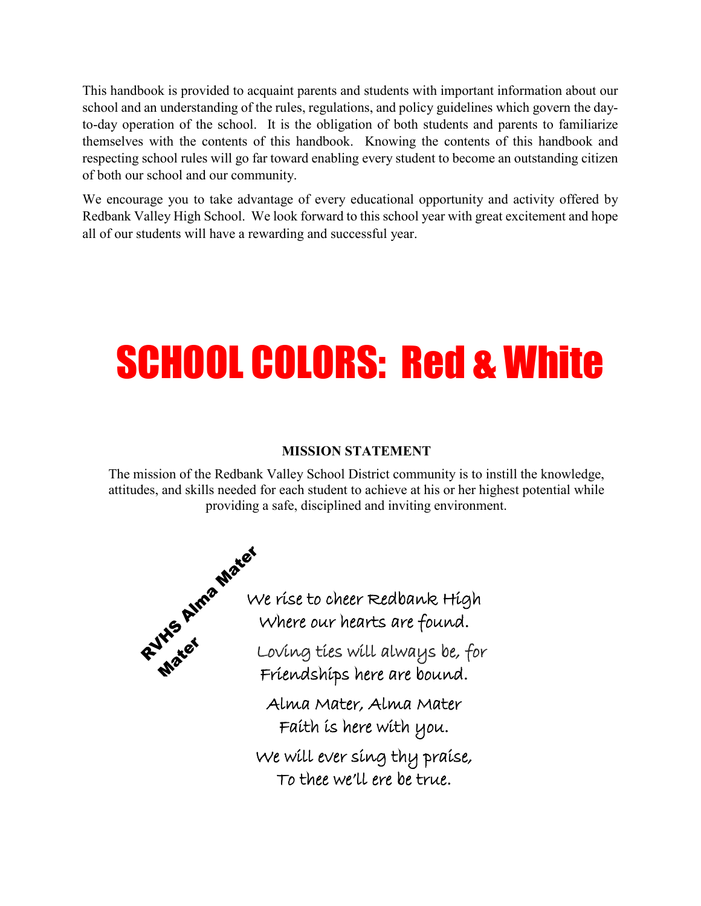This handbook is provided to acquaint parents and students with important information about our school and an understanding of the rules, regulations, and policy guidelines which govern the dayto-day operation of the school. It is the obligation of both students and parents to familiarize themselves with the contents of this handbook. Knowing the contents of this handbook and respecting school rules will go far toward enabling every student to become an outstanding citizen of both our school and our community.

We encourage you to take advantage of every educational opportunity and activity offered by Redbank Valley High School. We look forward to this school year with great excitement and hope all of our students will have a rewarding and successful year.

# SCHOOL COLORS: Red & White

#### **MISSION STATEMENT**

The mission of the Redbank Valley School District community is to instill the knowledge, attitudes, and skills needed for each student to achieve at his or her highest potential while providing a safe, disciplined and inviting environment.

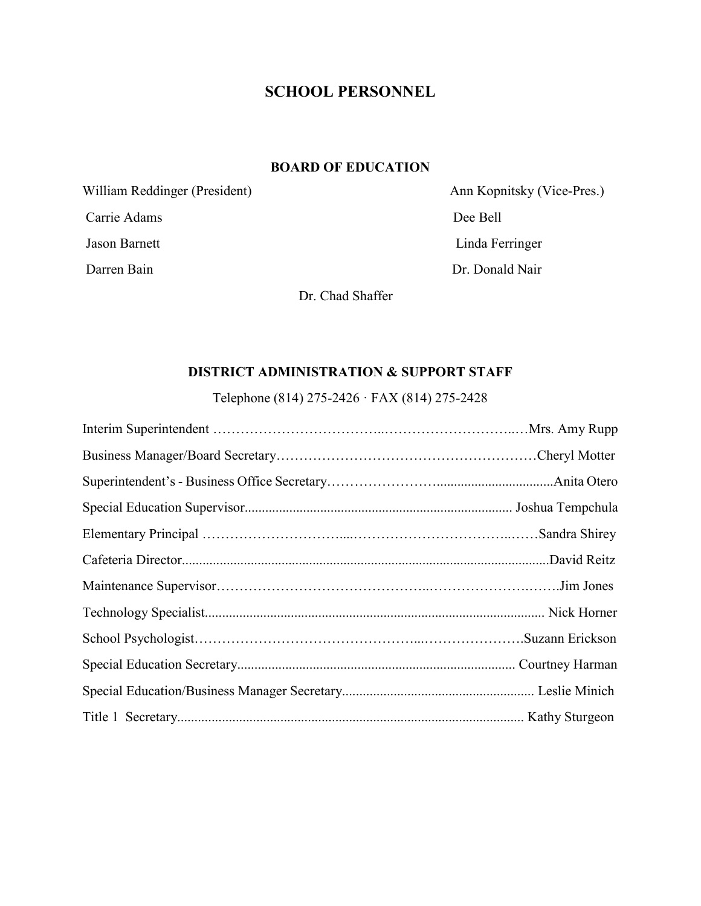# **SCHOOL PERSONNEL**

#### **BOARD OF EDUCATION**

Carrie Adams Dee Bell Jason Barnett Linda Ferringer

William Reddinger (President) Ann Kopnitsky (Vice-Pres.) Darren Bain Dr. Donald Nair

Dr. Chad Shaffer

#### **DISTRICT ADMINISTRATION & SUPPORT STAFF**

Telephone (814) 275-2426 · FAX (814) 275-2428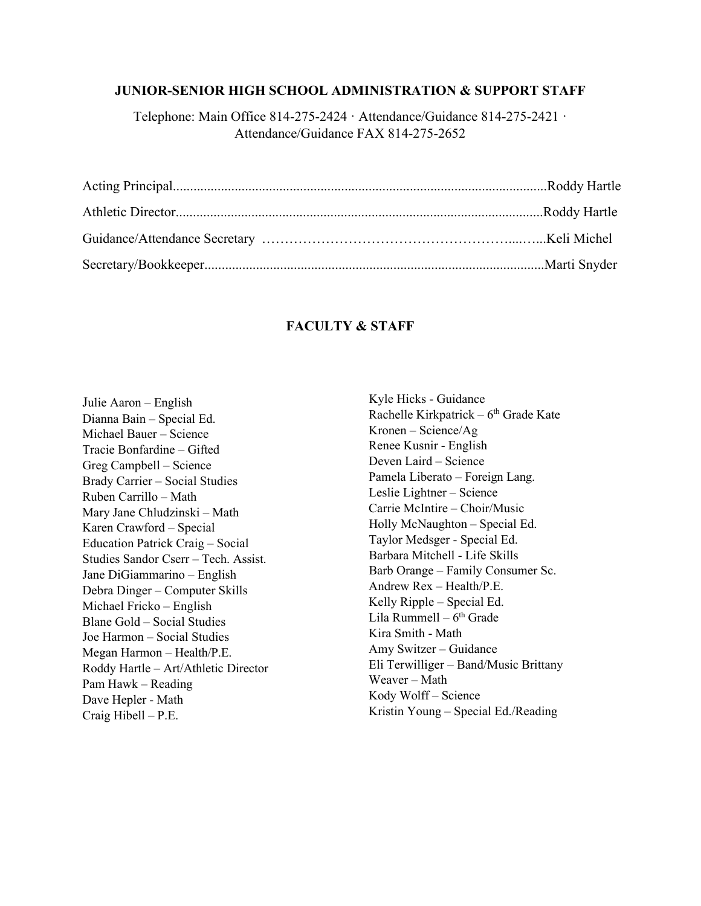#### **JUNIOR-SENIOR HIGH SCHOOL ADMINISTRATION & SUPPORT STAFF**

Telephone: Main Office 814-275-2424 · Attendance/Guidance 814-275-2421 · Attendance/Guidance FAX 814-275-2652

#### **FACULTY & STAFF**

Julie Aaron – English Dianna Bain – Special Ed. Michael Bauer – Science Tracie Bonfardine – Gifted Greg Campbell – Science Brady Carrier – Social Studies Ruben Carrillo – Math Mary Jane Chludzinski – Math Karen Crawford – Special Education Patrick Craig – Social Studies Sandor Cserr – Tech. Assist. Jane DiGiammarino – English Debra Dinger – Computer Skills Michael Fricko – English Blane Gold – Social Studies Joe Harmon – Social Studies Megan Harmon – Health/P.E. Roddy Hartle – Art/Athletic Director Pam Hawk – Reading Dave Hepler - Math Craig Hibell – P.E.

Kyle Hicks - Guidance Rachelle Kirkpatrick –  $6<sup>th</sup>$  Grade Kate Kronen – Science/Ag Renee Kusnir - English Deven Laird – Science Pamela Liberato – Foreign Lang. Leslie Lightner – Science Carrie McIntire – Choir/Music Holly McNaughton – Special Ed. Taylor Medsger - Special Ed. Barbara Mitchell - Life Skills Barb Orange – Family Consumer Sc. Andrew Rex – Health/P.E. Kelly Ripple – Special Ed. Lila Rummell –  $6<sup>th</sup>$  Grade Kira Smith - Math Amy Switzer – Guidance Eli Terwilliger – Band/Music Brittany Weaver – Math Kody Wolff – Science Kristin Young – Special Ed./Reading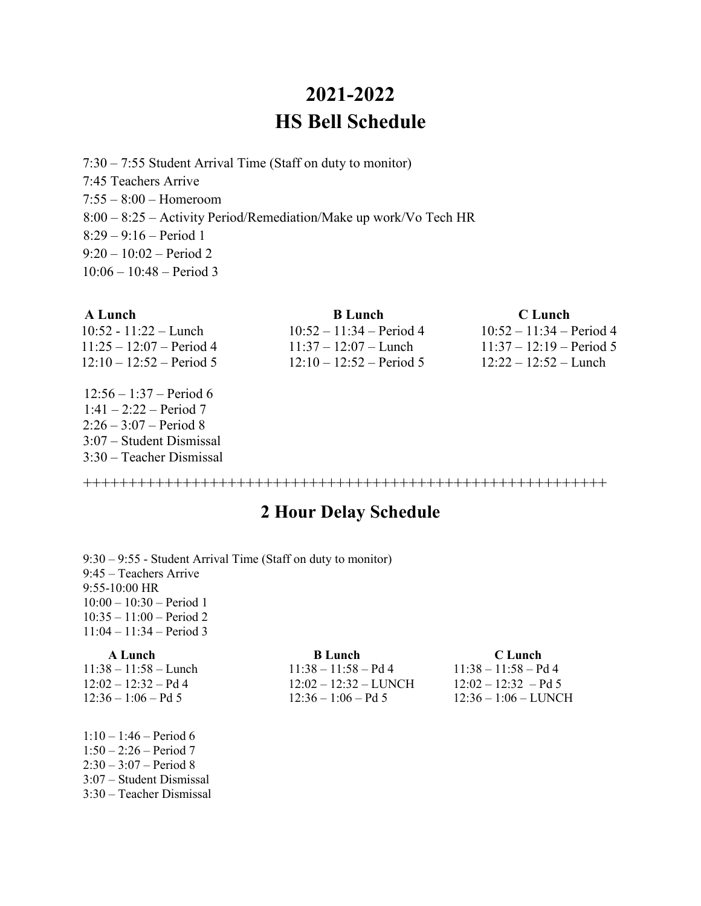# **2021-2022 HS Bell Schedule**

7:30 – 7:55 Student Arrival Time (Staff on duty to monitor) 7:45 Teachers Arrive 7:55 – 8:00 – Homeroom 8:00 – 8:25 – Activity Period/Remediation/Make up work/Vo Tech HR 8:29 – 9:16 – Period 1  $9:20 - 10:02$  – Period 2 10:06 – 10:48 – Period 3

| A Lunch                    | <b>B</b> Lunch             | C Lunch                    |
|----------------------------|----------------------------|----------------------------|
| $10:52 - 11:22 -$ Lunch    | $10:52 - 11:34 - Period 4$ | $10:52 - 11:34 - Period 4$ |
| $11:25 - 12:07 - Period 4$ | $11:37 - 12:07 -$ Lunch    | $11:37 - 12:19 - Period 5$ |
| $12:10 - 12:52 - Period 5$ | $12:10 - 12:52 - Period 5$ | $12:22 - 12:52$ – Lunch    |
| $12:56 - 1:37 - Period 6$  |                            |                            |
| $1:41 - 2:22 - Period 7$   |                            |                            |
| $2:26 - 3:07 - Period 8$   |                            |                            |

++++++++++++++++++++++++++++++++++++++++++++++++++++++++++

## **2 Hour Delay Schedule**

9:30 – 9:55 - Student Arrival Time (Staff on duty to monitor) 9:45 – Teachers Arrive 9:55-10:00 HR 10:00 – 10:30 – Period 1 10:35 – 11:00 – Period 2 11:04 – 11:34 – Period 3

3:07 – Student Dismissal 3:30 – Teacher Dismissal

1:10 – 1:46 – Period 6 1:50 – 2:26 – Period 7 2:30 – 3:07 – Period 8 3:07 – Student Dismissal 3:30 – Teacher Dismissal

**A Lunch B Lunch B Lunch C Lunch**  $11:38 - 11:58 -$ Lunch  $11:38 - 11:58 -$ Pd 4  $11:38 - 11:58 -$ Pd 4  $12:02 - 12:32 - Pd4$   $12:02 - 12:32 - LUNCH$   $12:02 - 12:32 - Pd5$ 12:36 – 1:06 – Pd 5 12:36 – 1:06 – Pd 5 12:36 – 1:06 – LUNCH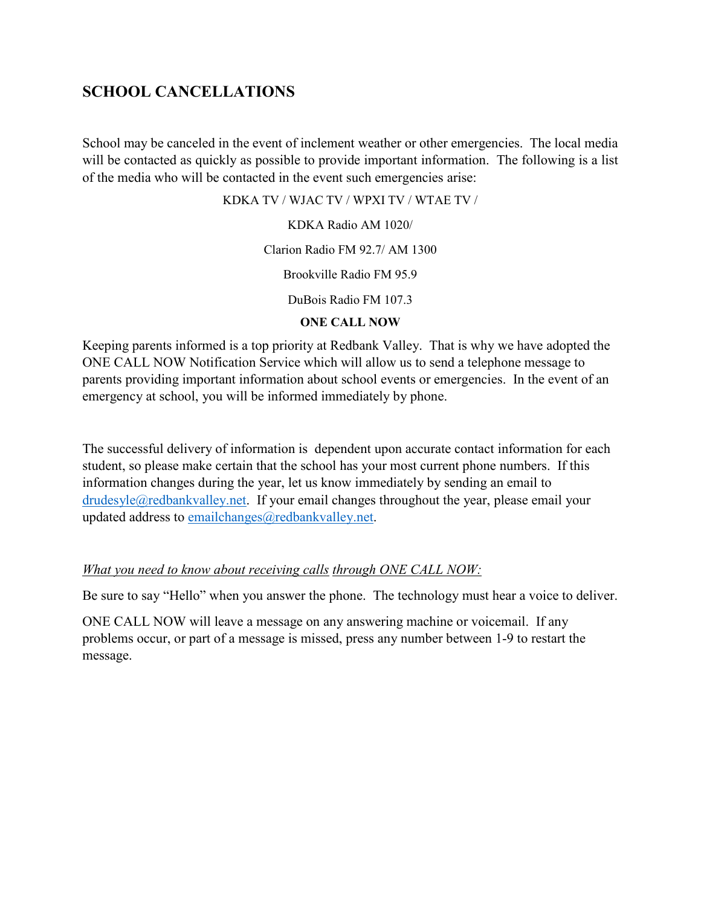#### **SCHOOL CANCELLATIONS**

School may be canceled in the event of inclement weather or other emergencies. The local media will be contacted as quickly as possible to provide important information. The following is a list of the media who will be contacted in the event such emergencies arise:

KDKA TV / WJAC TV / WPXI TV / WTAE TV /

KDKA Radio AM 1020/

Clarion Radio FM 92.7/ AM 1300

Brookville Radio FM 95.9

DuBois Radio FM 107.3

#### **ONE CALL NOW**

Keeping parents informed is a top priority at Redbank Valley. That is why we have adopted the ONE CALL NOW Notification Service which will allow us to send a telephone message to parents providing important information about school events or emergencies. In the event of an emergency at school, you will be informed immediately by phone.

The successful delivery of information is dependent upon accurate contact information for each student, so please make certain that the school has your most current phone numbers. If this information changes during the year, let us know immediately by sending an email to [drudesyle@redbankvalley.net.](mailto:drudesyle@redbankvalley.net) If your email changes throughout the year, please email your updated address to [emailchanges@redbankvalley.net.](mailto:emailchanges@redbankvalley.net)

#### *What you need to know about receiving calls through ONE CALL NOW:*

Be sure to say "Hello" when you answer the phone. The technology must hear a voice to deliver.

ONE CALL NOW will leave a message on any answering machine or voicemail. If any problems occur, or part of a message is missed, press any number between 1-9 to restart the message.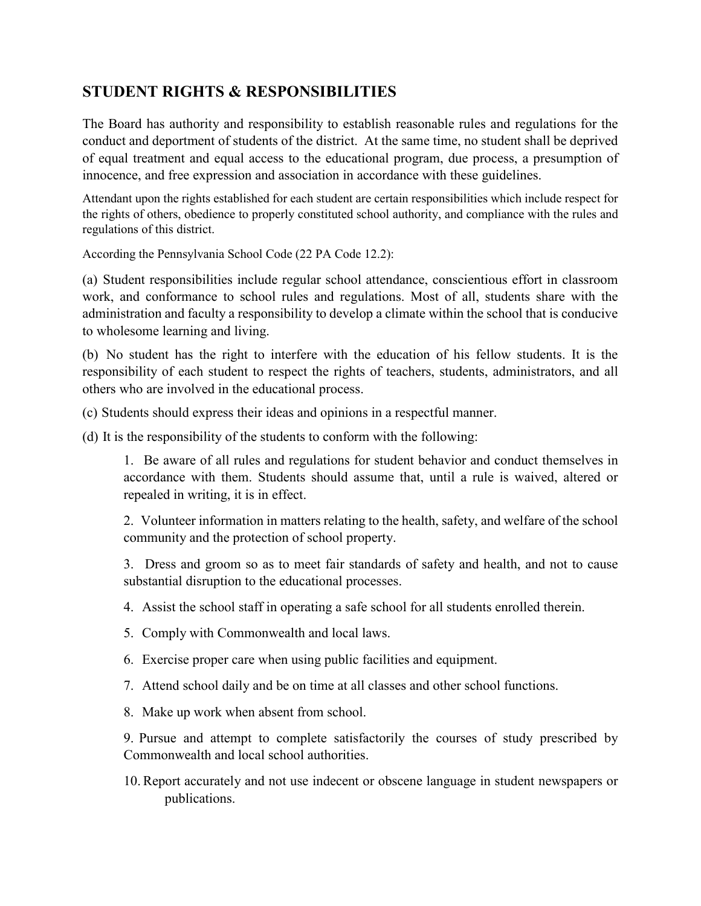#### **STUDENT RIGHTS & RESPONSIBILITIES**

The Board has authority and responsibility to establish reasonable rules and regulations for the conduct and deportment of students of the district. At the same time, no student shall be deprived of equal treatment and equal access to the educational program, due process, a presumption of innocence, and free expression and association in accordance with these guidelines.

Attendant upon the rights established for each student are certain responsibilities which include respect for the rights of others, obedience to properly constituted school authority, and compliance with the rules and regulations of this district.

According the Pennsylvania School Code (22 PA Code 12.2):

(a) Student responsibilities include regular school attendance, conscientious effort in classroom work, and conformance to school rules and regulations. Most of all, students share with the administration and faculty a responsibility to develop a climate within the school that is conducive to wholesome learning and living.

(b) No student has the right to interfere with the education of his fellow students. It is the responsibility of each student to respect the rights of teachers, students, administrators, and all others who are involved in the educational process.

(c) Students should express their ideas and opinions in a respectful manner.

(d) It is the responsibility of the students to conform with the following:

1. Be aware of all rules and regulations for student behavior and conduct themselves in accordance with them. Students should assume that, until a rule is waived, altered or repealed in writing, it is in effect.

2. Volunteer information in matters relating to the health, safety, and welfare of the school community and the protection of school property.

3. Dress and groom so as to meet fair standards of safety and health, and not to cause substantial disruption to the educational processes.

4. Assist the school staff in operating a safe school for all students enrolled therein.

- 5. Comply with Commonwealth and local laws.
- 6. Exercise proper care when using public facilities and equipment.
- 7. Attend school daily and be on time at all classes and other school functions.
- 8. Make up work when absent from school.

9. Pursue and attempt to complete satisfactorily the courses of study prescribed by Commonwealth and local school authorities.

10. Report accurately and not use indecent or obscene language in student newspapers or publications.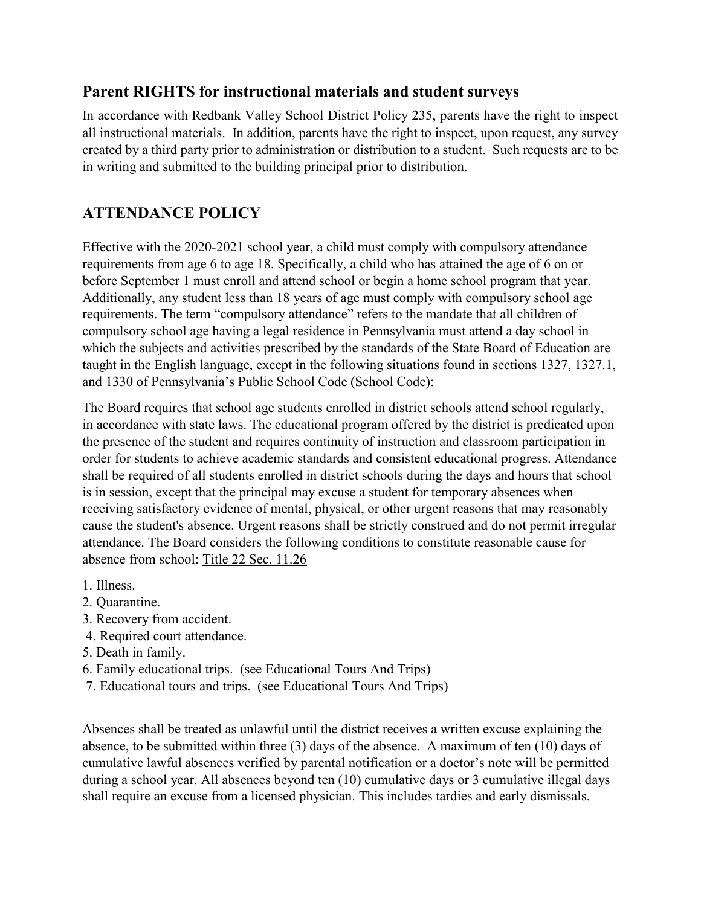#### **Parent RIGHTS for instructional materials and student surveys**

In accordance with Redbank Valley School District Policy 235, parents have the right to inspect all instructional materials. In addition, parents have the right to inspect, upon request, any survey created by a third party prior to administration or distribution to a student. Such requests are to be in writing and submitted to the building principal prior to distribution.

# **ATTENDANCE POLICY**

Effective with the 2020-2021 school year, a child must comply with compulsory attendance requirements from age 6 to age 18. Specifically, a child who has attained the age of 6 on or before September 1 must enroll and attend school or begin a home school program that year. Additionally, any student less than 18 years of age must comply with compulsory school age requirements. The term "compulsory attendance" refers to the mandate that all children of compulsory school age having a legal residence in Pennsylvania must attend a day school in which the subjects and activities prescribed by the standards of the State Board of Education are taught in the English language, except in the following situations found in sections 1327, 1327.1, and 1330 of Pennsylvania's Public School Code (School Code):

The Board requires that school age students enrolled in district schools attend school regularly, in accordance with state laws. The educational program offered by the district is predicated upon the presence of the student and requires continuity of instruction and classroom participation in order for students to achieve academic standards and consistent educational progress. Attendance shall be required of all students enrolled in district schools during the days and hours that school is in session, except that the principal may excuse a student for temporary absences when receiving satisfactory evidence of mental, physical, or other urgent reasons that may reasonably cause the student's absence. Urgent reasons shall be strictly construed and do not permit irregular attendance. The Board considers the following conditions to constitute reasonable cause for absence from school: Title 22 Sec. 11.26

- 1. Illness.
- 2. Quarantine.
- 3. Recovery from accident.
- 4. Required court attendance.
- 5. Death in family.
- 6. Family educational trips. (see Educational Tours And Trips)
- 7. Educational tours and trips. (see Educational Tours And Trips)

Absences shall be treated as unlawful until the district receives a written excuse explaining the absence, to be submitted within three (3) days of the absence. A maximum of ten (10) days of cumulative lawful absences verified by parental notification or a doctor's note will be permitted during a school year. All absences beyond ten (10) cumulative days or 3 cumulative illegal days shall require an excuse from a licensed physician. This includes tardies and early dismissals.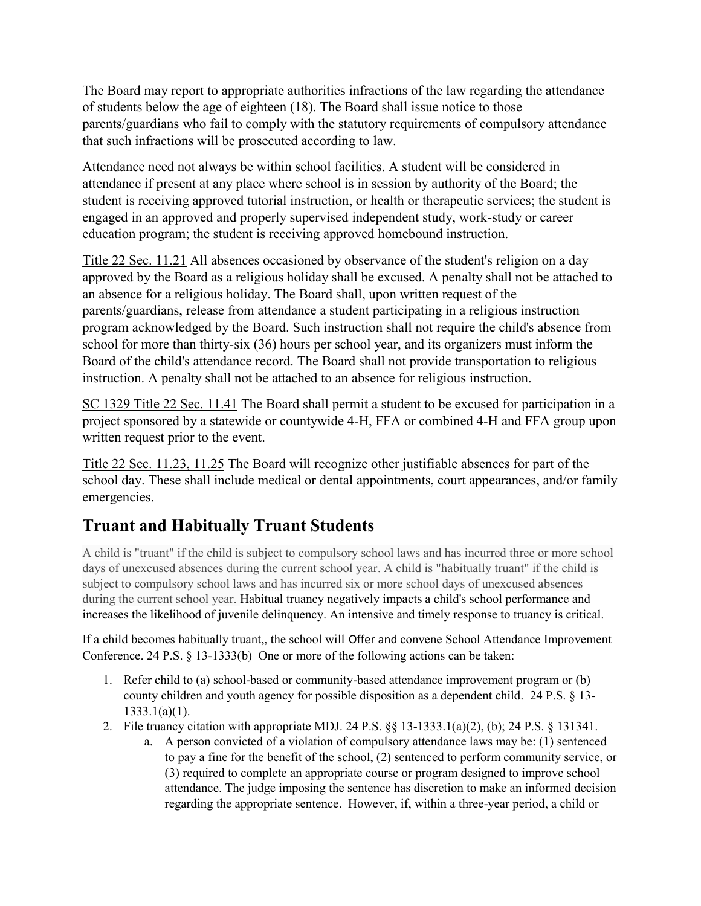The Board may report to appropriate authorities infractions of the law regarding the attendance of students below the age of eighteen (18). The Board shall issue notice to those parents/guardians who fail to comply with the statutory requirements of compulsory attendance that such infractions will be prosecuted according to law.

Attendance need not always be within school facilities. A student will be considered in attendance if present at any place where school is in session by authority of the Board; the student is receiving approved tutorial instruction, or health or therapeutic services; the student is engaged in an approved and properly supervised independent study, work-study or career education program; the student is receiving approved homebound instruction.

Title 22 Sec. 11.21 All absences occasioned by observance of the student's religion on a day approved by the Board as a religious holiday shall be excused. A penalty shall not be attached to an absence for a religious holiday. The Board shall, upon written request of the parents/guardians, release from attendance a student participating in a religious instruction program acknowledged by the Board. Such instruction shall not require the child's absence from school for more than thirty-six (36) hours per school year, and its organizers must inform the Board of the child's attendance record. The Board shall not provide transportation to religious instruction. A penalty shall not be attached to an absence for religious instruction.

SC 1329 Title 22 Sec. 11.41 The Board shall permit a student to be excused for participation in a project sponsored by a statewide or countywide 4-H, FFA or combined 4-H and FFA group upon written request prior to the event.

Title 22 Sec. 11.23, 11.25 The Board will recognize other justifiable absences for part of the school day. These shall include medical or dental appointments, court appearances, and/or family emergencies.

# **Truant and Habitually Truant Students**

A child is "truant" if the child is subject to compulsory school laws and has incurred three or more school days of unexcused absences during the current school year. A child is "habitually truant" if the child is subject to compulsory school laws and has incurred six or more school days of unexcused absences during the current school year. Habitual truancy negatively impacts a child's school performance and increases the likelihood of juvenile delinquency. An intensive and timely response to truancy is critical.

If a child becomes habitually truant,, the school will Offer and convene School Attendance Improvement Conference. 24 P.S. § 13-1333(b) One or more of the following actions can be taken:

- 1. Refer child to (a) school-based or community-based attendance improvement program or (b) county children and youth agency for possible disposition as a dependent child. 24 P.S. § 13- 1333.1(a)(1).
- 2. File truancy citation with appropriate MDJ. 24 P.S. §§ 13-1333.1(a)(2), (b); 24 P.S. § 131341.
	- a. A person convicted of a violation of compulsory attendance laws may be: (1) sentenced to pay a fine for the benefit of the school, (2) sentenced to perform community service, or (3) required to complete an appropriate course or program designed to improve school attendance. The judge imposing the sentence has discretion to make an informed decision regarding the appropriate sentence. However, if, within a three-year period, a child or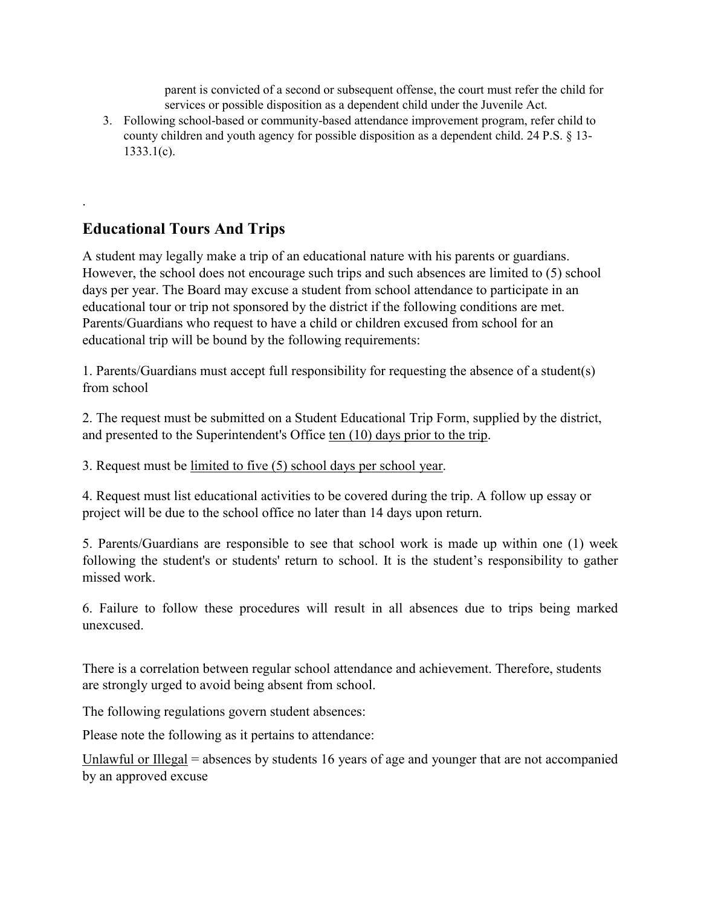parent is convicted of a second or subsequent offense, the court must refer the child for services or possible disposition as a dependent child under the Juvenile Act.

3. Following school-based or community-based attendance improvement program, refer child to county children and youth agency for possible disposition as a dependent child. 24 P.S. § 13- 1333.1(c).

# **Educational Tours And Trips**

.

A student may legally make a trip of an educational nature with his parents or guardians. However, the school does not encourage such trips and such absences are limited to (5) school days per year. The Board may excuse a student from school attendance to participate in an educational tour or trip not sponsored by the district if the following conditions are met. Parents/Guardians who request to have a child or children excused from school for an educational trip will be bound by the following requirements:

1. Parents/Guardians must accept full responsibility for requesting the absence of a student(s) from school

2. The request must be submitted on a Student Educational Trip Form, supplied by the district, and presented to the Superintendent's Office ten (10) days prior to the trip.

3. Request must be limited to five (5) school days per school year.

4. Request must list educational activities to be covered during the trip. A follow up essay or project will be due to the school office no later than 14 days upon return.

5. Parents/Guardians are responsible to see that school work is made up within one (1) week following the student's or students' return to school. It is the student's responsibility to gather missed work.

6. Failure to follow these procedures will result in all absences due to trips being marked unexcused.

There is a correlation between regular school attendance and achievement. Therefore, students are strongly urged to avoid being absent from school.

The following regulations govern student absences:

Please note the following as it pertains to attendance:

Unlawful or Illegal = absences by students 16 years of age and younger that are not accompanied by an approved excuse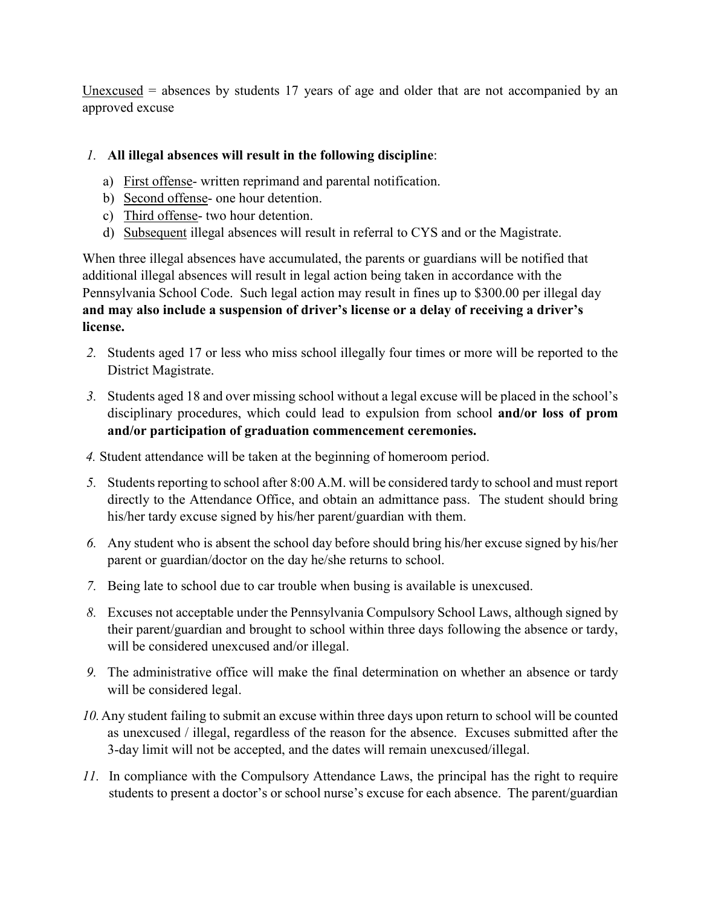$Unexcused$  = absences by students 17 years of age and older that are not accompanied by an approved excuse

#### *1.* **All illegal absences will result in the following discipline**:

- a) First offense- written reprimand and parental notification.
- b) Second offense- one hour detention.
- c) Third offense- two hour detention.
- d) Subsequent illegal absences will result in referral to CYS and or the Magistrate.

When three illegal absences have accumulated, the parents or guardians will be notified that additional illegal absences will result in legal action being taken in accordance with the Pennsylvania School Code. Such legal action may result in fines up to \$300.00 per illegal day **and may also include a suspension of driver's license or a delay of receiving a driver's license.**

- *2.* Students aged 17 or less who miss school illegally four times or more will be reported to the District Magistrate.
- *3.* Students aged 18 and over missing school without a legal excuse will be placed in the school's disciplinary procedures, which could lead to expulsion from school **and/or loss of prom and/or participation of graduation commencement ceremonies.**
- *4.* Student attendance will be taken at the beginning of homeroom period.
- *5.* Students reporting to school after 8:00 A.M. will be considered tardy to school and must report directly to the Attendance Office, and obtain an admittance pass. The student should bring his/her tardy excuse signed by his/her parent/guardian with them.
- *6.* Any student who is absent the school day before should bring his/her excuse signed by his/her parent or guardian/doctor on the day he/she returns to school.
- *7.* Being late to school due to car trouble when busing is available is unexcused.
- *8.* Excuses not acceptable under the Pennsylvania Compulsory School Laws, although signed by their parent/guardian and brought to school within three days following the absence or tardy, will be considered unexcused and/or illegal.
- *9.* The administrative office will make the final determination on whether an absence or tardy will be considered legal.
- *10.*Any student failing to submit an excuse within three days upon return to school will be counted as unexcused / illegal, regardless of the reason for the absence. Excuses submitted after the 3-day limit will not be accepted, and the dates will remain unexcused/illegal.
- *11.* In compliance with the Compulsory Attendance Laws, the principal has the right to require students to present a doctor's or school nurse's excuse for each absence. The parent/guardian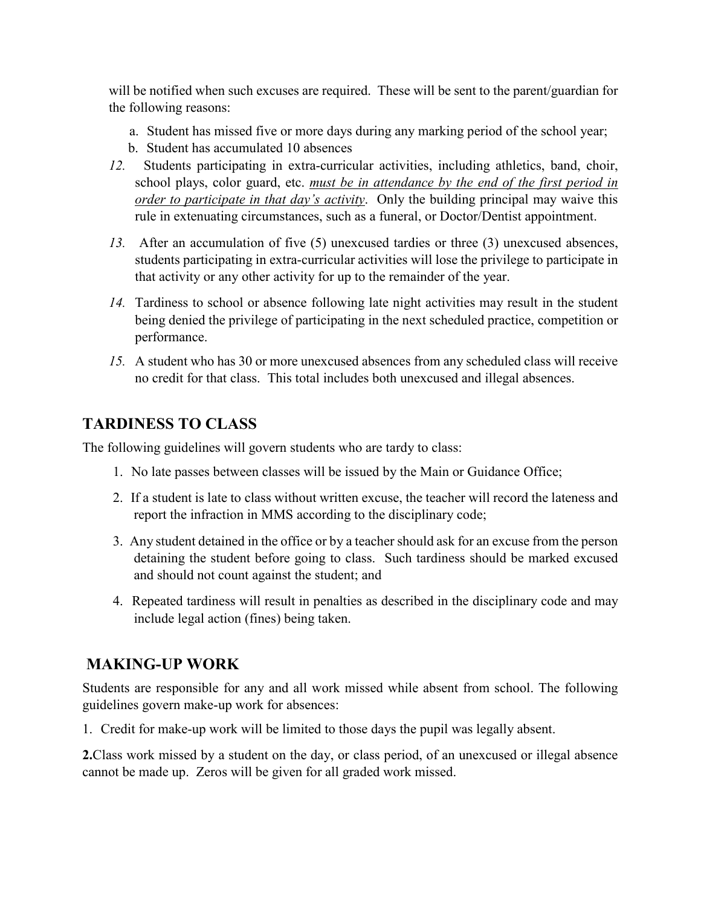will be notified when such excuses are required. These will be sent to the parent/guardian for the following reasons:

- a. Student has missed five or more days during any marking period of the school year;
- b. Student has accumulated 10 absences
- *12.* Students participating in extra-curricular activities, including athletics, band, choir, school plays, color guard, etc. *must be in attendance by the end of the first period in order to participate in that day's activity*. Only the building principal may waive this rule in extenuating circumstances, such as a funeral, or Doctor/Dentist appointment.
- *13.* After an accumulation of five (5) unexcused tardies or three (3) unexcused absences, students participating in extra-curricular activities will lose the privilege to participate in that activity or any other activity for up to the remainder of the year.
- *14.* Tardiness to school or absence following late night activities may result in the student being denied the privilege of participating in the next scheduled practice, competition or performance.
- *15.* A student who has 30 or more unexcused absences from any scheduled class will receive no credit for that class. This total includes both unexcused and illegal absences.

# **TARDINESS TO CLASS**

The following guidelines will govern students who are tardy to class:

- 1. No late passes between classes will be issued by the Main or Guidance Office;
- 2. If a student is late to class without written excuse, the teacher will record the lateness and report the infraction in MMS according to the disciplinary code;
- 3. Any student detained in the office or by a teacher should ask for an excuse from the person detaining the student before going to class. Such tardiness should be marked excused and should not count against the student; and
- 4. Repeated tardiness will result in penalties as described in the disciplinary code and may include legal action (fines) being taken.

# **MAKING-UP WORK**

Students are responsible for any and all work missed while absent from school. The following guidelines govern make-up work for absences:

1. Credit for make-up work will be limited to those days the pupil was legally absent.

**2.**Class work missed by a student on the day, or class period, of an unexcused or illegal absence cannot be made up. Zeros will be given for all graded work missed.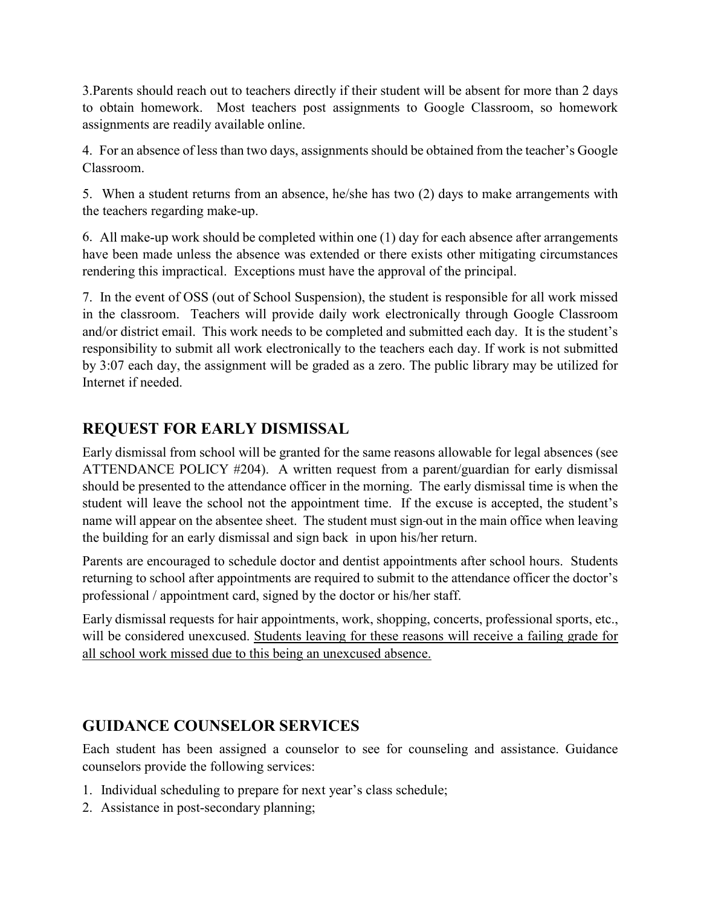3.Parents should reach out to teachers directly if their student will be absent for more than 2 days to obtain homework. Most teachers post assignments to Google Classroom, so homework assignments are readily available online.

4. For an absence of less than two days, assignments should be obtained from the teacher's Google Classroom.

5. When a student returns from an absence, he/she has two (2) days to make arrangements with the teachers regarding make-up.

6. All make-up work should be completed within one (1) day for each absence after arrangements have been made unless the absence was extended or there exists other mitigating circumstances rendering this impractical. Exceptions must have the approval of the principal.

7. In the event of OSS (out of School Suspension), the student is responsible for all work missed in the classroom. Teachers will provide daily work electronically through Google Classroom and/or district email. This work needs to be completed and submitted each day. It is the student's responsibility to submit all work electronically to the teachers each day. If work is not submitted by 3:07 each day, the assignment will be graded as a zero. The public library may be utilized for Internet if needed.

# **REQUEST FOR EARLY DISMISSAL**

Early dismissal from school will be granted for the same reasons allowable for legal absences (see ATTENDANCE POLICY #204). A written request from a parent/guardian for early dismissal should be presented to the attendance officer in the morning. The early dismissal time is when the student will leave the school not the appointment time. If the excuse is accepted, the student's name will appear on the absentee sheet. The student must sign out in the main office when leaving the building for an early dismissal and sign back in upon his/her return.

Parents are encouraged to schedule doctor and dentist appointments after school hours. Students returning to school after appointments are required to submit to the attendance officer the doctor's professional / appointment card, signed by the doctor or his/her staff.

Early dismissal requests for hair appointments, work, shopping, concerts, professional sports, etc., will be considered unexcused. Students leaving for these reasons will receive a failing grade for all school work missed due to this being an unexcused absence.

# **GUIDANCE COUNSELOR SERVICES**

Each student has been assigned a counselor to see for counseling and assistance. Guidance counselors provide the following services:

- 1. Individual scheduling to prepare for next year's class schedule;
- 2. Assistance in post-secondary planning;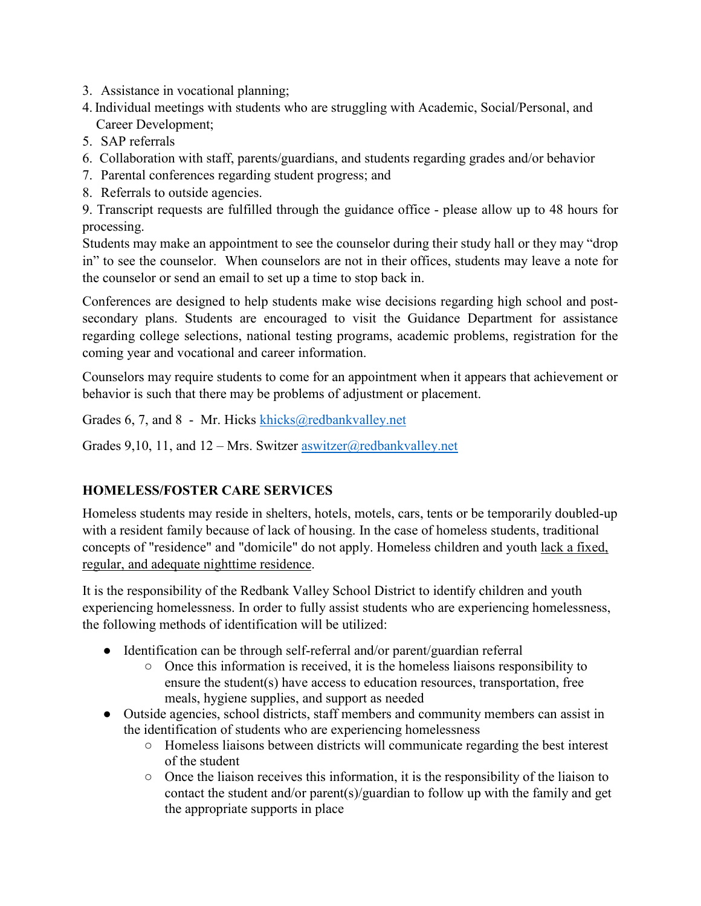3. Assistance in vocational planning;

- 4.Individual meetings with students who are struggling with Academic, Social/Personal, and Career Development;
- 5. SAP referrals
- 6. Collaboration with staff, parents/guardians, and students regarding grades and/or behavior
- 7. Parental conferences regarding student progress; and
- 8. Referrals to outside agencies.

9. Transcript requests are fulfilled through the guidance office - please allow up to 48 hours for processing.

Students may make an appointment to see the counselor during their study hall or they may "drop in" to see the counselor. When counselors are not in their offices, students may leave a note for the counselor or send an email to set up a time to stop back in.

Conferences are designed to help students make wise decisions regarding high school and postsecondary plans. Students are encouraged to visit the Guidance Department for assistance regarding college selections, national testing programs, academic problems, registration for the coming year and vocational and career information.

Counselors may require students to come for an appointment when it appears that achievement or behavior is such that there may be problems of adjustment or placement.

Grades 6, 7, and 8 - Mr. Hicks [khicks@redbankvalley.net](mailto:khicks@redbankvalley.net)

Grades 9,10, 11, and  $12 - Mrs.$  Switzer [aswitzer@redbankvalley.net](mailto:aswitzer@redbankvalley.net)

#### **HOMELESS/FOSTER CARE SERVICES**

Homeless students may reside in shelters, hotels, motels, cars, tents or be temporarily doubled-up with a resident family because of lack of housing. In the case of homeless students, traditional concepts of "residence" and "domicile" do not apply. Homeless children and youth lack a fixed, regular, and adequate nighttime residence.

It is the responsibility of the Redbank Valley School District to identify children and youth experiencing homelessness. In order to fully assist students who are experiencing homelessness, the following methods of identification will be utilized:

- Identification can be through self-referral and/or parent/guardian referral
	- Once this information is received, it is the homeless liaisons responsibility to ensure the student(s) have access to education resources, transportation, free meals, hygiene supplies, and support as needed
- Outside agencies, school districts, staff members and community members can assist in the identification of students who are experiencing homelessness
	- Homeless liaisons between districts will communicate regarding the best interest of the student
	- $\circ$  Once the liaison receives this information, it is the responsibility of the liaison to contact the student and/or parent(s)/guardian to follow up with the family and get the appropriate supports in place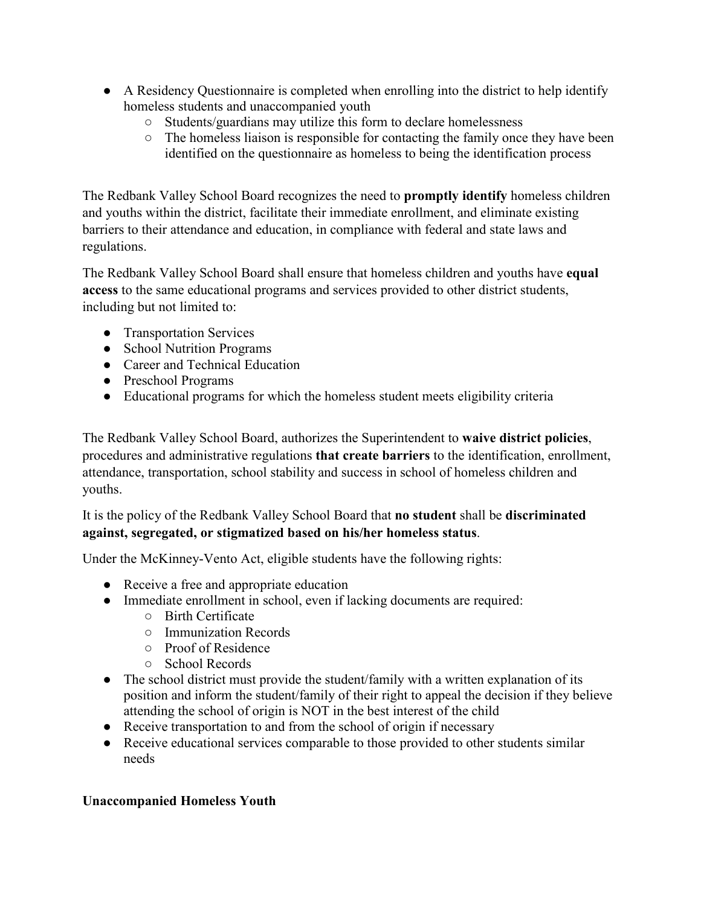- A Residency Questionnaire is completed when enrolling into the district to help identify homeless students and unaccompanied youth
	- Students/guardians may utilize this form to declare homelessness
	- The homeless liaison is responsible for contacting the family once they have been identified on the questionnaire as homeless to being the identification process

The Redbank Valley School Board recognizes the need to **promptly identify** homeless children and youths within the district, facilitate their immediate enrollment, and eliminate existing barriers to their attendance and education, in compliance with federal and state laws and regulations.

The Redbank Valley School Board shall ensure that homeless children and youths have **equal access** to the same educational programs and services provided to other district students, including but not limited to:

- Transportation Services
- School Nutrition Programs
- Career and Technical Education
- Preschool Programs
- Educational programs for which the homeless student meets eligibility criteria

The Redbank Valley School Board, authorizes the Superintendent to **waive district policies**, procedures and administrative regulations **that create barriers** to the identification, enrollment, attendance, transportation, school stability and success in school of homeless children and youths.

It is the policy of the Redbank Valley School Board that **no student** shall be **discriminated against, segregated, or stigmatized based on his/her homeless status**.

Under the McKinney-Vento Act, eligible students have the following rights:

- Receive a free and appropriate education
- Immediate enrollment in school, even if lacking documents are required:
	- Birth Certificate
	- Immunization Records
	- Proof of Residence
	- School Records
- The school district must provide the student/family with a written explanation of its position and inform the student/family of their right to appeal the decision if they believe attending the school of origin is NOT in the best interest of the child
- Receive transportation to and from the school of origin if necessary
- Receive educational services comparable to those provided to other students similar needs

#### **Unaccompanied Homeless Youth**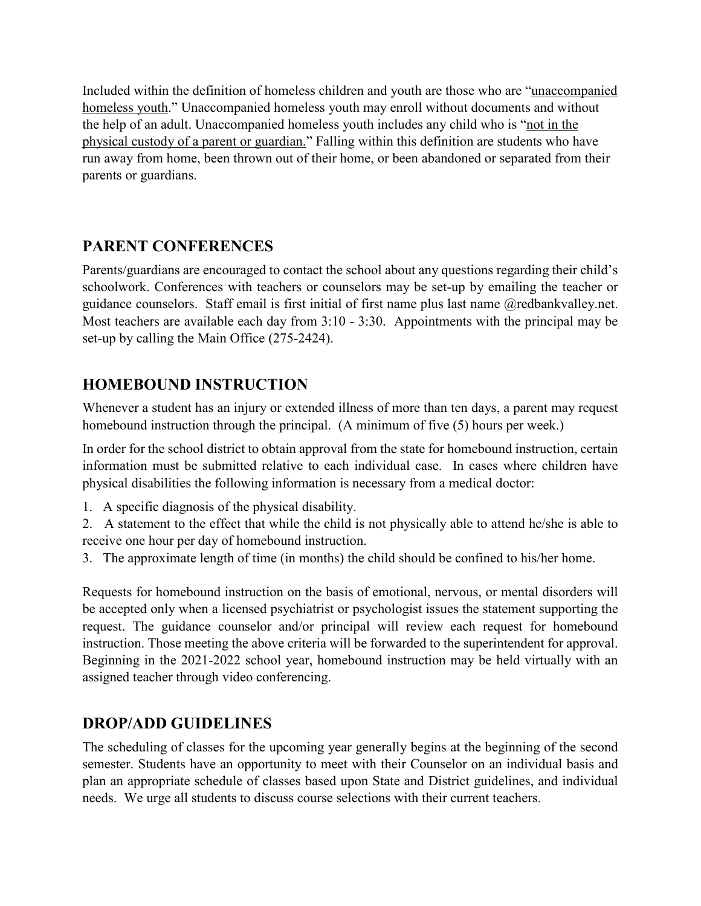Included within the definition of homeless children and youth are those who are "unaccompanied homeless youth." Unaccompanied homeless youth may enroll without documents and without the help of an adult. Unaccompanied homeless youth includes any child who is "not in the physical custody of a parent or guardian." Falling within this definition are students who have run away from home, been thrown out of their home, or been abandoned or separated from their parents or guardians.

# **PARENT CONFERENCES**

Parents/guardians are encouraged to contact the school about any questions regarding their child's schoolwork. Conferences with teachers or counselors may be set-up by emailing the teacher or guidance counselors. Staff email is first initial of first name plus last name @redbankvalley.net. Most teachers are available each day from 3:10 - 3:30. Appointments with the principal may be set-up by calling the Main Office (275-2424).

# **HOMEBOUND INSTRUCTION**

Whenever a student has an injury or extended illness of more than ten days, a parent may request homebound instruction through the principal. (A minimum of five (5) hours per week.)

In order for the school district to obtain approval from the state for homebound instruction, certain information must be submitted relative to each individual case. In cases where children have physical disabilities the following information is necessary from a medical doctor:

- 1. A specific diagnosis of the physical disability.
- 2. A statement to the effect that while the child is not physically able to attend he/she is able to receive one hour per day of homebound instruction.
- 3. The approximate length of time (in months) the child should be confined to his/her home.

Requests for homebound instruction on the basis of emotional, nervous, or mental disorders will be accepted only when a licensed psychiatrist or psychologist issues the statement supporting the request. The guidance counselor and/or principal will review each request for homebound instruction. Those meeting the above criteria will be forwarded to the superintendent for approval. Beginning in the 2021-2022 school year, homebound instruction may be held virtually with an assigned teacher through video conferencing.

# **DROP/ADD GUIDELINES**

The scheduling of classes for the upcoming year generally begins at the beginning of the second semester. Students have an opportunity to meet with their Counselor on an individual basis and plan an appropriate schedule of classes based upon State and District guidelines, and individual needs. We urge all students to discuss course selections with their current teachers.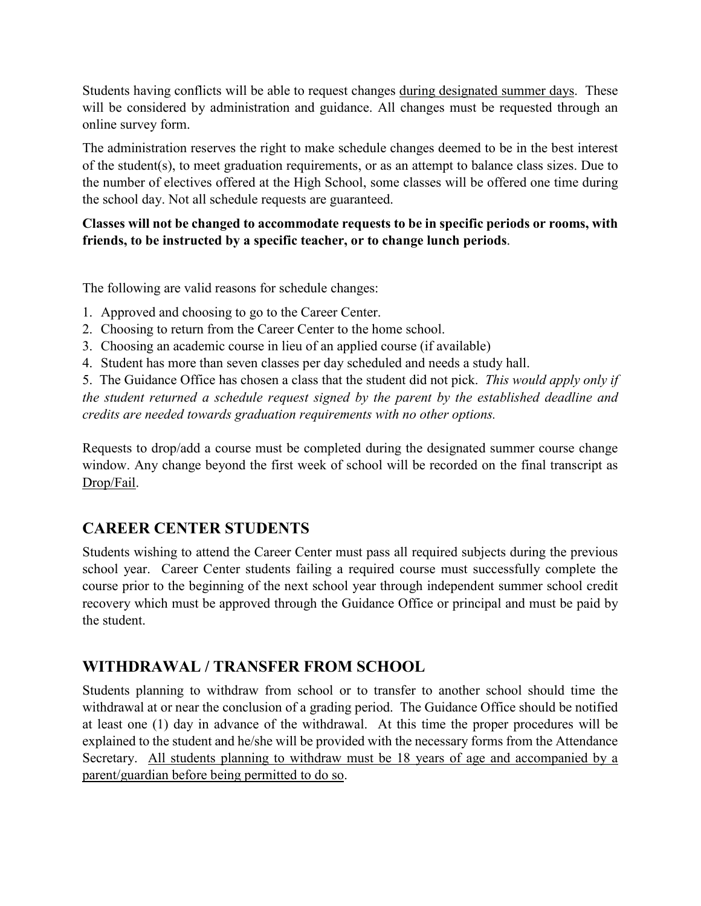Students having conflicts will be able to request changes during designated summer days. These will be considered by administration and guidance. All changes must be requested through an online survey form.

The administration reserves the right to make schedule changes deemed to be in the best interest of the student(s), to meet graduation requirements, or as an attempt to balance class sizes. Due to the number of electives offered at the High School, some classes will be offered one time during the school day. Not all schedule requests are guaranteed.

#### **Classes will not be changed to accommodate requests to be in specific periods or rooms, with friends, to be instructed by a specific teacher, or to change lunch periods**.

The following are valid reasons for schedule changes:

- 1. Approved and choosing to go to the Career Center.
- 2. Choosing to return from the Career Center to the home school.
- 3. Choosing an academic course in lieu of an applied course (if available)
- 4. Student has more than seven classes per day scheduled and needs a study hall.

5. The Guidance Office has chosen a class that the student did not pick. *This would apply only if the student returned a schedule request signed by the parent by the established deadline and credits are needed towards graduation requirements with no other options.*

Requests to drop/add a course must be completed during the designated summer course change window. Any change beyond the first week of school will be recorded on the final transcript as Drop/Fail.

#### **CAREER CENTER STUDENTS**

Students wishing to attend the Career Center must pass all required subjects during the previous school year. Career Center students failing a required course must successfully complete the course prior to the beginning of the next school year through independent summer school credit recovery which must be approved through the Guidance Office or principal and must be paid by the student.

#### **WITHDRAWAL / TRANSFER FROM SCHOOL**

Students planning to withdraw from school or to transfer to another school should time the withdrawal at or near the conclusion of a grading period. The Guidance Office should be notified at least one (1) day in advance of the withdrawal. At this time the proper procedures will be explained to the student and he/she will be provided with the necessary forms from the Attendance Secretary. All students planning to withdraw must be 18 years of age and accompanied by a parent/guardian before being permitted to do so.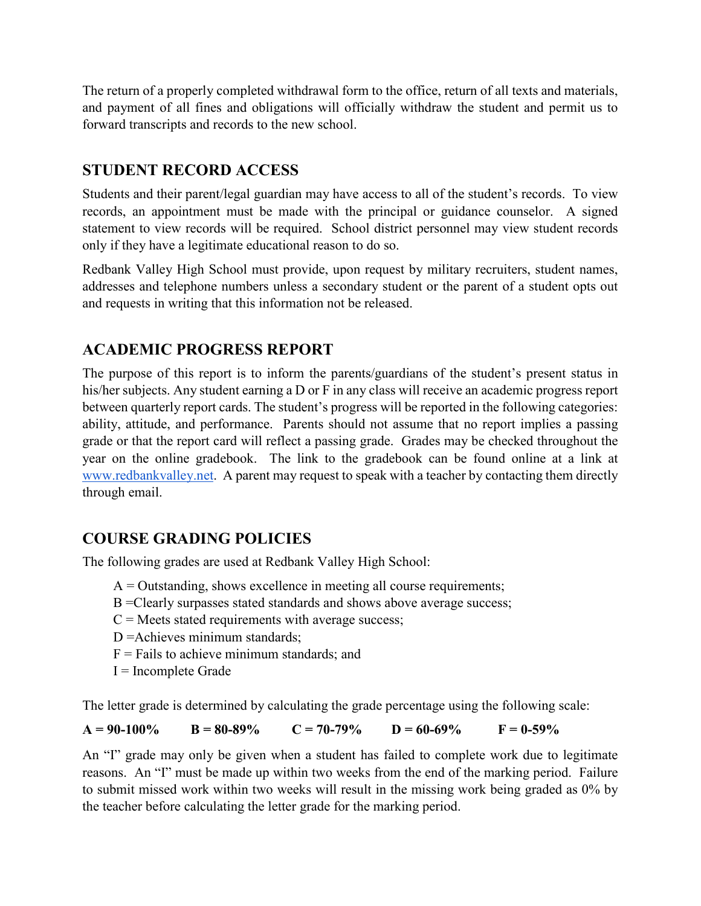The return of a properly completed withdrawal form to the office, return of all texts and materials, and payment of all fines and obligations will officially withdraw the student and permit us to forward transcripts and records to the new school.

## **STUDENT RECORD ACCESS**

Students and their parent/legal guardian may have access to all of the student's records. To view records, an appointment must be made with the principal or guidance counselor. A signed statement to view records will be required. School district personnel may view student records only if they have a legitimate educational reason to do so.

Redbank Valley High School must provide, upon request by military recruiters, student names, addresses and telephone numbers unless a secondary student or the parent of a student opts out and requests in writing that this information not be released.

# **ACADEMIC PROGRESS REPORT**

The purpose of this report is to inform the parents/guardians of the student's present status in his/her subjects. Any student earning a D or F in any class will receive an academic progress report between quarterly report cards. The student's progress will be reported in the following categories: ability, attitude, and performance. Parents should not assume that no report implies a passing grade or that the report card will reflect a passing grade. Grades may be checked throughout the year on the online gradebook. The link to the gradebook can be found online at a link at [www.redbankvalley.net.](http://www.redbankvalley.net/) A parent may request to speak with a teacher by contacting them directly through email.

#### **COURSE GRADING POLICIES**

The following grades are used at Redbank Valley High School:

- $A =$ Outstanding, shows excellence in meeting all course requirements;
- B =Clearly surpasses stated standards and shows above average success;
- $C =$  Meets stated requirements with average success;
- D = Achieves minimum standards;
- $F =$  Fails to achieve minimum standards; and
- I = Incomplete Grade

The letter grade is determined by calculating the grade percentage using the following scale:

 $A = 90-100\%$   $B = 80-89\%$   $C = 70-79\%$   $D = 60-69\%$   $F = 0.59\%$ 

An "I" grade may only be given when a student has failed to complete work due to legitimate reasons. An "I" must be made up within two weeks from the end of the marking period. Failure to submit missed work within two weeks will result in the missing work being graded as 0% by the teacher before calculating the letter grade for the marking period.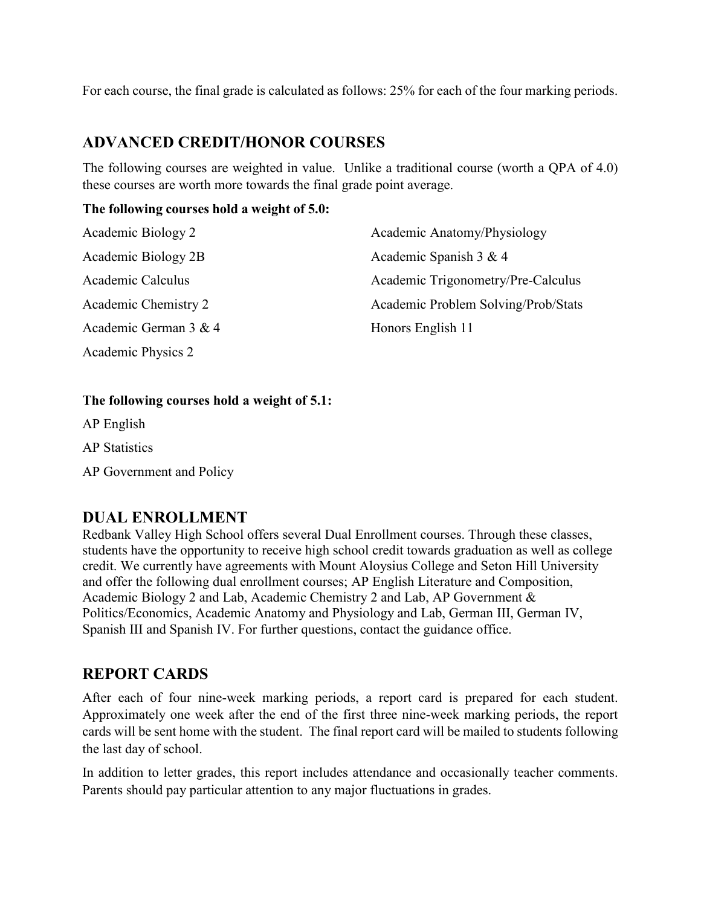For each course, the final grade is calculated as follows: 25% for each of the four marking periods.

### **ADVANCED CREDIT/HONOR COURSES**

The following courses are weighted in value. Unlike a traditional course (worth a QPA of 4.0) these courses are worth more towards the final grade point average.

#### **The following courses hold a weight of 5.0:**

| Academic Biology 2    | Academic Anatomy/Physiology         |
|-----------------------|-------------------------------------|
| Academic Biology 2B   | Academic Spanish 3 & 4              |
| Academic Calculus     | Academic Trigonometry/Pre-Calculus  |
| Academic Chemistry 2  | Academic Problem Solving/Prob/Stats |
| Academic German 3 & 4 | Honors English 11                   |
| Academic Physics 2    |                                     |

#### **The following courses hold a weight of 5.1:**

AP English

AP Statistics

AP Government and Policy

#### **DUAL ENROLLMENT**

Redbank Valley High School offers several Dual Enrollment courses. Through these classes, students have the opportunity to receive high school credit towards graduation as well as college credit. We currently have agreements with Mount Aloysius College and Seton Hill University and offer the following dual enrollment courses; AP English Literature and Composition, Academic Biology 2 and Lab, Academic Chemistry 2 and Lab, AP Government & Politics/Economics, Academic Anatomy and Physiology and Lab, German III, German IV, Spanish III and Spanish IV. For further questions, contact the guidance office.

#### **REPORT CARDS**

After each of four nine-week marking periods, a report card is prepared for each student. Approximately one week after the end of the first three nine-week marking periods, the report cards will be sent home with the student. The final report card will be mailed to students following the last day of school.

In addition to letter grades, this report includes attendance and occasionally teacher comments. Parents should pay particular attention to any major fluctuations in grades.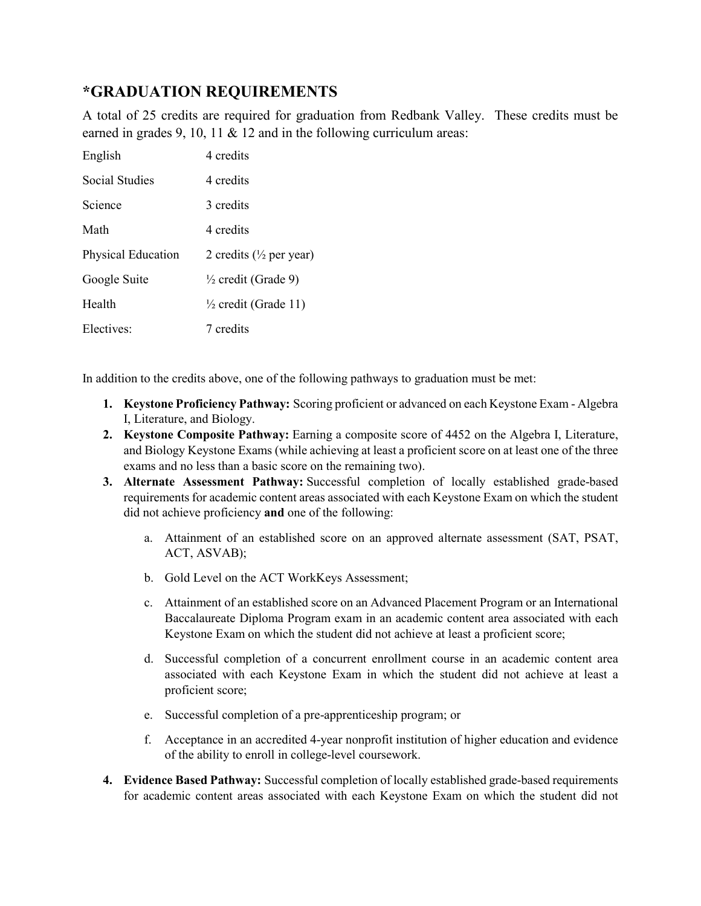### **\*GRADUATION REQUIREMENTS**

A total of 25 credits are required for graduation from Redbank Valley. These credits must be earned in grades 9, 10, 11 & 12 and in the following curriculum areas:

| English            | 4 credits                           |
|--------------------|-------------------------------------|
| Social Studies     | 4 credits                           |
| Science            | 3 credits                           |
| Math               | 4 credits                           |
| Physical Education | 2 credits ( $\frac{1}{2}$ per year) |
| Google Suite       | $\frac{1}{2}$ credit (Grade 9)      |
| Health             | $\frac{1}{2}$ credit (Grade 11)     |
| Electives:         | 7 credits                           |

In addition to the credits above, one of the following pathways to graduation must be met:

- **1. Keystone Proficiency Pathway:** Scoring proficient or advanced on each Keystone Exam Algebra I, Literature, and Biology.
- **2. Keystone Composite Pathway:** Earning a composite score of 4452 on the Algebra I, Literature, and Biology Keystone Exams (while achieving at least a proficient score on at least one of the three exams and no less than a basic score on the remaining two).
- **3. Alternate Assessment Pathway:** Successful completion of locally established grade-based requirements for academic content areas associated with each Keystone Exam on which the student did not achieve proficiency **and** one of the following:
	- a. Attainment of an established score on an approved alternate assessment (SAT, PSAT, ACT, ASVAB);
	- b. Gold Level on the ACT WorkKeys Assessment;
	- c. Attainment of an established score on an Advanced Placement Program or an International Baccalaureate Diploma Program exam in an academic content area associated with each Keystone Exam on which the student did not achieve at least a proficient score;
	- d. Successful completion of a concurrent enrollment course in an academic content area associated with each Keystone Exam in which the student did not achieve at least a proficient score;
	- e. Successful completion of a pre-apprenticeship program; or
	- f. Acceptance in an accredited 4-year nonprofit institution of higher education and evidence of the ability to enroll in college-level coursework.
- **4. Evidence Based Pathway:** Successful completion of locally established grade-based requirements for academic content areas associated with each Keystone Exam on which the student did not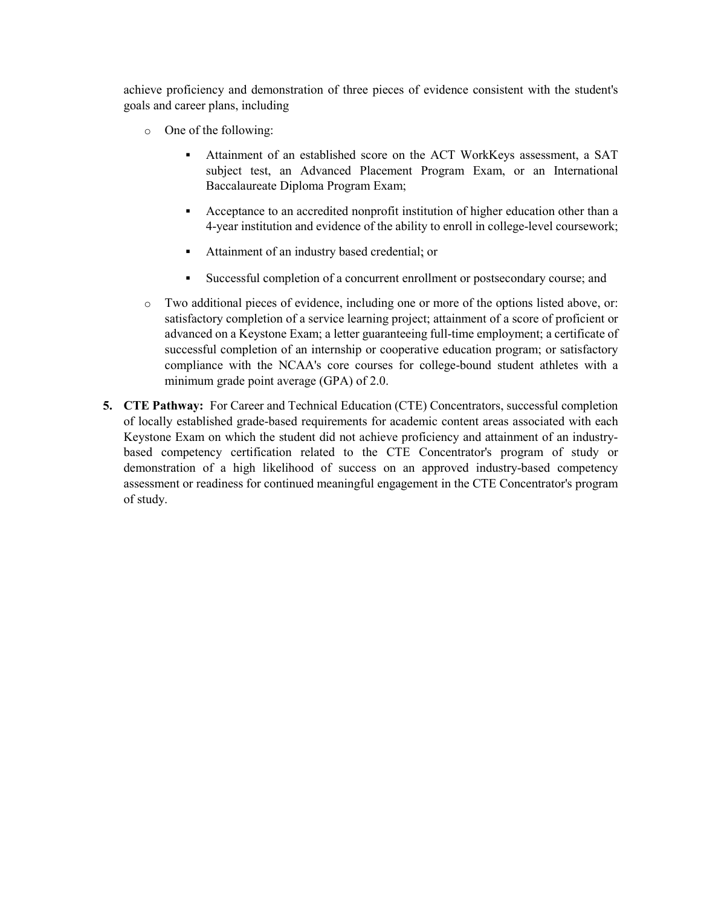achieve proficiency and demonstration of three pieces of evidence consistent with the student's goals and career plans, including

- o One of the following:
	- Attainment of an established score on the ACT WorkKeys assessment, a SAT subject test, an Advanced Placement Program Exam, or an International Baccalaureate Diploma Program Exam;
	- Acceptance to an accredited nonprofit institution of higher education other than a 4-year institution and evidence of the ability to enroll in college-level coursework;
	- Attainment of an industry based credential; or
	- Successful completion of a concurrent enrollment or postsecondary course; and
- o Two additional pieces of evidence, including one or more of the options listed above, or: satisfactory completion of a service learning project; attainment of a score of proficient or advanced on a Keystone Exam; a letter guaranteeing full-time employment; a certificate of successful completion of an internship or cooperative education program; or satisfactory compliance with the NCAA's core courses for college-bound student athletes with a minimum grade point average (GPA) of 2.0.
- **5. CTE Pathway:** For Career and Technical Education (CTE) Concentrators, successful completion of locally established grade-based requirements for academic content areas associated with each Keystone Exam on which the student did not achieve proficiency and attainment of an industrybased competency certification related to the CTE Concentrator's program of study or demonstration of a high likelihood of success on an approved industry-based competency assessment or readiness for continued meaningful engagement in the CTE Concentrator's program of study.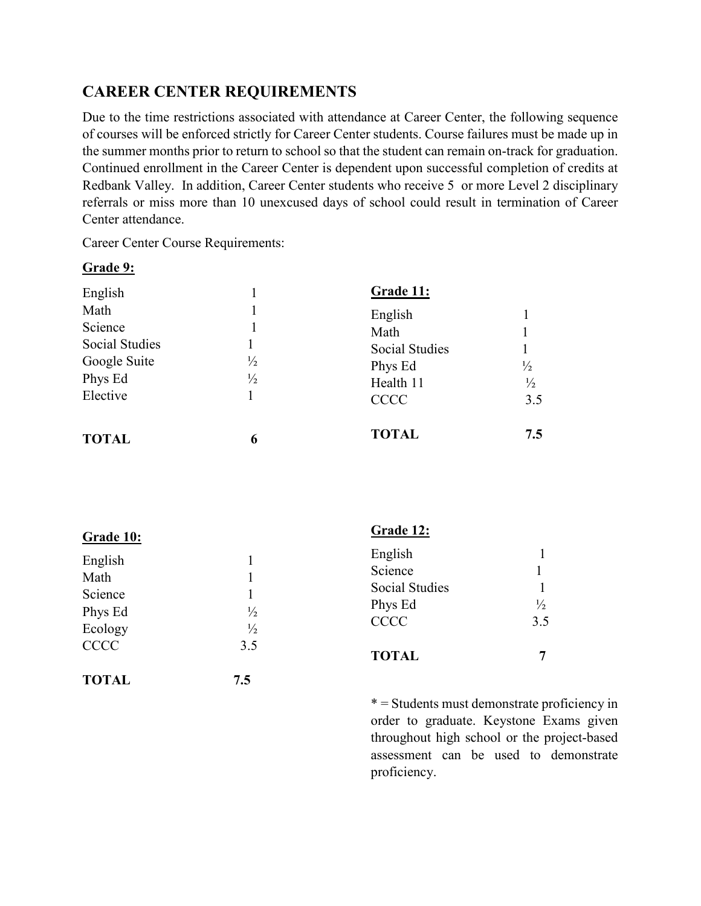## **CAREER CENTER REQUIREMENTS**

Due to the time restrictions associated with attendance at Career Center, the following sequence of courses will be enforced strictly for Career Center students. Course failures must be made up in the summer months prior to return to school so that the student can remain on-track for graduation. Continued enrollment in the Career Center is dependent upon successful completion of credits at Redbank Valley. In addition, Career Center students who receive 5 or more Level 2 disciplinary referrals or miss more than 10 unexcused days of school could result in termination of Career Center attendance.

Career Center Course Requirements:

#### **Grade 9:**

| English                 |                                | Grade 11:                     |                                |
|-------------------------|--------------------------------|-------------------------------|--------------------------------|
| Math<br>Science         |                                | English                       |                                |
| <b>Social Studies</b>   |                                | Math<br><b>Social Studies</b> |                                |
| Google Suite<br>Phys Ed | $\frac{1}{2}$<br>$\frac{1}{2}$ | Phys Ed<br>Health 11          | $\frac{1}{2}$<br>$\frac{1}{2}$ |
| Elective                |                                | <b>CCCC</b>                   | 3.5                            |
| <b>TOTAL</b>            | 6                              | <b>TOTAL</b>                  | 7.5                            |

| Grade 10:                              |                             | Grade 12:                                                             |                      |
|----------------------------------------|-----------------------------|-----------------------------------------------------------------------|----------------------|
| English<br>Math<br>Science<br>Phys Ed  | $\frac{1}{2}$               | English<br>Science<br><b>Social Studies</b><br>Phys Ed<br><b>CCCC</b> | $\frac{1}{2}$<br>3.5 |
| Ecology<br><b>CCCC</b><br><b>TOTAL</b> | $\frac{1}{2}$<br>3.5<br>7.5 | <b>TOTAL</b>                                                          | 7                    |

\* = Students must demonstrate proficiency in order to graduate. Keystone Exams given throughout high school or the project-based assessment can be used to demonstrate proficiency.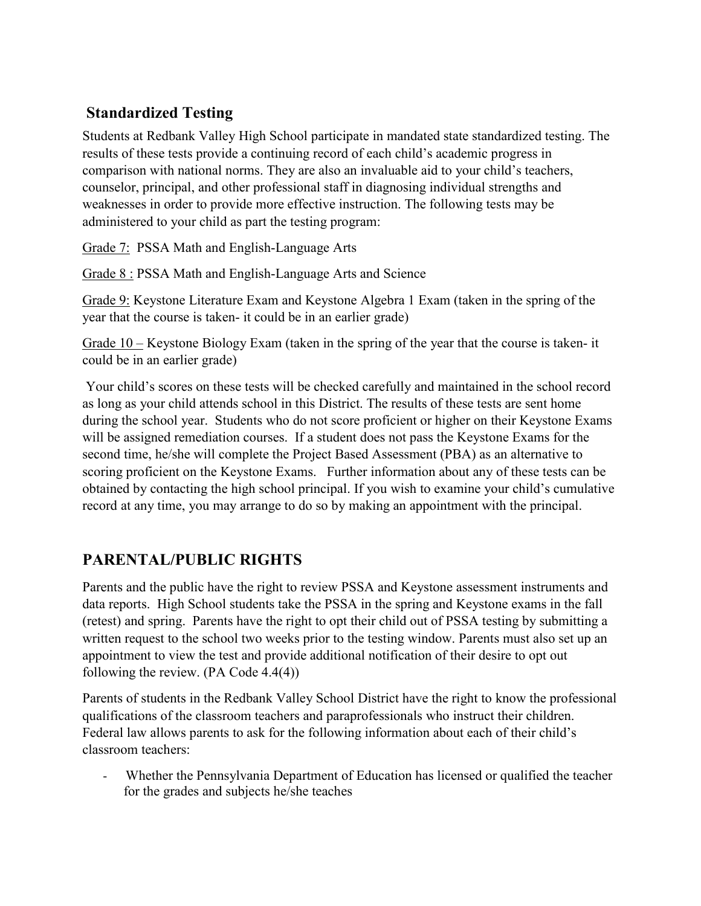# **Standardized Testing**

Students at Redbank Valley High School participate in mandated state standardized testing. The results of these tests provide a continuing record of each child's academic progress in comparison with national norms. They are also an invaluable aid to your child's teachers, counselor, principal, and other professional staff in diagnosing individual strengths and weaknesses in order to provide more effective instruction. The following tests may be administered to your child as part the testing program:

Grade 7: PSSA Math and English-Language Arts

Grade 8 : PSSA Math and English-Language Arts and Science

Grade 9: Keystone Literature Exam and Keystone Algebra 1 Exam (taken in the spring of the year that the course is taken- it could be in an earlier grade)

Grade 10 – Keystone Biology Exam (taken in the spring of the year that the course is taken- it could be in an earlier grade)

Your child's scores on these tests will be checked carefully and maintained in the school record as long as your child attends school in this District. The results of these tests are sent home during the school year. Students who do not score proficient or higher on their Keystone Exams will be assigned remediation courses. If a student does not pass the Keystone Exams for the second time, he/she will complete the Project Based Assessment (PBA) as an alternative to scoring proficient on the Keystone Exams. Further information about any of these tests can be obtained by contacting the high school principal. If you wish to examine your child's cumulative record at any time, you may arrange to do so by making an appointment with the principal.

# **PARENTAL/PUBLIC RIGHTS**

Parents and the public have the right to review PSSA and Keystone assessment instruments and data reports. High School students take the PSSA in the spring and Keystone exams in the fall (retest) and spring. Parents have the right to opt their child out of PSSA testing by submitting a written request to the school two weeks prior to the testing window. Parents must also set up an appointment to view the test and provide additional notification of their desire to opt out following the review. (PA Code 4.4(4))

Parents of students in the Redbank Valley School District have the right to know the professional qualifications of the classroom teachers and paraprofessionals who instruct their children. Federal law allows parents to ask for the following information about each of their child's classroom teachers:

- Whether the Pennsylvania Department of Education has licensed or qualified the teacher for the grades and subjects he/she teaches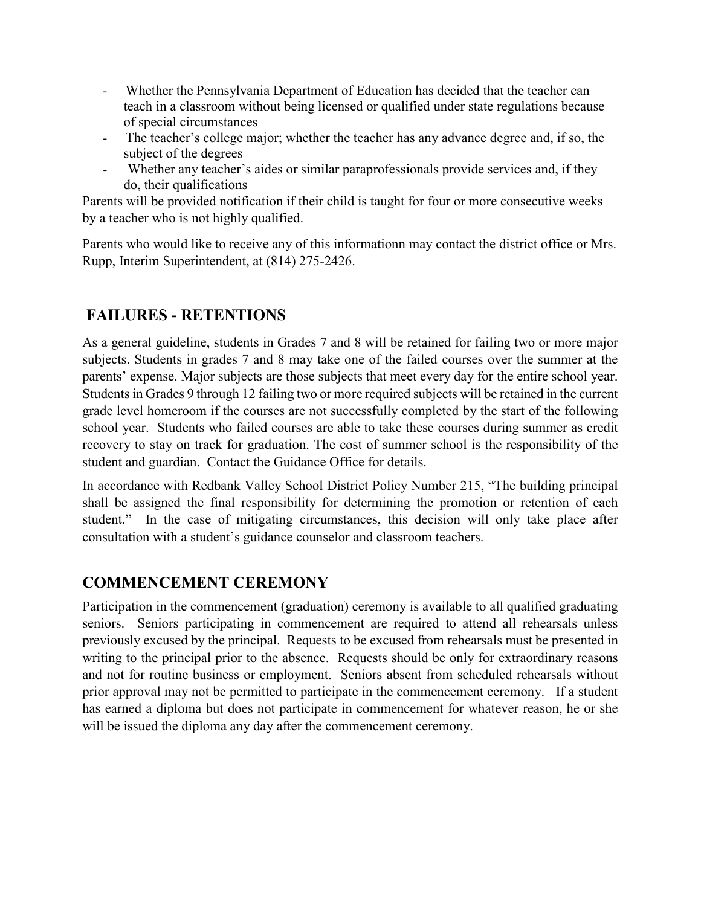- Whether the Pennsylvania Department of Education has decided that the teacher can teach in a classroom without being licensed or qualified under state regulations because of special circumstances
- The teacher's college major; whether the teacher has any advance degree and, if so, the subject of the degrees
- Whether any teacher's aides or similar paraprofessionals provide services and, if they do, their qualifications

Parents will be provided notification if their child is taught for four or more consecutive weeks by a teacher who is not highly qualified.

Parents who would like to receive any of this informationn may contact the district office or Mrs. Rupp, Interim Superintendent, at (814) 275-2426.

# **FAILURES - RETENTIONS**

As a general guideline, students in Grades 7 and 8 will be retained for failing two or more major subjects. Students in grades 7 and 8 may take one of the failed courses over the summer at the parents' expense. Major subjects are those subjects that meet every day for the entire school year. Students in Grades 9 through 12 failing two or more required subjects will be retained in the current grade level homeroom if the courses are not successfully completed by the start of the following school year. Students who failed courses are able to take these courses during summer as credit recovery to stay on track for graduation. The cost of summer school is the responsibility of the student and guardian. Contact the Guidance Office for details.

In accordance with Redbank Valley School District Policy Number 215, "The building principal shall be assigned the final responsibility for determining the promotion or retention of each student." In the case of mitigating circumstances, this decision will only take place after consultation with a student's guidance counselor and classroom teachers.

# **COMMENCEMENT CEREMONY**

Participation in the commencement (graduation) ceremony is available to all qualified graduating seniors. Seniors participating in commencement are required to attend all rehearsals unless previously excused by the principal. Requests to be excused from rehearsals must be presented in writing to the principal prior to the absence. Requests should be only for extraordinary reasons and not for routine business or employment. Seniors absent from scheduled rehearsals without prior approval may not be permitted to participate in the commencement ceremony. If a student has earned a diploma but does not participate in commencement for whatever reason, he or she will be issued the diploma any day after the commencement ceremony.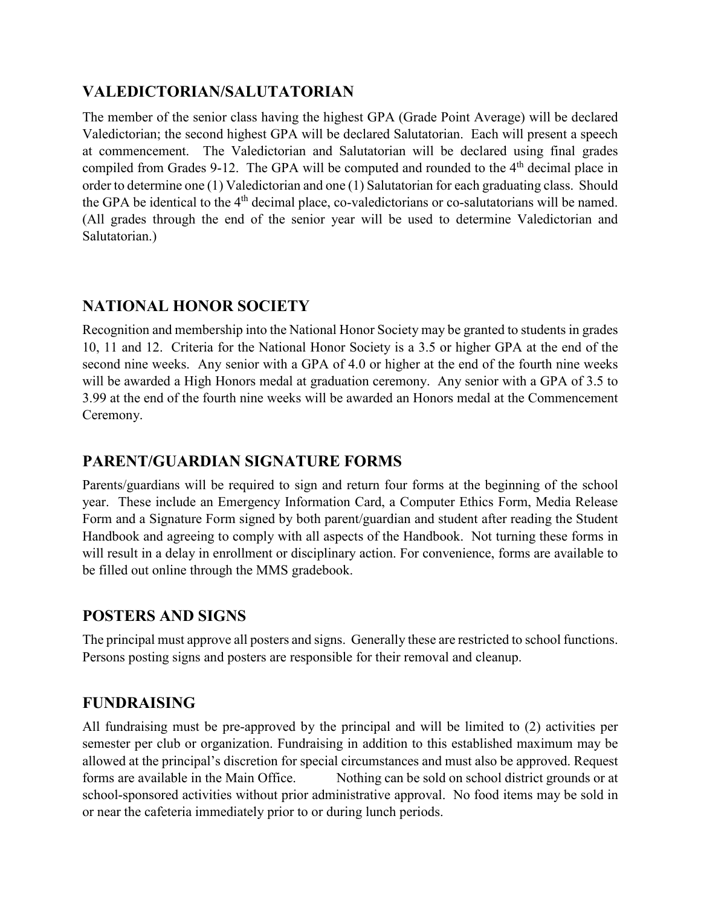### **VALEDICTORIAN/SALUTATORIAN**

The member of the senior class having the highest GPA (Grade Point Average) will be declared Valedictorian; the second highest GPA will be declared Salutatorian. Each will present a speech at commencement. The Valedictorian and Salutatorian will be declared using final grades compiled from Grades 9-12. The GPA will be computed and rounded to the 4<sup>th</sup> decimal place in order to determine one (1) Valedictorian and one (1) Salutatorian for each graduating class. Should the GPA be identical to the 4<sup>th</sup> decimal place, co-valedictorians or co-salutatorians will be named. (All grades through the end of the senior year will be used to determine Valedictorian and Salutatorian.)

#### **NATIONAL HONOR SOCIETY**

Recognition and membership into the National Honor Society may be granted to students in grades 10, 11 and 12. Criteria for the National Honor Society is a 3.5 or higher GPA at the end of the second nine weeks. Any senior with a GPA of 4.0 or higher at the end of the fourth nine weeks will be awarded a High Honors medal at graduation ceremony. Any senior with a GPA of 3.5 to 3.99 at the end of the fourth nine weeks will be awarded an Honors medal at the Commencement Ceremony.

#### **PARENT/GUARDIAN SIGNATURE FORMS**

Parents/guardians will be required to sign and return four forms at the beginning of the school year. These include an Emergency Information Card, a Computer Ethics Form, Media Release Form and a Signature Form signed by both parent/guardian and student after reading the Student Handbook and agreeing to comply with all aspects of the Handbook. Not turning these forms in will result in a delay in enrollment or disciplinary action. For convenience, forms are available to be filled out online through the MMS gradebook.

#### **POSTERS AND SIGNS**

The principal must approve all posters and signs. Generally these are restricted to school functions. Persons posting signs and posters are responsible for their removal and cleanup.

# **FUNDRAISING**

All fundraising must be pre-approved by the principal and will be limited to (2) activities per semester per club or organization. Fundraising in addition to this established maximum may be allowed at the principal's discretion for special circumstances and must also be approved. Request forms are available in the Main Office. Nothing can be sold on school district grounds or at school-sponsored activities without prior administrative approval. No food items may be sold in or near the cafeteria immediately prior to or during lunch periods.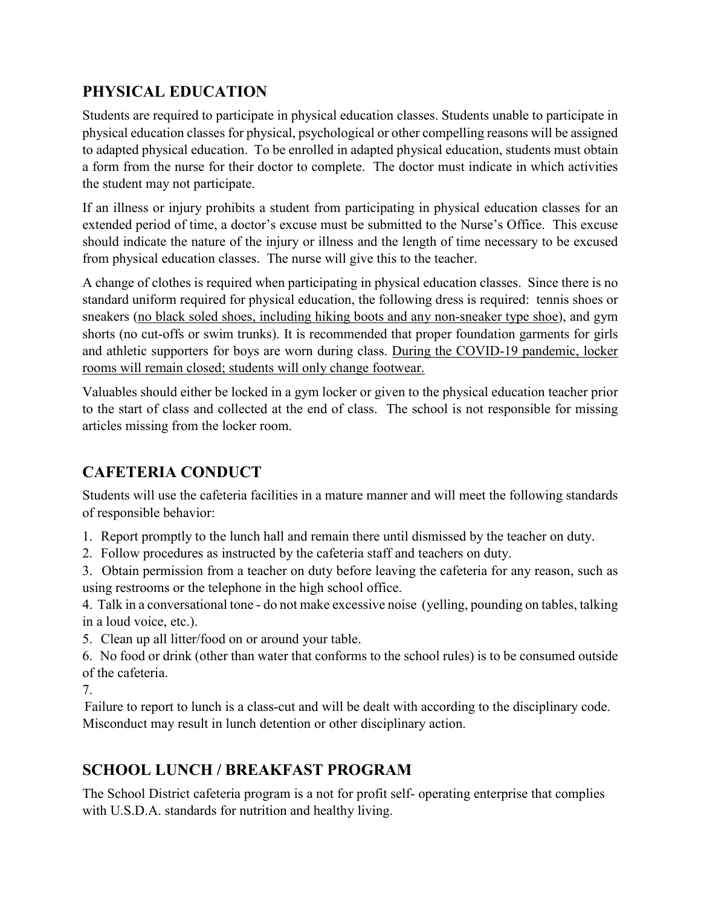# **PHYSICAL EDUCATION**

Students are required to participate in physical education classes. Students unable to participate in physical education classes for physical, psychological or other compelling reasons will be assigned to adapted physical education. To be enrolled in adapted physical education, students must obtain a form from the nurse for their doctor to complete. The doctor must indicate in which activities the student may not participate.

If an illness or injury prohibits a student from participating in physical education classes for an extended period of time, a doctor's excuse must be submitted to the Nurse's Office. This excuse should indicate the nature of the injury or illness and the length of time necessary to be excused from physical education classes. The nurse will give this to the teacher.

A change of clothes is required when participating in physical education classes. Since there is no standard uniform required for physical education, the following dress is required: tennis shoes or sneakers (no black soled shoes, including hiking boots and any non-sneaker type shoe), and gym shorts (no cut-offs or swim trunks). It is recommended that proper foundation garments for girls and athletic supporters for boys are worn during class. During the COVID-19 pandemic, locker rooms will remain closed; students will only change footwear.

Valuables should either be locked in a gym locker or given to the physical education teacher prior to the start of class and collected at the end of class. The school is not responsible for missing articles missing from the locker room.

# **CAFETERIA CONDUCT**

Students will use the cafeteria facilities in a mature manner and will meet the following standards of responsible behavior:

1. Report promptly to the lunch hall and remain there until dismissed by the teacher on duty.

2. Follow procedures as instructed by the cafeteria staff and teachers on duty.

3. Obtain permission from a teacher on duty before leaving the cafeteria for any reason, such as using restrooms or the telephone in the high school office.

4. Talk in a conversational tone - do not make excessive noise (yelling, pounding on tables, talking in a loud voice, etc.).

5. Clean up all litter/food on or around your table.

6. No food or drink (other than water that conforms to the school rules) is to be consumed outside of the cafeteria.

7.

Failure to report to lunch is a class-cut and will be dealt with according to the disciplinary code. Misconduct may result in lunch detention or other disciplinary action.

# **SCHOOL LUNCH / BREAKFAST PROGRAM**

The School District cafeteria program is a not for profit self- operating enterprise that complies with U.S.D.A. standards for nutrition and healthy living.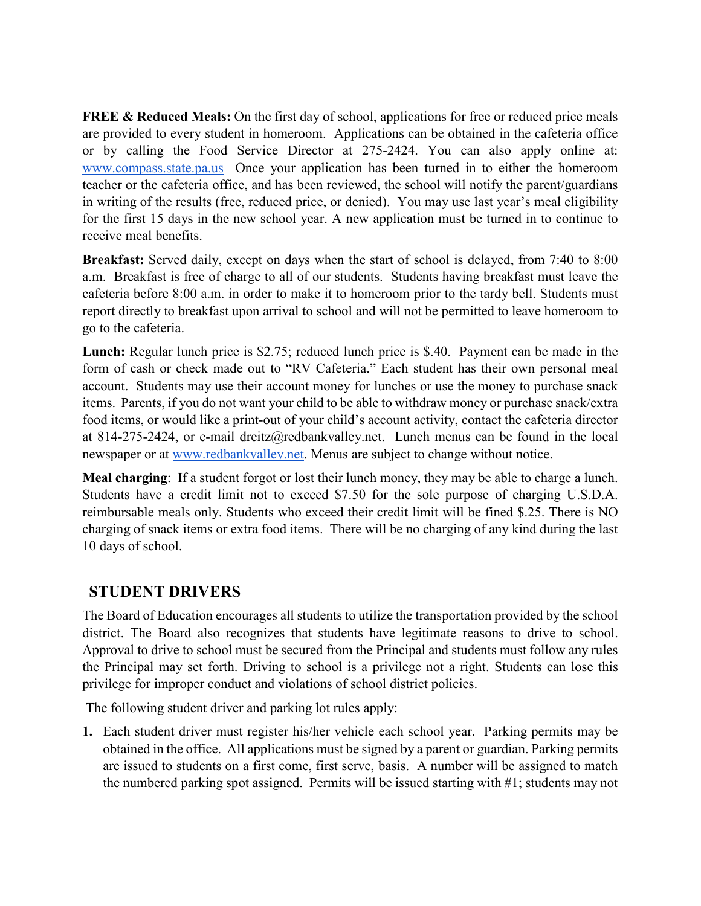**FREE & Reduced Meals:** On the first day of school, applications for free or reduced price meals are provided to every student in homeroom. Applications can be obtained in the cafeteria office or by calling the Food Service Director at 275-2424. You can also apply online at[:](http://www.compass.state.pa.us/) [www.compass.state.pa.us](http://www.compass.state.pa.us/) Once your application has been turned in to either the homeroom teacher or the cafeteria office, and has been reviewed, the school will notify the parent/guardians in writing of the results (free, reduced price, or denied). You may use last year's meal eligibility for the first 15 days in the new school year. A new application must be turned in to continue to receive meal benefits.

**Breakfast:** Served daily, except on days when the start of school is delayed, from 7:40 to 8:00 a.m. Breakfast is free of charge to all of our students. Students having breakfast must leave the cafeteria before 8:00 a.m. in order to make it to homeroom prior to the tardy bell. Students must report directly to breakfast upon arrival to school and will not be permitted to leave homeroom to go to the cafeteria.

**Lunch:** Regular lunch price is \$2.75; reduced lunch price is \$.40. Payment can be made in the form of cash or check made out to "RV Cafeteria." Each student has their own personal meal account. Students may use their account money for lunches or use the money to purchase snack items. Parents, if you do not want your child to be able to withdraw money or purchase snack/extra food items, or would like a print-out of your child's account activity, contact the cafeteria director at 814-275-2424, or e-mail dreitz@redbankvalley.net. Lunch menus can be found in the local newspaper or at [www.redbankvalley.net.](http://www.redbankvalley.net/) Menus are subject to change without notice.

**Meal charging**: If a student forgot or lost their lunch money, they may be able to charge a lunch. Students have a credit limit not to exceed \$7.50 for the sole purpose of charging U.S.D.A. reimbursable meals only. Students who exceed their credit limit will be fined \$.25. There is NO charging of snack items or extra food items. There will be no charging of any kind during the last 10 days of school.

#### **STUDENT DRIVERS**

The Board of Education encourages all students to utilize the transportation provided by the school district. The Board also recognizes that students have legitimate reasons to drive to school. Approval to drive to school must be secured from the Principal and students must follow any rules the Principal may set forth. Driving to school is a privilege not a right. Students can lose this privilege for improper conduct and violations of school district policies.

The following student driver and parking lot rules apply:

**1.** Each student driver must register his/her vehicle each school year. Parking permits may be obtained in the office. All applications must be signed by a parent or guardian. Parking permits are issued to students on a first come, first serve, basis. A number will be assigned to match the numbered parking spot assigned. Permits will be issued starting with #1; students may not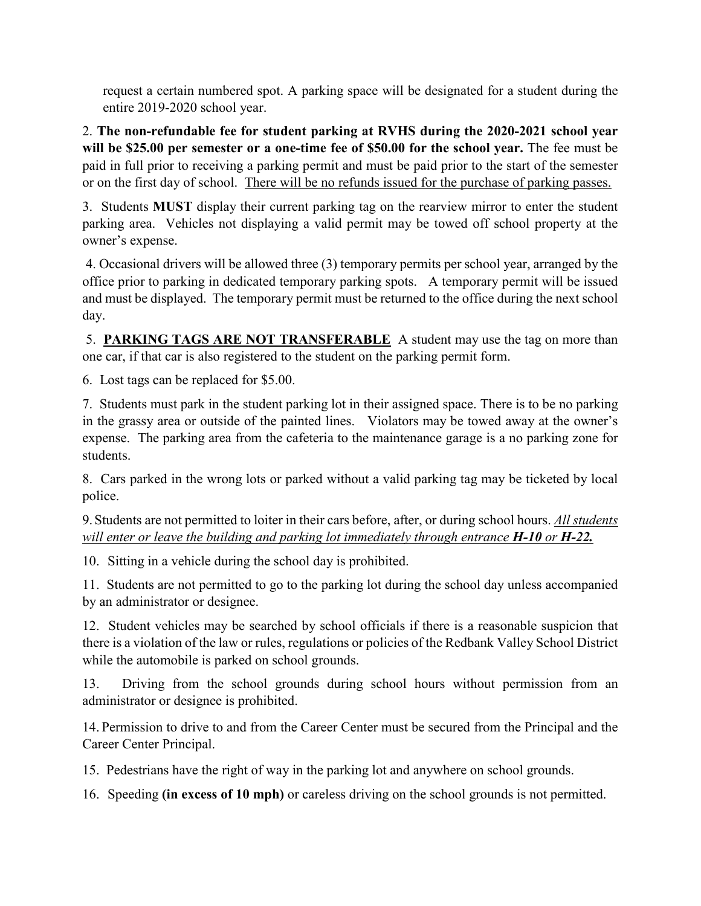request a certain numbered spot. A parking space will be designated for a student during the entire 2019-2020 school year.

2. **The non-refundable fee for student parking at RVHS during the 2020-2021 school year will be \$25.00 per semester or a one-time fee of \$50.00 for the school year.** The fee must be paid in full prior to receiving a parking permit and must be paid prior to the start of the semester or on the first day of school. There will be no refunds issued for the purchase of parking passes.

3. Students **MUST** display their current parking tag on the rearview mirror to enter the student parking area. Vehicles not displaying a valid permit may be towed off school property at the owner's expense.

4. Occasional drivers will be allowed three (3) temporary permits per school year, arranged by the office prior to parking in dedicated temporary parking spots. A temporary permit will be issued and must be displayed. The temporary permit must be returned to the office during the next school day.

5. **PARKING TAGS ARE NOT TRANSFERABLE** A student may use the tag on more than one car, if that car is also registered to the student on the parking permit form.

6. Lost tags can be replaced for \$5.00.

7. Students must park in the student parking lot in their assigned space. There is to be no parking in the grassy area or outside of the painted lines. Violators may be towed away at the owner's expense. The parking area from the cafeteria to the maintenance garage is a no parking zone for students.

8. Cars parked in the wrong lots or parked without a valid parking tag may be ticketed by local police.

9.Students are not permitted to loiter in their cars before, after, or during school hours. *All students will enter or leave the building and parking lot immediately through entrance H-10 or H-22.*

10. Sitting in a vehicle during the school day is prohibited.

11. Students are not permitted to go to the parking lot during the school day unless accompanied by an administrator or designee.

12. Student vehicles may be searched by school officials if there is a reasonable suspicion that there is a violation of the law or rules, regulations or policies of the Redbank Valley School District while the automobile is parked on school grounds.

13. Driving from the school grounds during school hours without permission from an administrator or designee is prohibited.

14. Permission to drive to and from the Career Center must be secured from the Principal and the Career Center Principal.

15. Pedestrians have the right of way in the parking lot and anywhere on school grounds.

16. Speeding **(in excess of 10 mph)** or careless driving on the school grounds is not permitted.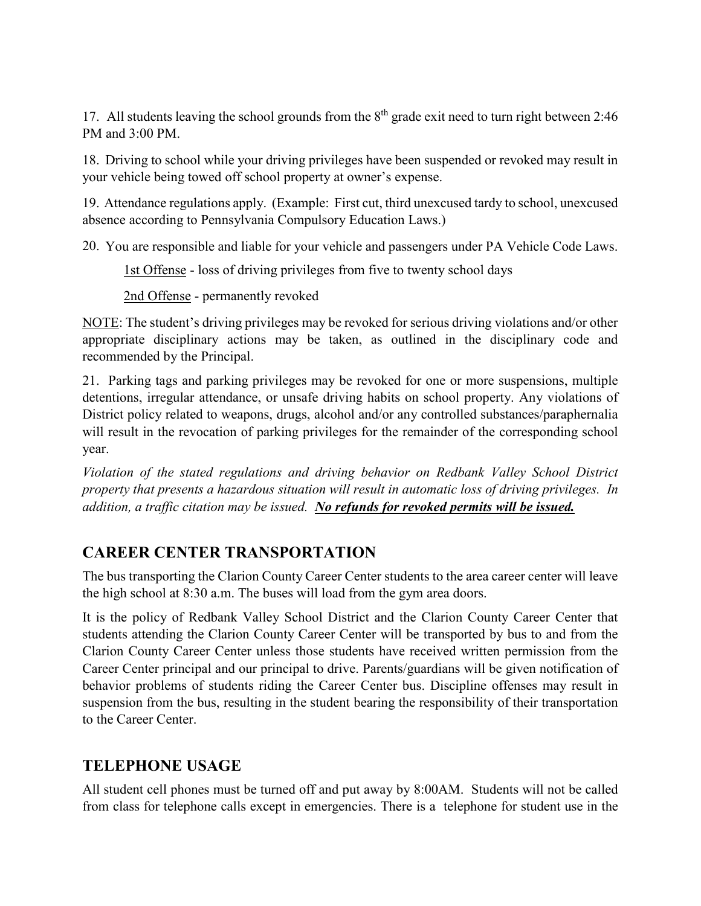17. All students leaving the school grounds from the  $8<sup>th</sup>$  grade exit need to turn right between 2:46 PM and 3:00 PM.

18. Driving to school while your driving privileges have been suspended or revoked may result in your vehicle being towed off school property at owner's expense.

19. Attendance regulations apply. (Example: First cut, third unexcused tardy to school, unexcused absence according to Pennsylvania Compulsory Education Laws.)

20. You are responsible and liable for your vehicle and passengers under PA Vehicle Code Laws.

1st Offense - loss of driving privileges from five to twenty school days

2nd Offense - permanently revoked

NOTE: The student's driving privileges may be revoked for serious driving violations and/or other appropriate disciplinary actions may be taken, as outlined in the disciplinary code and recommended by the Principal.

21. Parking tags and parking privileges may be revoked for one or more suspensions, multiple detentions, irregular attendance, or unsafe driving habits on school property. Any violations of District policy related to weapons, drugs, alcohol and/or any controlled substances/paraphernalia will result in the revocation of parking privileges for the remainder of the corresponding school year.

*Violation of the stated regulations and driving behavior on Redbank Valley School District property that presents a hazardous situation will result in automatic loss of driving privileges. In addition, a traffic citation may be issued. No refunds for revoked permits will be issued.*

# **CAREER CENTER TRANSPORTATION**

The bus transporting the Clarion County Career Center students to the area career center will leave the high school at 8:30 a.m. The buses will load from the gym area doors.

It is the policy of Redbank Valley School District and the Clarion County Career Center that students attending the Clarion County Career Center will be transported by bus to and from the Clarion County Career Center unless those students have received written permission from the Career Center principal and our principal to drive. Parents/guardians will be given notification of behavior problems of students riding the Career Center bus. Discipline offenses may result in suspension from the bus, resulting in the student bearing the responsibility of their transportation to the Career Center.

#### **TELEPHONE USAGE**

All student cell phones must be turned off and put away by 8:00AM. Students will not be called from class for telephone calls except in emergencies. There is a telephone for student use in the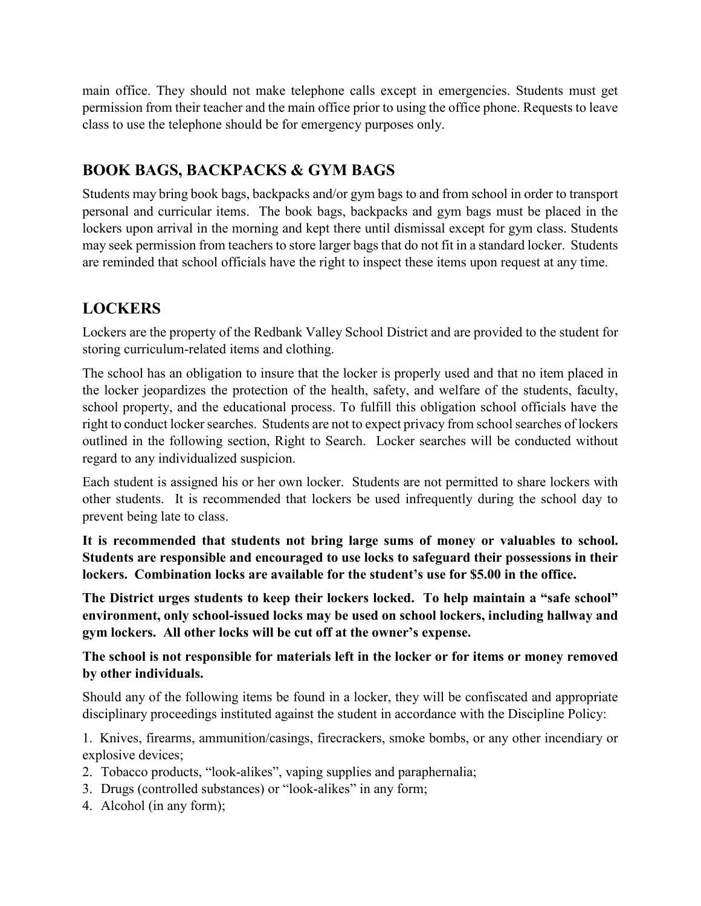main office. They should not make telephone calls except in emergencies. Students must get permission from their teacher and the main office prior to using the office phone. Requests to leave class to use the telephone should be for emergency purposes only.

# **BOOK BAGS, BACKPACKS & GYM BAGS**

Students may bring book bags, backpacks and/or gym bags to and from school in order to transport personal and curricular items. The book bags, backpacks and gym bags must be placed in the lockers upon arrival in the morning and kept there until dismissal except for gym class. Students may seek permission from teachers to store larger bags that do not fit in a standard locker. Students are reminded that school officials have the right to inspect these items upon request at any time.

# **LOCKERS**

Lockers are the property of the Redbank Valley School District and are provided to the student for storing curriculum-related items and clothing.

The school has an obligation to insure that the locker is properly used and that no item placed in the locker jeopardizes the protection of the health, safety, and welfare of the students, faculty, school property, and the educational process. To fulfill this obligation school officials have the right to conduct locker searches. Students are not to expect privacy from school searches of lockers outlined in the following section, Right to Search. Locker searches will be conducted without regard to any individualized suspicion.

Each student is assigned his or her own locker. Students are not permitted to share lockers with other students. It is recommended that lockers be used infrequently during the school day to prevent being late to class.

**It is recommended that students not bring large sums of money or valuables to school. Students are responsible and encouraged to use locks to safeguard their possessions in their lockers. Combination locks are available for the student's use for \$5.00 in the office.** 

**The District urges students to keep their lockers locked. To help maintain a "safe school" environment, only school-issued locks may be used on school lockers, including hallway and gym lockers. All other locks will be cut off at the owner's expense.**

**The school is not responsible for materials left in the locker or for items or money removed by other individuals.** 

Should any of the following items be found in a locker, they will be confiscated and appropriate disciplinary proceedings instituted against the student in accordance with the Discipline Policy:

1. Knives, firearms, ammunition/casings, firecrackers, smoke bombs, or any other incendiary or explosive devices;

- 2. Tobacco products, "look-alikes", vaping supplies and paraphernalia;
- 3. Drugs (controlled substances) or "look-alikes" in any form;
- 4. Alcohol (in any form);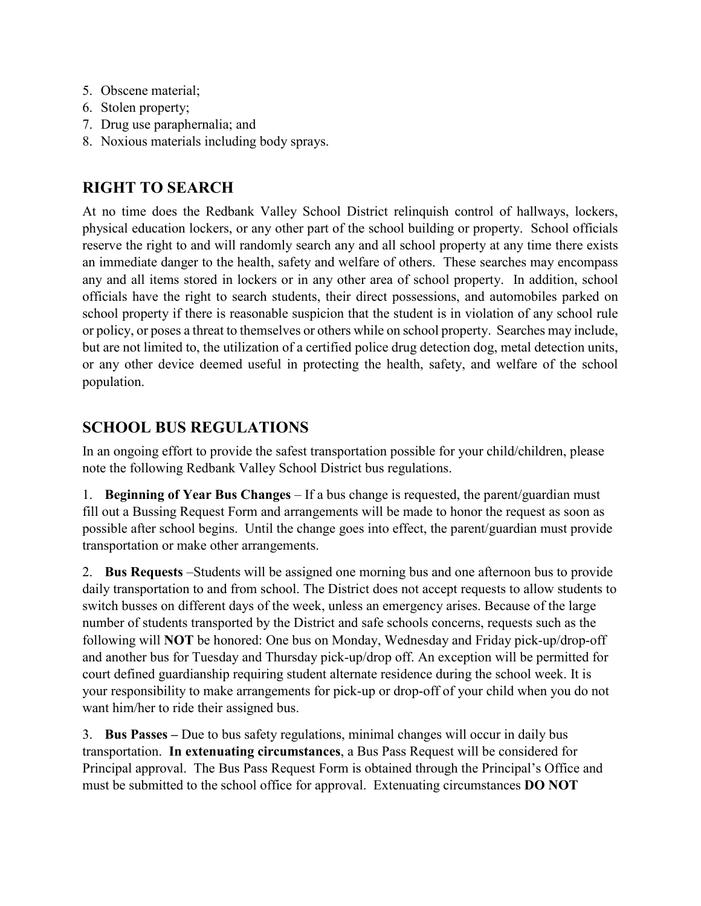- 5. Obscene material;
- 6. Stolen property;
- 7. Drug use paraphernalia; and
- 8. Noxious materials including body sprays.

# **RIGHT TO SEARCH**

At no time does the Redbank Valley School District relinquish control of hallways, lockers, physical education lockers, or any other part of the school building or property. School officials reserve the right to and will randomly search any and all school property at any time there exists an immediate danger to the health, safety and welfare of others. These searches may encompass any and all items stored in lockers or in any other area of school property. In addition, school officials have the right to search students, their direct possessions, and automobiles parked on school property if there is reasonable suspicion that the student is in violation of any school rule or policy, or poses a threat to themselves or others while on school property. Searches may include, but are not limited to, the utilization of a certified police drug detection dog, metal detection units, or any other device deemed useful in protecting the health, safety, and welfare of the school population.

# **SCHOOL BUS REGULATIONS**

In an ongoing effort to provide the safest transportation possible for your child/children, please note the following Redbank Valley School District bus regulations.

1. **Beginning of Year Bus Changes** – If a bus change is requested, the parent/guardian must fill out a Bussing Request Form and arrangements will be made to honor the request as soon as possible after school begins. Until the change goes into effect, the parent/guardian must provide transportation or make other arrangements.

2. **Bus Requests** –Students will be assigned one morning bus and one afternoon bus to provide daily transportation to and from school. The District does not accept requests to allow students to switch busses on different days of the week, unless an emergency arises. Because of the large number of students transported by the District and safe schools concerns, requests such as the following will **NOT** be honored: One bus on Monday, Wednesday and Friday pick-up/drop-off and another bus for Tuesday and Thursday pick-up/drop off. An exception will be permitted for court defined guardianship requiring student alternate residence during the school week. It is your responsibility to make arrangements for pick-up or drop-off of your child when you do not want him/her to ride their assigned bus.

3. **Bus Passes –** Due to bus safety regulations, minimal changes will occur in daily bus transportation. **In extenuating circumstances**, a Bus Pass Request will be considered for Principal approval. The Bus Pass Request Form is obtained through the Principal's Office and must be submitted to the school office for approval. Extenuating circumstances **DO NOT**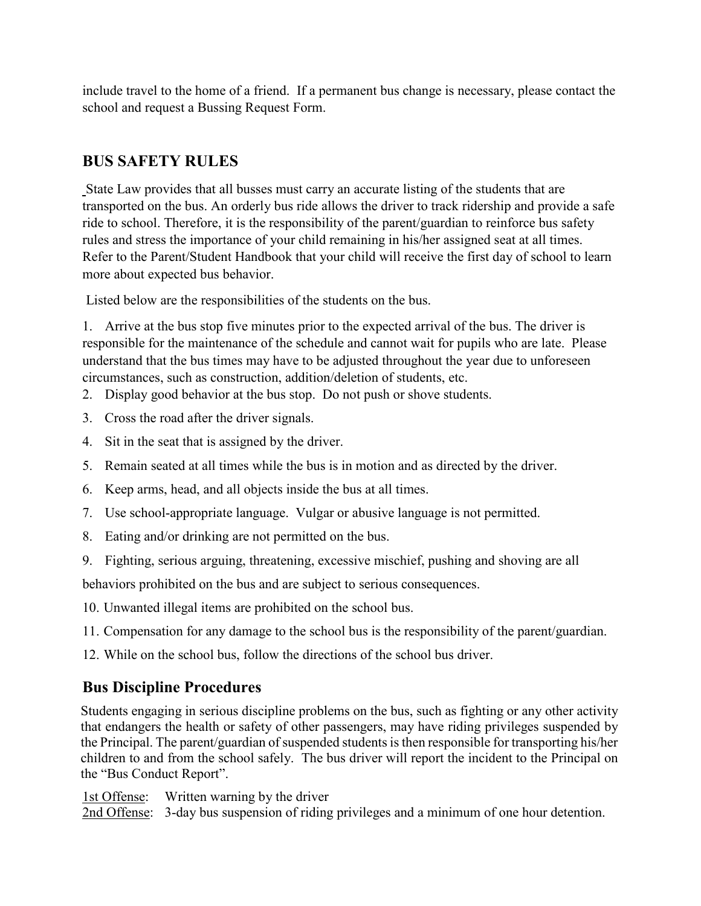include travel to the home of a friend. If a permanent bus change is necessary, please contact the school and request a Bussing Request Form.

### **BUS SAFETY RULES**

State Law provides that all busses must carry an accurate listing of the students that are transported on the bus. An orderly bus ride allows the driver to track ridership and provide a safe ride to school. Therefore, it is the responsibility of the parent/guardian to reinforce bus safety rules and stress the importance of your child remaining in his/her assigned seat at all times. Refer to the Parent/Student Handbook that your child will receive the first day of school to learn more about expected bus behavior.

Listed below are the responsibilities of the students on the bus.

1. Arrive at the bus stop five minutes prior to the expected arrival of the bus. The driver is responsible for the maintenance of the schedule and cannot wait for pupils who are late. Please understand that the bus times may have to be adjusted throughout the year due to unforeseen circumstances, such as construction, addition/deletion of students, etc.

- 2. Display good behavior at the bus stop. Do not push or shove students.
- 3. Cross the road after the driver signals.
- 4. Sit in the seat that is assigned by the driver.
- 5. Remain seated at all times while the bus is in motion and as directed by the driver.
- 6. Keep arms, head, and all objects inside the bus at all times.
- 7. Use school-appropriate language. Vulgar or abusive language is not permitted.
- 8. Eating and/or drinking are not permitted on the bus.
- 9. Fighting, serious arguing, threatening, excessive mischief, pushing and shoving are all

behaviors prohibited on the bus and are subject to serious consequences.

10. Unwanted illegal items are prohibited on the school bus.

- 11. Compensation for any damage to the school bus is the responsibility of the parent/guardian.
- 12. While on the school bus, follow the directions of the school bus driver.

# **Bus Discipline Procedures**

Students engaging in serious discipline problems on the bus, such as fighting or any other activity that endangers the health or safety of other passengers, may have riding privileges suspended by the Principal. The parent/guardian of suspended students is then responsible for transporting his/her children to and from the school safely. The bus driver will report the incident to the Principal on the "Bus Conduct Report".

1st Offense: Written warning by the driver

2nd Offense: 3-day bus suspension of riding privileges and a minimum of one hour detention.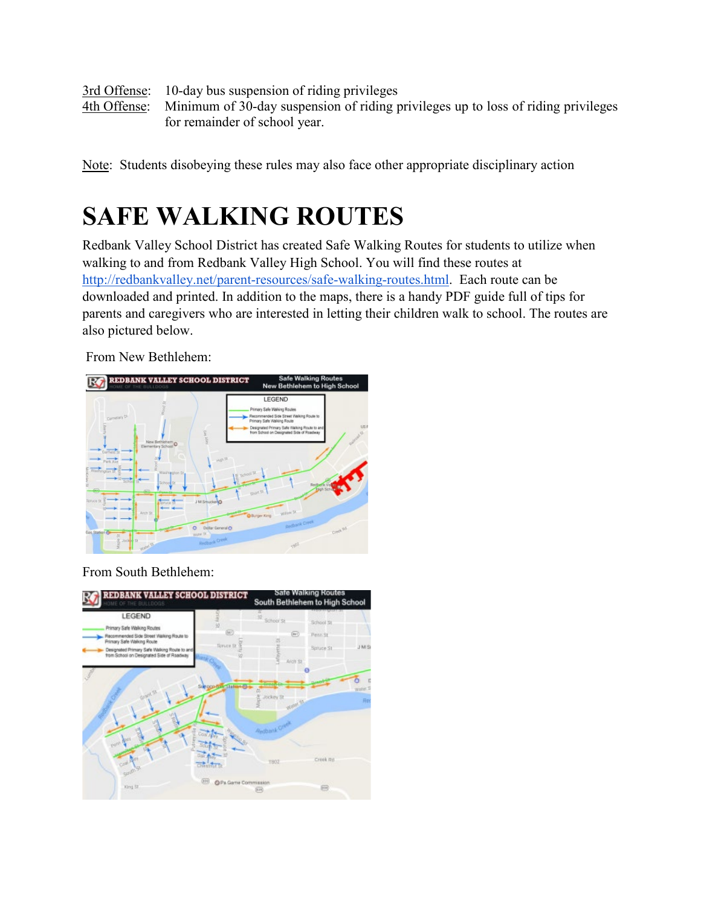3rd Offense: 10-day bus suspension of riding privileges 4th Offense: Minimum of 30-day suspension of riding privileges up to loss of riding privileges for remainder of school year.

Note: Students disobeying these rules may also face other appropriate disciplinary action

# **SAFE WALKING ROUTES**

Redbank Valley School District has created Safe Walking Routes for students to utilize when walking to and from Redbank Valley High School. You will find these routes a[t](http://redbankvalley.net/parent-resources/safe-walking-routes.html) [http://redbankvalley.net/parent-resources/safe-walking-routes.html.](http://redbankvalley.net/parent-resources/safe-walking-routes.html) Each route can be downloaded and printed. In addition to the maps, there is a handy PDF guide full of tips for parents and caregivers who are interested in letting their children walk to school. The routes are also pictured below.

From New Bethlehem:



From South Bethlehem:

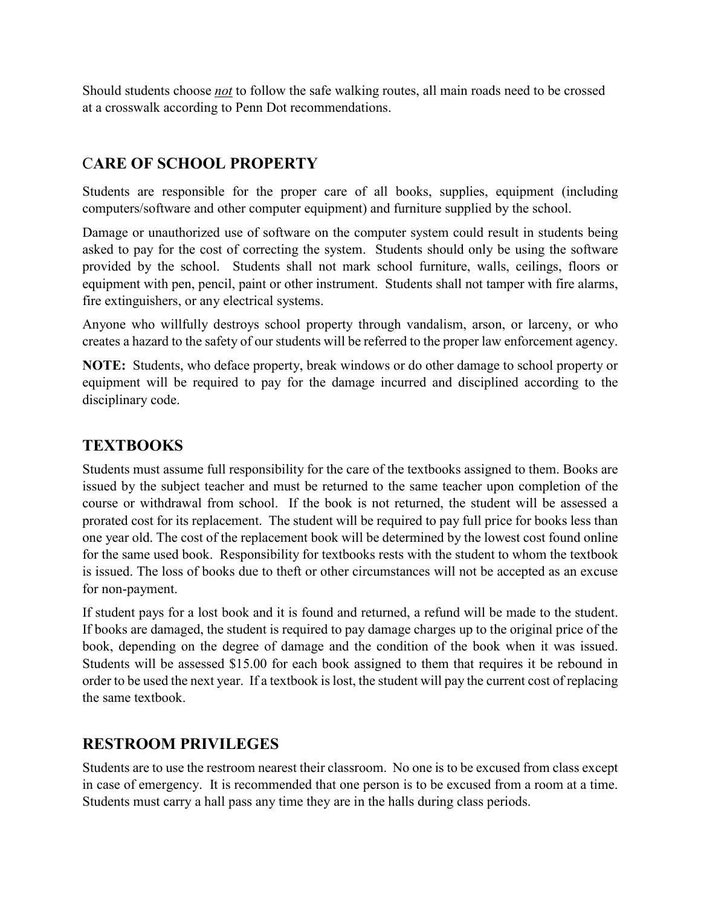Should students choose *not* to follow the safe walking routes, all main roads need to be crossed at a crosswalk according to Penn Dot recommendations.

#### C**ARE OF SCHOOL PROPERTY**

Students are responsible for the proper care of all books, supplies, equipment (including computers/software and other computer equipment) and furniture supplied by the school.

Damage or unauthorized use of software on the computer system could result in students being asked to pay for the cost of correcting the system. Students should only be using the software provided by the school. Students shall not mark school furniture, walls, ceilings, floors or equipment with pen, pencil, paint or other instrument. Students shall not tamper with fire alarms, fire extinguishers, or any electrical systems.

Anyone who willfully destroys school property through vandalism, arson, or larceny, or who creates a hazard to the safety of our students will be referred to the proper law enforcement agency.

**NOTE:** Students, who deface property, break windows or do other damage to school property or equipment will be required to pay for the damage incurred and disciplined according to the disciplinary code.

### **TEXTBOOKS**

Students must assume full responsibility for the care of the textbooks assigned to them. Books are issued by the subject teacher and must be returned to the same teacher upon completion of the course or withdrawal from school. If the book is not returned, the student will be assessed a prorated cost for its replacement. The student will be required to pay full price for books less than one year old. The cost of the replacement book will be determined by the lowest cost found online for the same used book. Responsibility for textbooks rests with the student to whom the textbook is issued. The loss of books due to theft or other circumstances will not be accepted as an excuse for non-payment.

If student pays for a lost book and it is found and returned, a refund will be made to the student. If books are damaged, the student is required to pay damage charges up to the original price of the book, depending on the degree of damage and the condition of the book when it was issued. Students will be assessed \$15.00 for each book assigned to them that requires it be rebound in order to be used the next year. If a textbook is lost, the student will pay the current cost of replacing the same textbook.

# **RESTROOM PRIVILEGES**

Students are to use the restroom nearest their classroom. No one is to be excused from class except in case of emergency. It is recommended that one person is to be excused from a room at a time. Students must carry a hall pass any time they are in the halls during class periods.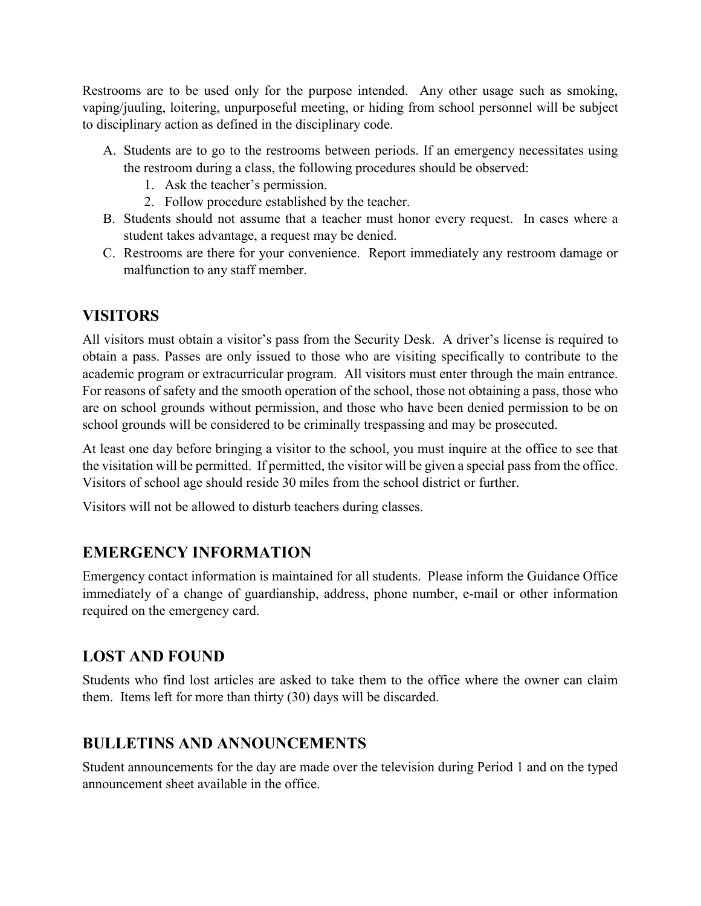Restrooms are to be used only for the purpose intended. Any other usage such as smoking, vaping/juuling, loitering, unpurposeful meeting, or hiding from school personnel will be subject to disciplinary action as defined in the disciplinary code.

- A. Students are to go to the restrooms between periods. If an emergency necessitates using the restroom during a class, the following procedures should be observed:
	- 1. Ask the teacher's permission.
	- 2. Follow procedure established by the teacher.
- B. Students should not assume that a teacher must honor every request. In cases where a student takes advantage, a request may be denied.
- C. Restrooms are there for your convenience. Report immediately any restroom damage or malfunction to any staff member.

# **VISITORS**

All visitors must obtain a visitor's pass from the Security Desk. A driver's license is required to obtain a pass. Passes are only issued to those who are visiting specifically to contribute to the academic program or extracurricular program. All visitors must enter through the main entrance. For reasons of safety and the smooth operation of the school, those not obtaining a pass, those who are on school grounds without permission, and those who have been denied permission to be on school grounds will be considered to be criminally trespassing and may be prosecuted.

At least one day before bringing a visitor to the school, you must inquire at the office to see that the visitation will be permitted. If permitted, the visitor will be given a special pass from the office. Visitors of school age should reside 30 miles from the school district or further.

Visitors will not be allowed to disturb teachers during classes.

# **EMERGENCY INFORMATION**

Emergency contact information is maintained for all students. Please inform the Guidance Office immediately of a change of guardianship, address, phone number, e-mail or other information required on the emergency card.

# **LOST AND FOUND**

Students who find lost articles are asked to take them to the office where the owner can claim them. Items left for more than thirty (30) days will be discarded.

# **BULLETINS AND ANNOUNCEMENTS**

Student announcements for the day are made over the television during Period 1 and on the typed announcement sheet available in the office.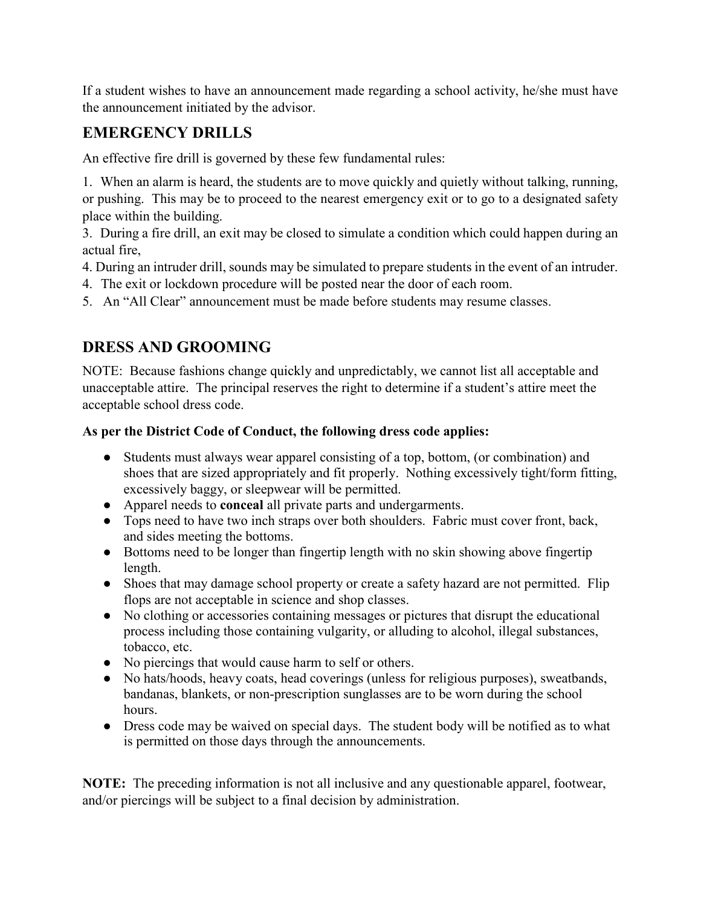If a student wishes to have an announcement made regarding a school activity, he/she must have the announcement initiated by the advisor.

# **EMERGENCY DRILLS**

An effective fire drill is governed by these few fundamental rules:

1. When an alarm is heard, the students are to move quickly and quietly without talking, running, or pushing. This may be to proceed to the nearest emergency exit or to go to a designated safety place within the building.

3. During a fire drill, an exit may be closed to simulate a condition which could happen during an actual fire,

4. During an intruder drill, sounds may be simulated to prepare students in the event of an intruder.

4. The exit or lockdown procedure will be posted near the door of each room.

5. An "All Clear" announcement must be made before students may resume classes.

# **DRESS AND GROOMING**

NOTE: Because fashions change quickly and unpredictably, we cannot list all acceptable and unacceptable attire. The principal reserves the right to determine if a student's attire meet the acceptable school dress code.

#### **As per the District Code of Conduct, the following dress code applies:**

- Students must always wear apparel consisting of a top, bottom, (or combination) and shoes that are sized appropriately and fit properly. Nothing excessively tight/form fitting, excessively baggy, or sleepwear will be permitted.
- Apparel needs to **conceal** all private parts and undergarments.
- Tops need to have two inch straps over both shoulders. Fabric must cover front, back, and sides meeting the bottoms.
- Bottoms need to be longer than fingertip length with no skin showing above fingertip length.
- Shoes that may damage school property or create a safety hazard are not permitted. Flip flops are not acceptable in science and shop classes.
- No clothing or accessories containing messages or pictures that disrupt the educational process including those containing vulgarity, or alluding to alcohol, illegal substances, tobacco, etc.
- No piercings that would cause harm to self or others.
- No hats/hoods, heavy coats, head coverings (unless for religious purposes), sweatbands, bandanas, blankets, or non-prescription sunglasses are to be worn during the school hours.
- Dress code may be waived on special days. The student body will be notified as to what is permitted on those days through the announcements.

**NOTE:** The preceding information is not all inclusive and any questionable apparel, footwear, and/or piercings will be subject to a final decision by administration.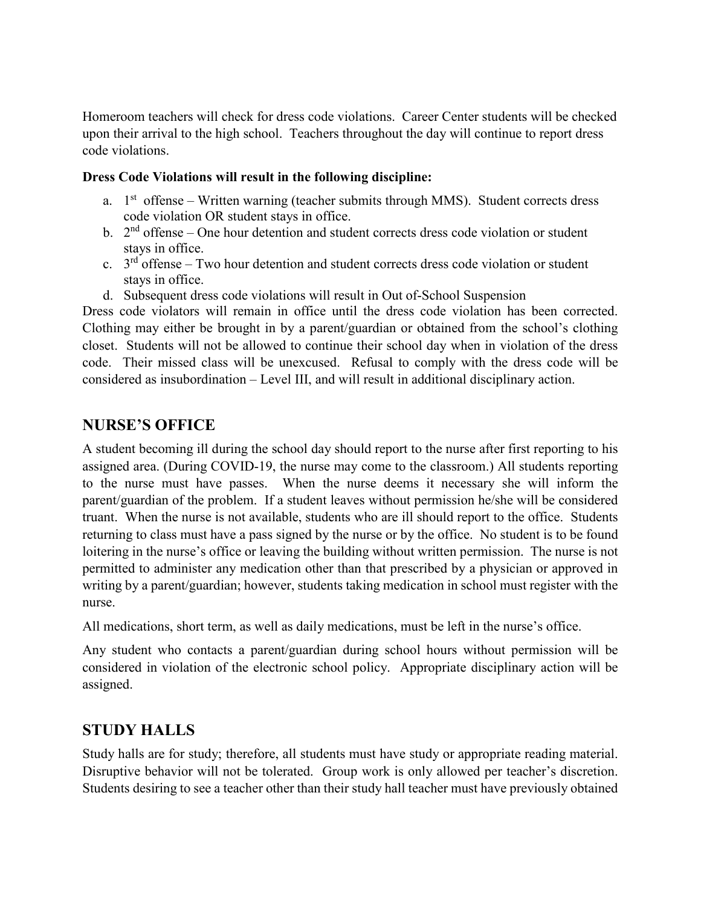Homeroom teachers will check for dress code violations. Career Center students will be checked upon their arrival to the high school. Teachers throughout the day will continue to report dress code violations.

#### **Dress Code Violations will result in the following discipline:**

- a.  $1<sup>st</sup>$  offense Written warning (teacher submits through MMS). Student corrects dress code violation OR student stays in office.
- b.  $2<sup>nd</sup>$  offense One hour detention and student corrects dress code violation or student stays in office.
- c.  $3<sup>rd</sup>$  offense Two hour detention and student corrects dress code violation or student stays in office.
- d. Subsequent dress code violations will result in Out of-School Suspension

Dress code violators will remain in office until the dress code violation has been corrected. Clothing may either be brought in by a parent/guardian or obtained from the school's clothing closet. Students will not be allowed to continue their school day when in violation of the dress code. Their missed class will be unexcused. Refusal to comply with the dress code will be considered as insubordination – Level III, and will result in additional disciplinary action.

### **NURSE'S OFFICE**

A student becoming ill during the school day should report to the nurse after first reporting to his assigned area. (During COVID-19, the nurse may come to the classroom.) All students reporting to the nurse must have passes. When the nurse deems it necessary she will inform the parent/guardian of the problem. If a student leaves without permission he/she will be considered truant. When the nurse is not available, students who are ill should report to the office. Students returning to class must have a pass signed by the nurse or by the office. No student is to be found loitering in the nurse's office or leaving the building without written permission. The nurse is not permitted to administer any medication other than that prescribed by a physician or approved in writing by a parent/guardian; however, students taking medication in school must register with the nurse.

All medications, short term, as well as daily medications, must be left in the nurse's office.

Any student who contacts a parent/guardian during school hours without permission will be considered in violation of the electronic school policy. Appropriate disciplinary action will be assigned.

#### **STUDY HALLS**

Study halls are for study; therefore, all students must have study or appropriate reading material. Disruptive behavior will not be tolerated. Group work is only allowed per teacher's discretion. Students desiring to see a teacher other than their study hall teacher must have previously obtained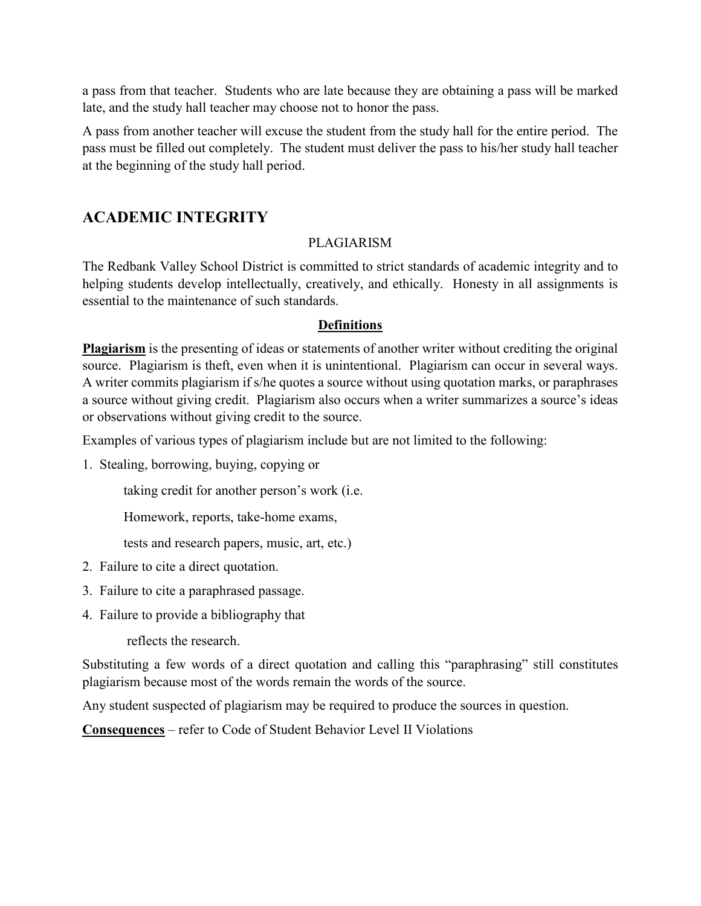a pass from that teacher. Students who are late because they are obtaining a pass will be marked late, and the study hall teacher may choose not to honor the pass.

A pass from another teacher will excuse the student from the study hall for the entire period. The pass must be filled out completely. The student must deliver the pass to his/her study hall teacher at the beginning of the study hall period.

### **ACADEMIC INTEGRITY**

#### PLAGIARISM

The Redbank Valley School District is committed to strict standards of academic integrity and to helping students develop intellectually, creatively, and ethically. Honesty in all assignments is essential to the maintenance of such standards.

#### **Definitions**

**Plagiarism** is the presenting of ideas or statements of another writer without crediting the original source. Plagiarism is theft, even when it is unintentional. Plagiarism can occur in several ways. A writer commits plagiarism if s/he quotes a source without using quotation marks, or paraphrases a source without giving credit. Plagiarism also occurs when a writer summarizes a source's ideas or observations without giving credit to the source.

Examples of various types of plagiarism include but are not limited to the following:

1. Stealing, borrowing, buying, copying or

taking credit for another person's work (i.e.

Homework, reports, take-home exams,

tests and research papers, music, art, etc.)

- 2. Failure to cite a direct quotation.
- 3. Failure to cite a paraphrased passage.
- 4. Failure to provide a bibliography that

reflects the research.

Substituting a few words of a direct quotation and calling this "paraphrasing" still constitutes plagiarism because most of the words remain the words of the source.

Any student suspected of plagiarism may be required to produce the sources in question.

**Consequences** – refer to Code of Student Behavior Level II Violations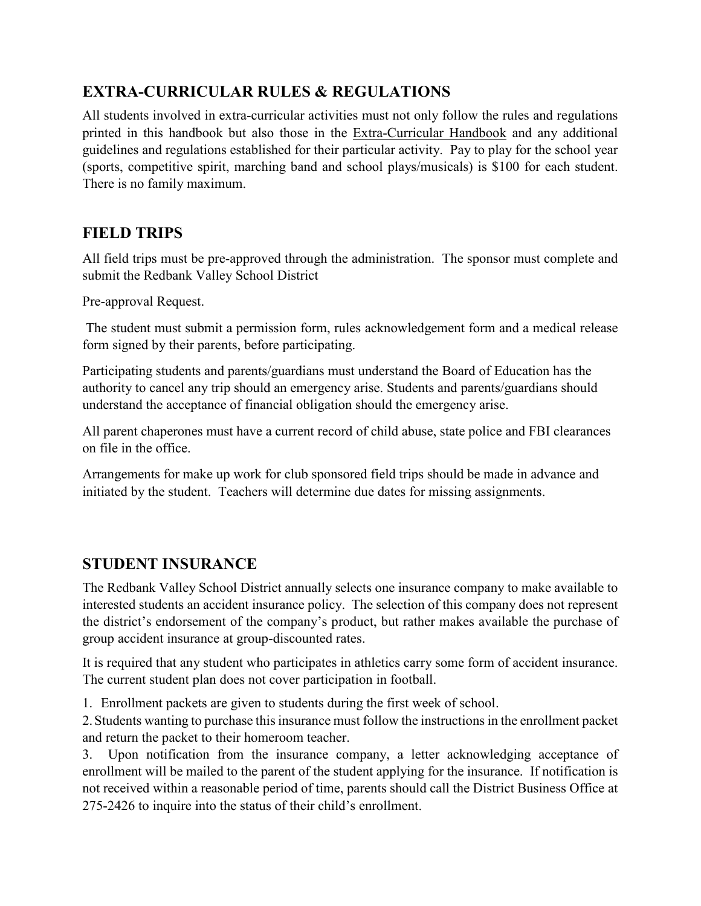# **EXTRA-CURRICULAR RULES & REGULATIONS**

All students involved in extra-curricular activities must not only follow the rules and regulations printed in this handbook but also those in the Extra-Curricular Handbook and any additional guidelines and regulations established for their particular activity. Pay to play for the school year (sports, competitive spirit, marching band and school plays/musicals) is \$100 for each student. There is no family maximum.

# **FIELD TRIPS**

All field trips must be pre-approved through the administration. The sponsor must complete and submit the Redbank Valley School District

Pre-approval Request.

The student must submit a permission form, rules acknowledgement form and a medical release form signed by their parents, before participating.

Participating students and parents/guardians must understand the Board of Education has the authority to cancel any trip should an emergency arise. Students and parents/guardians should understand the acceptance of financial obligation should the emergency arise.

All parent chaperones must have a current record of child abuse, state police and FBI clearances on file in the office.

Arrangements for make up work for club sponsored field trips should be made in advance and initiated by the student. Teachers will determine due dates for missing assignments.

#### **STUDENT INSURANCE**

The Redbank Valley School District annually selects one insurance company to make available to interested students an accident insurance policy. The selection of this company does not represent the district's endorsement of the company's product, but rather makes available the purchase of group accident insurance at group-discounted rates.

It is required that any student who participates in athletics carry some form of accident insurance. The current student plan does not cover participation in football.

1. Enrollment packets are given to students during the first week of school.

2.Students wanting to purchase this insurance must follow the instructions in the enrollment packet and return the packet to their homeroom teacher.

3. Upon notification from the insurance company, a letter acknowledging acceptance of enrollment will be mailed to the parent of the student applying for the insurance. If notification is not received within a reasonable period of time, parents should call the District Business Office at 275-2426 to inquire into the status of their child's enrollment.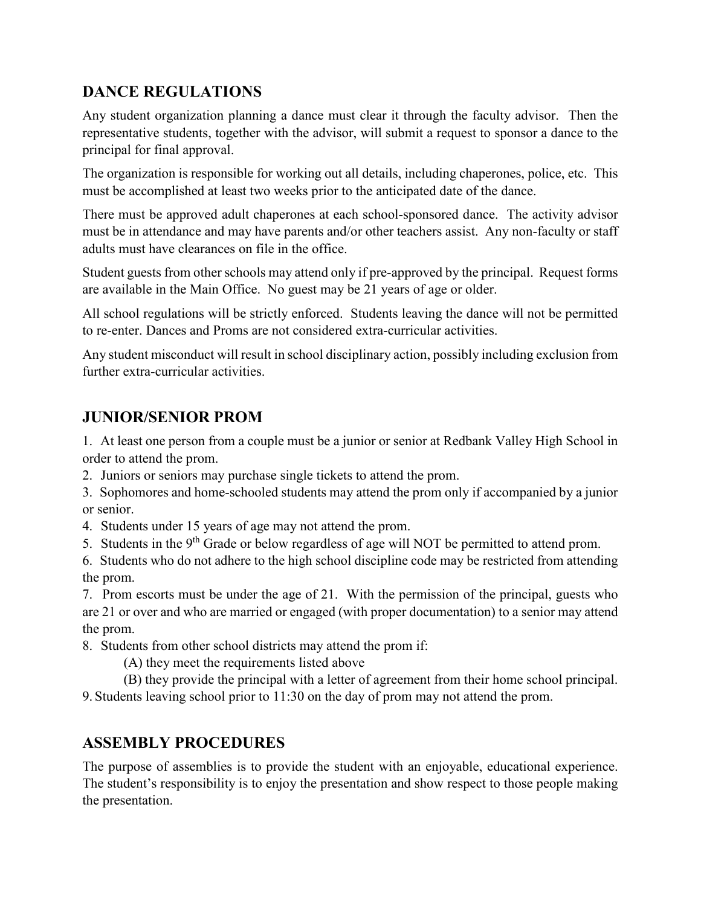# **DANCE REGULATIONS**

Any student organization planning a dance must clear it through the faculty advisor. Then the representative students, together with the advisor, will submit a request to sponsor a dance to the principal for final approval.

The organization is responsible for working out all details, including chaperones, police, etc. This must be accomplished at least two weeks prior to the anticipated date of the dance.

There must be approved adult chaperones at each school-sponsored dance. The activity advisor must be in attendance and may have parents and/or other teachers assist. Any non-faculty or staff adults must have clearances on file in the office.

Student guests from other schools may attend only if pre-approved by the principal. Request forms are available in the Main Office. No guest may be 21 years of age or older.

All school regulations will be strictly enforced. Students leaving the dance will not be permitted to re-enter. Dances and Proms are not considered extra-curricular activities.

Any student misconduct will result in school disciplinary action, possibly including exclusion from further extra-curricular activities.

# **JUNIOR/SENIOR PROM**

1. At least one person from a couple must be a junior or senior at Redbank Valley High School in order to attend the prom.

- 2. Juniors or seniors may purchase single tickets to attend the prom.
- 3. Sophomores and home-schooled students may attend the prom only if accompanied by a junior or senior.
- 4. Students under 15 years of age may not attend the prom.
- 5. Students in the 9<sup>th</sup> Grade or below regardless of age will NOT be permitted to attend prom.
- 6. Students who do not adhere to the high school discipline code may be restricted from attending the prom.

7. Prom escorts must be under the age of 21. With the permission of the principal, guests who are 21 or over and who are married or engaged (with proper documentation) to a senior may attend the prom.

8. Students from other school districts may attend the prom if:

(A) they meet the requirements listed above

(B) they provide the principal with a letter of agreement from their home school principal.

9. Students leaving school prior to 11:30 on the day of prom may not attend the prom.

# **ASSEMBLY PROCEDURES**

The purpose of assemblies is to provide the student with an enjoyable, educational experience. The student's responsibility is to enjoy the presentation and show respect to those people making the presentation.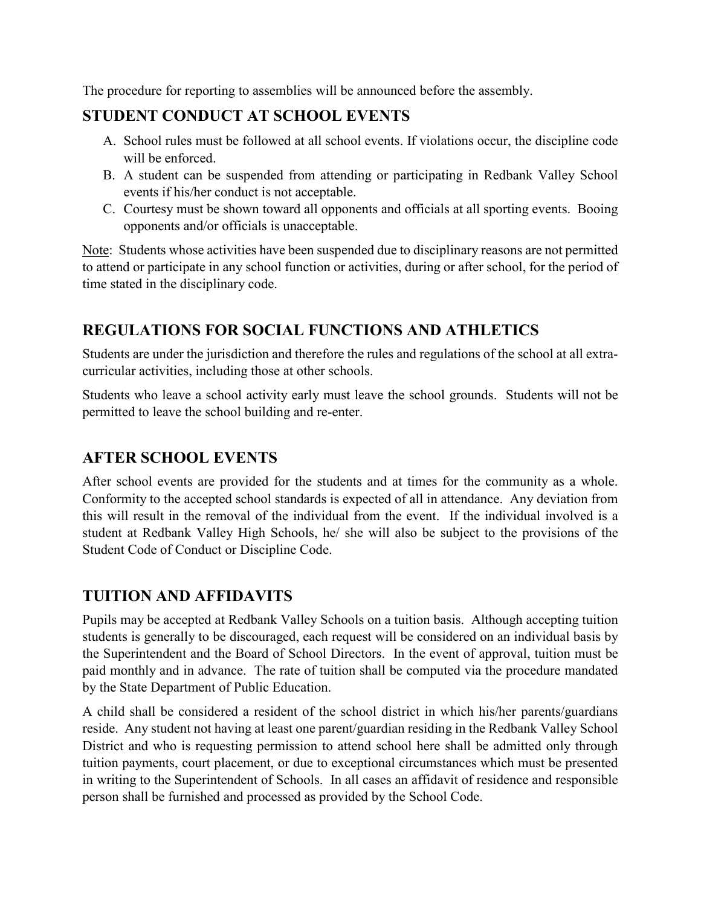The procedure for reporting to assemblies will be announced before the assembly.

# **STUDENT CONDUCT AT SCHOOL EVENTS**

- A. School rules must be followed at all school events. If violations occur, the discipline code will be enforced.
- B. A student can be suspended from attending or participating in Redbank Valley School events if his/her conduct is not acceptable.
- C. Courtesy must be shown toward all opponents and officials at all sporting events. Booing opponents and/or officials is unacceptable.

Note: Students whose activities have been suspended due to disciplinary reasons are not permitted to attend or participate in any school function or activities, during or after school, for the period of time stated in the disciplinary code.

# **REGULATIONS FOR SOCIAL FUNCTIONS AND ATHLETICS**

Students are under the jurisdiction and therefore the rules and regulations of the school at all extracurricular activities, including those at other schools.

Students who leave a school activity early must leave the school grounds. Students will not be permitted to leave the school building and re-enter.

# **AFTER SCHOOL EVENTS**

After school events are provided for the students and at times for the community as a whole. Conformity to the accepted school standards is expected of all in attendance. Any deviation from this will result in the removal of the individual from the event. If the individual involved is a student at Redbank Valley High Schools, he/ she will also be subject to the provisions of the Student Code of Conduct or Discipline Code.

# **TUITION AND AFFIDAVITS**

Pupils may be accepted at Redbank Valley Schools on a tuition basis. Although accepting tuition students is generally to be discouraged, each request will be considered on an individual basis by the Superintendent and the Board of School Directors. In the event of approval, tuition must be paid monthly and in advance. The rate of tuition shall be computed via the procedure mandated by the State Department of Public Education.

A child shall be considered a resident of the school district in which his/her parents/guardians reside. Any student not having at least one parent/guardian residing in the Redbank Valley School District and who is requesting permission to attend school here shall be admitted only through tuition payments, court placement, or due to exceptional circumstances which must be presented in writing to the Superintendent of Schools. In all cases an affidavit of residence and responsible person shall be furnished and processed as provided by the School Code.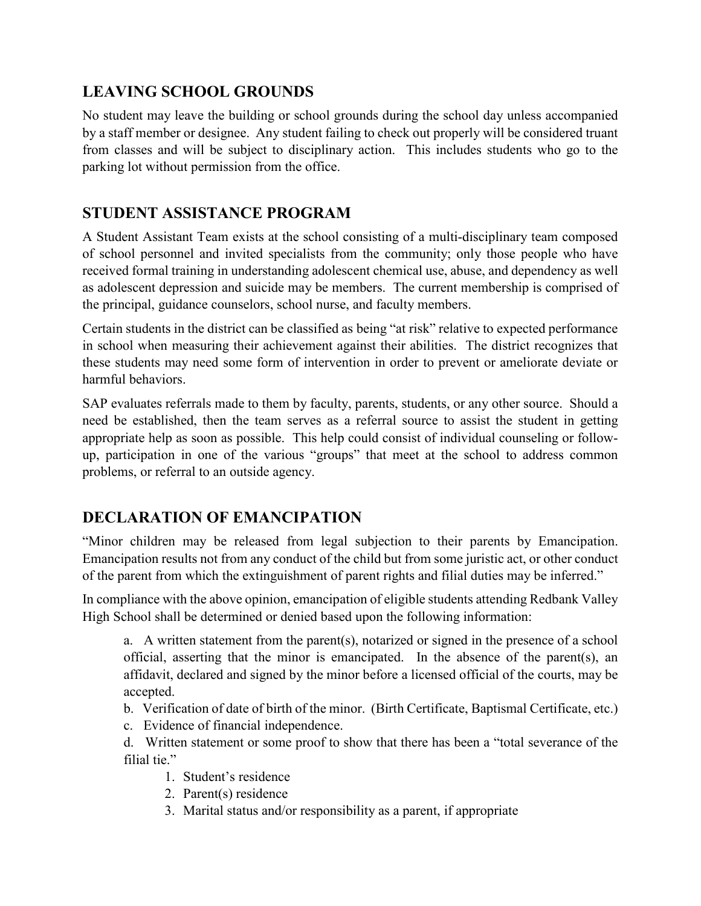# **LEAVING SCHOOL GROUNDS**

No student may leave the building or school grounds during the school day unless accompanied by a staff member or designee. Any student failing to check out properly will be considered truant from classes and will be subject to disciplinary action. This includes students who go to the parking lot without permission from the office.

# **STUDENT ASSISTANCE PROGRAM**

A Student Assistant Team exists at the school consisting of a multi-disciplinary team composed of school personnel and invited specialists from the community; only those people who have received formal training in understanding adolescent chemical use, abuse, and dependency as well as adolescent depression and suicide may be members. The current membership is comprised of the principal, guidance counselors, school nurse, and faculty members.

Certain students in the district can be classified as being "at risk" relative to expected performance in school when measuring their achievement against their abilities. The district recognizes that these students may need some form of intervention in order to prevent or ameliorate deviate or harmful behaviors.

SAP evaluates referrals made to them by faculty, parents, students, or any other source. Should a need be established, then the team serves as a referral source to assist the student in getting appropriate help as soon as possible. This help could consist of individual counseling or followup, participation in one of the various "groups" that meet at the school to address common problems, or referral to an outside agency.

# **DECLARATION OF EMANCIPATION**

"Minor children may be released from legal subjection to their parents by Emancipation. Emancipation results not from any conduct of the child but from some juristic act, or other conduct of the parent from which the extinguishment of parent rights and filial duties may be inferred."

In compliance with the above opinion, emancipation of eligible students attending Redbank Valley High School shall be determined or denied based upon the following information:

a. A written statement from the parent(s), notarized or signed in the presence of a school official, asserting that the minor is emancipated. In the absence of the parent(s), an affidavit, declared and signed by the minor before a licensed official of the courts, may be accepted.

- b. Verification of date of birth of the minor. (Birth Certificate, Baptismal Certificate, etc.)
- c. Evidence of financial independence.

d. Written statement or some proof to show that there has been a "total severance of the filial tie."

- 1. Student's residence
- 2. Parent(s) residence
- 3. Marital status and/or responsibility as a parent, if appropriate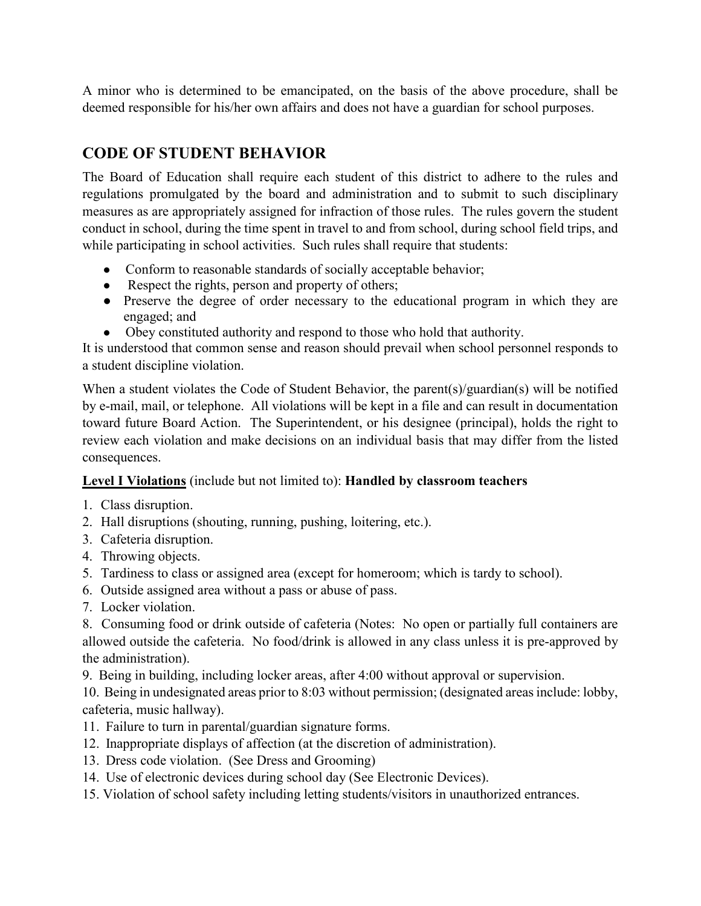A minor who is determined to be emancipated, on the basis of the above procedure, shall be deemed responsible for his/her own affairs and does not have a guardian for school purposes.

# **CODE OF STUDENT BEHAVIOR**

The Board of Education shall require each student of this district to adhere to the rules and regulations promulgated by the board and administration and to submit to such disciplinary measures as are appropriately assigned for infraction of those rules. The rules govern the student conduct in school, during the time spent in travel to and from school, during school field trips, and while participating in school activities. Such rules shall require that students:

- Conform to reasonable standards of socially acceptable behavior;
- Respect the rights, person and property of others;
- Preserve the degree of order necessary to the educational program in which they are engaged; and
- Obey constituted authority and respond to those who hold that authority.

It is understood that common sense and reason should prevail when school personnel responds to a student discipline violation.

When a student violates the Code of Student Behavior, the parent(s)/guardian(s) will be notified by e-mail, mail, or telephone. All violations will be kept in a file and can result in documentation toward future Board Action. The Superintendent, or his designee (principal), holds the right to review each violation and make decisions on an individual basis that may differ from the listed consequences.

#### **Level I Violations** (include but not limited to): **Handled by classroom teachers**

- 1. Class disruption.
- 2. Hall disruptions (shouting, running, pushing, loitering, etc.).
- 3. Cafeteria disruption.
- 4. Throwing objects.
- 5. Tardiness to class or assigned area (except for homeroom; which is tardy to school).
- 6. Outside assigned area without a pass or abuse of pass.
- 7. Locker violation.

8. Consuming food or drink outside of cafeteria (Notes: No open or partially full containers are allowed outside the cafeteria. No food/drink is allowed in any class unless it is pre-approved by the administration).

9. Being in building, including locker areas, after 4:00 without approval or supervision.

10. Being in undesignated areas prior to 8:03 without permission; (designated areas include: lobby, cafeteria, music hallway).

- 11. Failure to turn in parental/guardian signature forms.
- 12. Inappropriate displays of affection (at the discretion of administration).
- 13. Dress code violation. (See Dress and Grooming)
- 14. Use of electronic devices during school day (See Electronic Devices).
- 15. Violation of school safety including letting students/visitors in unauthorized entrances.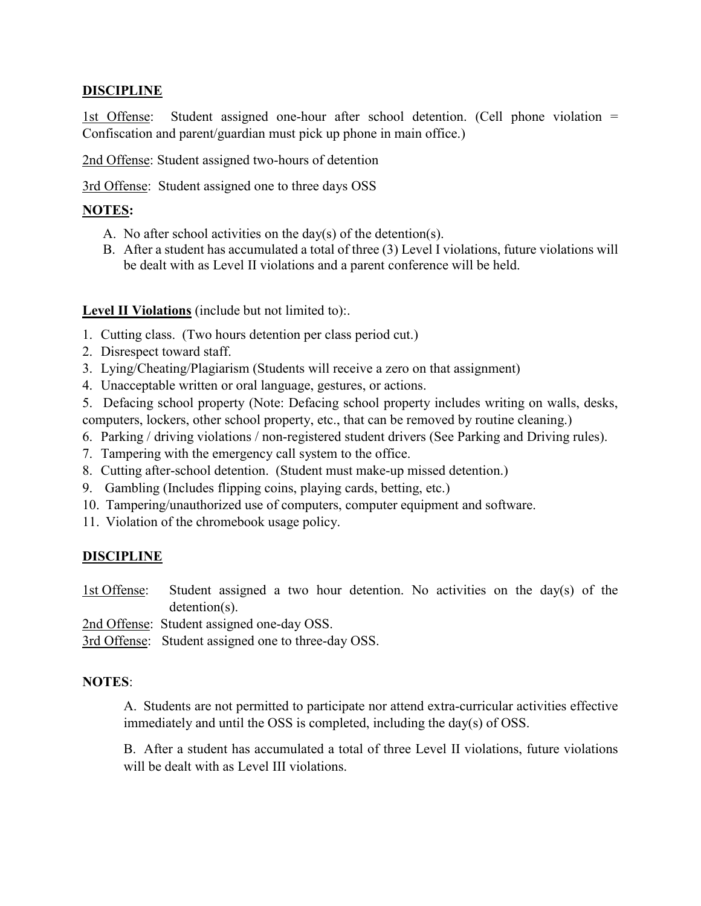#### **DISCIPLINE**

1st Offense: Student assigned one-hour after school detention. (Cell phone violation = Confiscation and parent/guardian must pick up phone in main office.)

2nd Offense: Student assigned two-hours of detention

3rd Offense: Student assigned one to three days OSS

#### **NOTES:**

- A. No after school activities on the day(s) of the detention(s).
- B. After a student has accumulated a total of three (3) Level I violations, future violations will be dealt with as Level II violations and a parent conference will be held.

Level II Violations (include but not limited to):.

- 1. Cutting class. (Two hours detention per class period cut.)
- 2. Disrespect toward staff.
- 3. Lying/Cheating/Plagiarism (Students will receive a zero on that assignment)
- 4. Unacceptable written or oral language, gestures, or actions.
- 5. Defacing school property (Note: Defacing school property includes writing on walls, desks, computers, lockers, other school property, etc., that can be removed by routine cleaning.)
- 6. Parking / driving violations / non-registered student drivers (See Parking and Driving rules).
- 7. Tampering with the emergency call system to the office.
- 8. Cutting after-school detention. (Student must make-up missed detention.)
- 9. Gambling (Includes flipping coins, playing cards, betting, etc.)
- 10. Tampering/unauthorized use of computers, computer equipment and software.
- 11. Violation of the chromebook usage policy.

#### **DISCIPLINE**

1st Offense: Student assigned a two hour detention. No activities on the day(s) of the detention(s).

2nd Offense: Student assigned one-day OSS.

3rd Offense: Student assigned one to three-day OSS.

#### **NOTES**:

A. Students are not permitted to participate nor attend extra-curricular activities effective immediately and until the OSS is completed, including the day(s) of OSS.

B. After a student has accumulated a total of three Level II violations, future violations will be dealt with as Level III violations.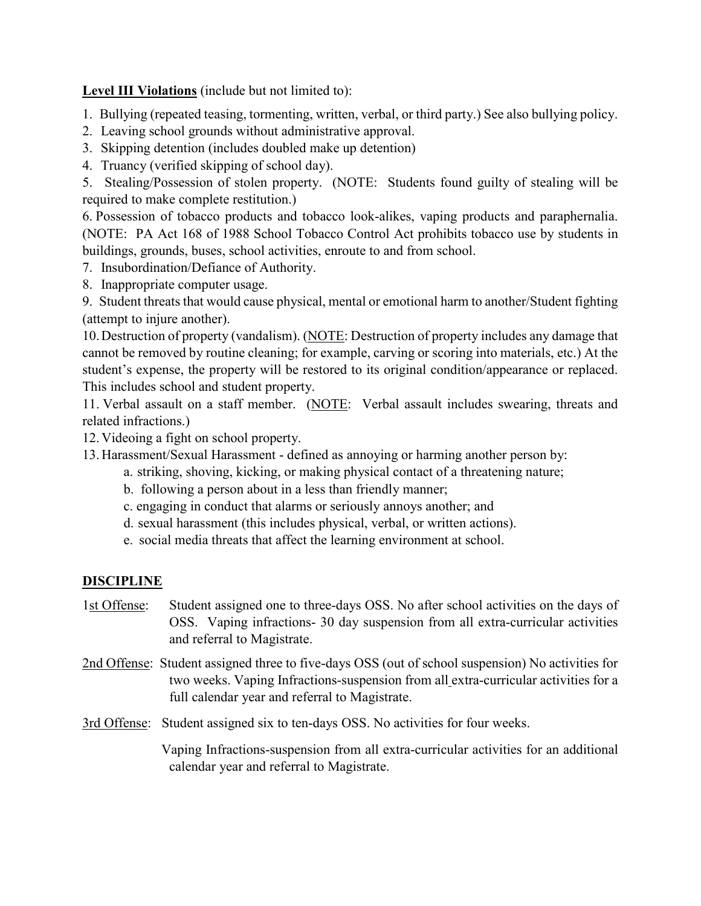**Level III Violations** (include but not limited to):

- 1. Bullying (repeated teasing, tormenting, written, verbal, or third party.) See also bullying policy.
- 2. Leaving school grounds without administrative approval.
- 3. Skipping detention (includes doubled make up detention)
- 4. Truancy (verified skipping of school day).

5. Stealing/Possession of stolen property. (NOTE: Students found guilty of stealing will be required to make complete restitution.)

6. Possession of tobacco products and tobacco look-alikes, vaping products and paraphernalia. (NOTE: PA Act 168 of 1988 School Tobacco Control Act prohibits tobacco use by students in buildings, grounds, buses, school activities, enroute to and from school.

- 7. Insubordination/Defiance of Authority.
- 8. Inappropriate computer usage.

9. Student threats that would cause physical, mental or emotional harm to another/Student fighting (attempt to injure another).

10.Destruction of property (vandalism). (NOTE: Destruction of property includes any damage that cannot be removed by routine cleaning; for example, carving or scoring into materials, etc.) At the student's expense, the property will be restored to its original condition/appearance or replaced. This includes school and student property.

11. Verbal assault on a staff member. (NOTE: Verbal assault includes swearing, threats and related infractions.)

12. Videoing a fight on school property.

13. Harassment/Sexual Harassment - defined as annoying or harming another person by:

- a. striking, shoving, kicking, or making physical contact of a threatening nature;
- b. following a person about in a less than friendly manner;
- c. engaging in conduct that alarms or seriously annoys another; and
- d. sexual harassment (this includes physical, verbal, or written actions).
- e. social media threats that affect the learning environment at school.

#### **DISCIPLINE**

- 1st Offense: Student assigned one to three-days OSS. No after school activities on the days of OSS. Vaping infractions- 30 day suspension from all extra-curricular activities and referral to Magistrate.
- 2nd Offense: Student assigned three to five-days OSS (out of school suspension) No activities for two weeks. Vaping Infractions-suspension from all extra-curricular activities for a full calendar year and referral to Magistrate.
- 3rd Offense: Student assigned six to ten-days OSS. No activities for four weeks.

Vaping Infractions-suspension from all extra-curricular activities for an additional calendar year and referral to Magistrate.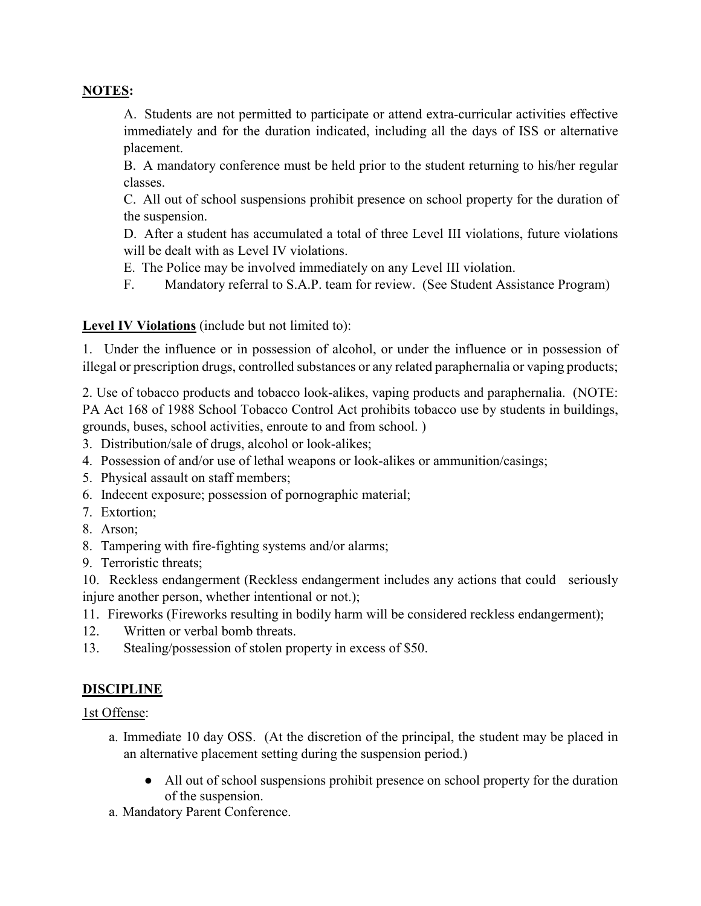#### **NOTES:**

A. Students are not permitted to participate or attend extra-curricular activities effective immediately and for the duration indicated, including all the days of ISS or alternative placement.

B. A mandatory conference must be held prior to the student returning to his/her regular classes.

C. All out of school suspensions prohibit presence on school property for the duration of the suspension.

D. After a student has accumulated a total of three Level III violations, future violations will be dealt with as Level IV violations.

E. The Police may be involved immediately on any Level III violation.

F. Mandatory referral to S.A.P. team for review. (See Student Assistance Program)

#### **Level IV Violations** (include but not limited to):

1. Under the influence or in possession of alcohol, or under the influence or in possession of illegal or prescription drugs, controlled substances or any related paraphernalia or vaping products;

2. Use of tobacco products and tobacco look-alikes, vaping products and paraphernalia. (NOTE: PA Act 168 of 1988 School Tobacco Control Act prohibits tobacco use by students in buildings, grounds, buses, school activities, enroute to and from school. )

- 3. Distribution/sale of drugs, alcohol or look-alikes;
- 4. Possession of and/or use of lethal weapons or look-alikes or ammunition/casings;
- 5. Physical assault on staff members;
- 6. Indecent exposure; possession of pornographic material;
- 7. Extortion;
- 8. Arson;
- 8. Tampering with fire-fighting systems and/or alarms;
- 9. Terroristic threats;

10. Reckless endangerment (Reckless endangerment includes any actions that could seriously injure another person, whether intentional or not.);

- 11. Fireworks (Fireworks resulting in bodily harm will be considered reckless endangerment);
- 12. Written or verbal bomb threats.
- 13. Stealing/possession of stolen property in excess of \$50.

#### **DISCIPLINE**

1st Offense:

- a. Immediate 10 day OSS. (At the discretion of the principal, the student may be placed in an alternative placement setting during the suspension period.)
	- All out of school suspensions prohibit presence on school property for the duration of the suspension.
- a. Mandatory Parent Conference.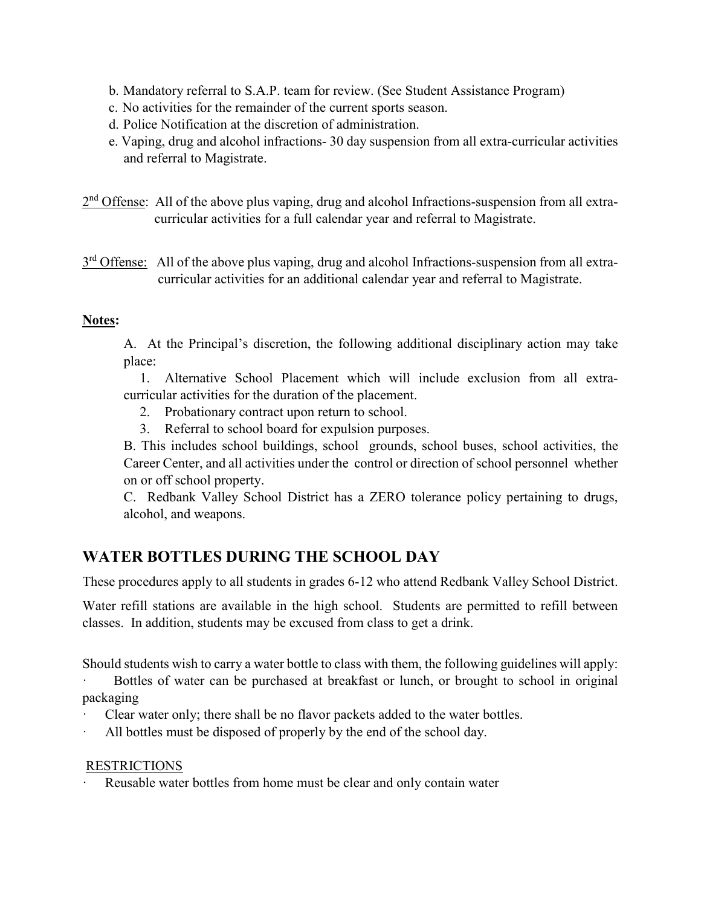- b. Mandatory referral to S.A.P. team for review. (See Student Assistance Program)
- c. No activities for the remainder of the current sports season.
- d. Police Notification at the discretion of administration.
- e. Vaping, drug and alcohol infractions- 30 day suspension from all extra-curricular activities and referral to Magistrate.
- $2<sup>nd</sup>$  Offense: All of the above plus vaping, drug and alcohol Infractions-suspension from all extracurricular activities for a full calendar year and referral to Magistrate.
- $3<sup>rd</sup>$  Offense: All of the above plus vaping, drug and alcohol Infractions-suspension from all extracurricular activities for an additional calendar year and referral to Magistrate.

#### **Notes:**

A. At the Principal's discretion, the following additional disciplinary action may take place:

 1. Alternative School Placement which will include exclusion from all extracurricular activities for the duration of the placement.

- 2. Probationary contract upon return to school.
- 3. Referral to school board for expulsion purposes.

B. This includes school buildings, school grounds, school buses, school activities, the Career Center, and all activities under the control or direction of school personnel whether on or off school property.

C. Redbank Valley School District has a ZERO tolerance policy pertaining to drugs, alcohol, and weapons.

# **WATER BOTTLES DURING THE SCHOOL DAY**

These procedures apply to all students in grades 6-12 who attend Redbank Valley School District.

Water refill stations are available in the high school. Students are permitted to refill between classes. In addition, students may be excused from class to get a drink.

Should students wish to carry a water bottle to class with them, the following guidelines will apply:

Bottles of water can be purchased at breakfast or lunch, or brought to school in original packaging

- Clear water only; there shall be no flavor packets added to the water bottles.
- All bottles must be disposed of properly by the end of the school day.

#### RESTRICTIONS

Reusable water bottles from home must be clear and only contain water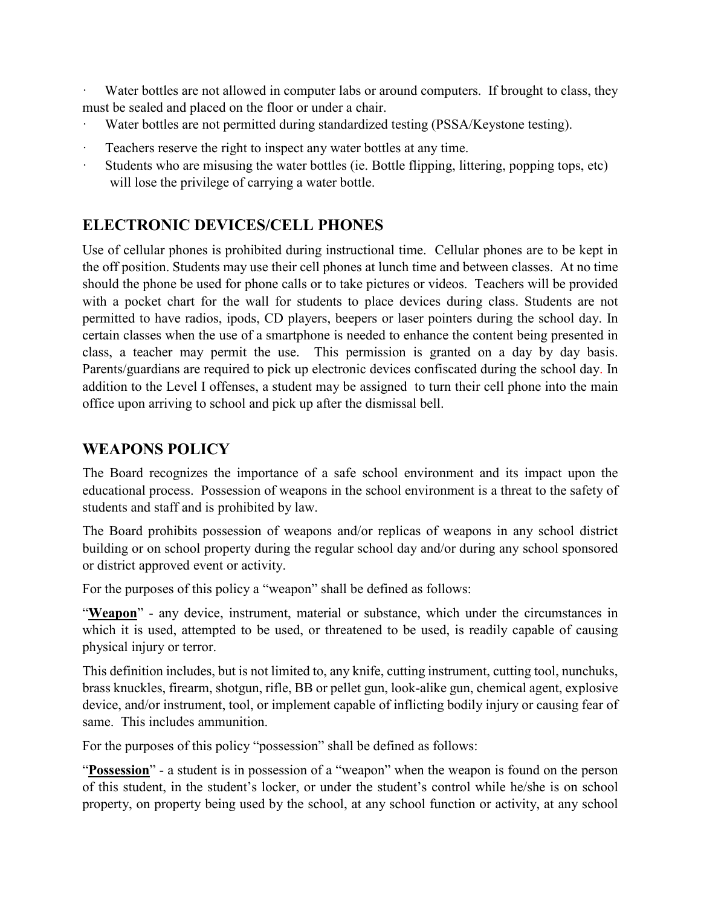Water bottles are not allowed in computer labs or around computers. If brought to class, they must be sealed and placed on the floor or under a chair.

- Water bottles are not permitted during standardized testing (PSSA/Keystone testing).
- Teachers reserve the right to inspect any water bottles at any time.
- Students who are misusing the water bottles (ie. Bottle flipping, littering, popping tops, etc) will lose the privilege of carrying a water bottle.

# **ELECTRONIC DEVICES/CELL PHONES**

Use of cellular phones is prohibited during instructional time. Cellular phones are to be kept in the off position. Students may use their cell phones at lunch time and between classes. At no time should the phone be used for phone calls or to take pictures or videos. Teachers will be provided with a pocket chart for the wall for students to place devices during class. Students are not permitted to have radios, ipods, CD players, beepers or laser pointers during the school day. In certain classes when the use of a smartphone is needed to enhance the content being presented in class, a teacher may permit the use. This permission is granted on a day by day basis. Parents/guardians are required to pick up electronic devices confiscated during the school day. In addition to the Level I offenses, a student may be assigned to turn their cell phone into the main office upon arriving to school and pick up after the dismissal bell.

#### **WEAPONS POLICY**

The Board recognizes the importance of a safe school environment and its impact upon the educational process. Possession of weapons in the school environment is a threat to the safety of students and staff and is prohibited by law.

The Board prohibits possession of weapons and/or replicas of weapons in any school district building or on school property during the regular school day and/or during any school sponsored or district approved event or activity.

For the purposes of this policy a "weapon" shall be defined as follows:

"Weapon" - any device, instrument, material or substance, which under the circumstances in which it is used, attempted to be used, or threatened to be used, is readily capable of causing physical injury or terror.

This definition includes, but is not limited to, any knife, cutting instrument, cutting tool, nunchuks, brass knuckles, firearm, shotgun, rifle, BB or pellet gun, look-alike gun, chemical agent, explosive device, and/or instrument, tool, or implement capable of inflicting bodily injury or causing fear of same. This includes ammunition.

For the purposes of this policy "possession" shall be defined as follows:

"**Possession**" - a student is in possession of a "weapon" when the weapon is found on the person of this student, in the student's locker, or under the student's control while he/she is on school property, on property being used by the school, at any school function or activity, at any school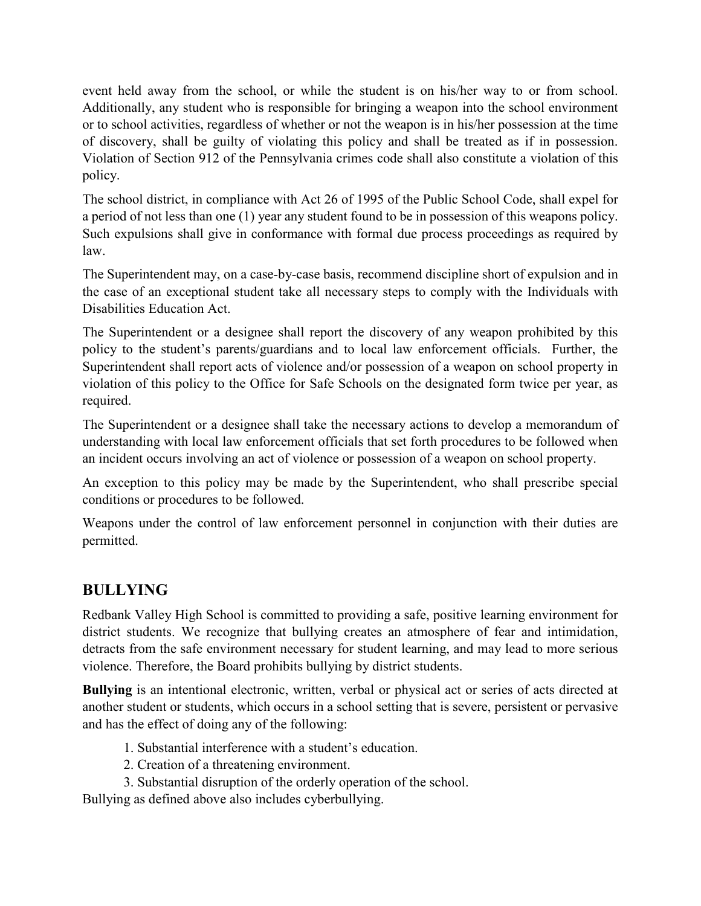event held away from the school, or while the student is on his/her way to or from school. Additionally, any student who is responsible for bringing a weapon into the school environment or to school activities, regardless of whether or not the weapon is in his/her possession at the time of discovery, shall be guilty of violating this policy and shall be treated as if in possession. Violation of Section 912 of the Pennsylvania crimes code shall also constitute a violation of this policy.

The school district, in compliance with Act 26 of 1995 of the Public School Code, shall expel for a period of not less than one (1) year any student found to be in possession of this weapons policy. Such expulsions shall give in conformance with formal due process proceedings as required by law.

The Superintendent may, on a case-by-case basis, recommend discipline short of expulsion and in the case of an exceptional student take all necessary steps to comply with the Individuals with Disabilities Education Act.

The Superintendent or a designee shall report the discovery of any weapon prohibited by this policy to the student's parents/guardians and to local law enforcement officials. Further, the Superintendent shall report acts of violence and/or possession of a weapon on school property in violation of this policy to the Office for Safe Schools on the designated form twice per year, as required.

The Superintendent or a designee shall take the necessary actions to develop a memorandum of understanding with local law enforcement officials that set forth procedures to be followed when an incident occurs involving an act of violence or possession of a weapon on school property.

An exception to this policy may be made by the Superintendent, who shall prescribe special conditions or procedures to be followed.

Weapons under the control of law enforcement personnel in conjunction with their duties are permitted.

# **BULLYING**

Redbank Valley High School is committed to providing a safe, positive learning environment for district students. We recognize that bullying creates an atmosphere of fear and intimidation, detracts from the safe environment necessary for student learning, and may lead to more serious violence. Therefore, the Board prohibits bullying by district students.

**Bullying** is an intentional electronic, written, verbal or physical act or series of acts directed at another student or students, which occurs in a school setting that is severe, persistent or pervasive and has the effect of doing any of the following:

- 1. Substantial interference with a student's education.
- 2. Creation of a threatening environment.
- 3. Substantial disruption of the orderly operation of the school.

Bullying as defined above also includes cyberbullying.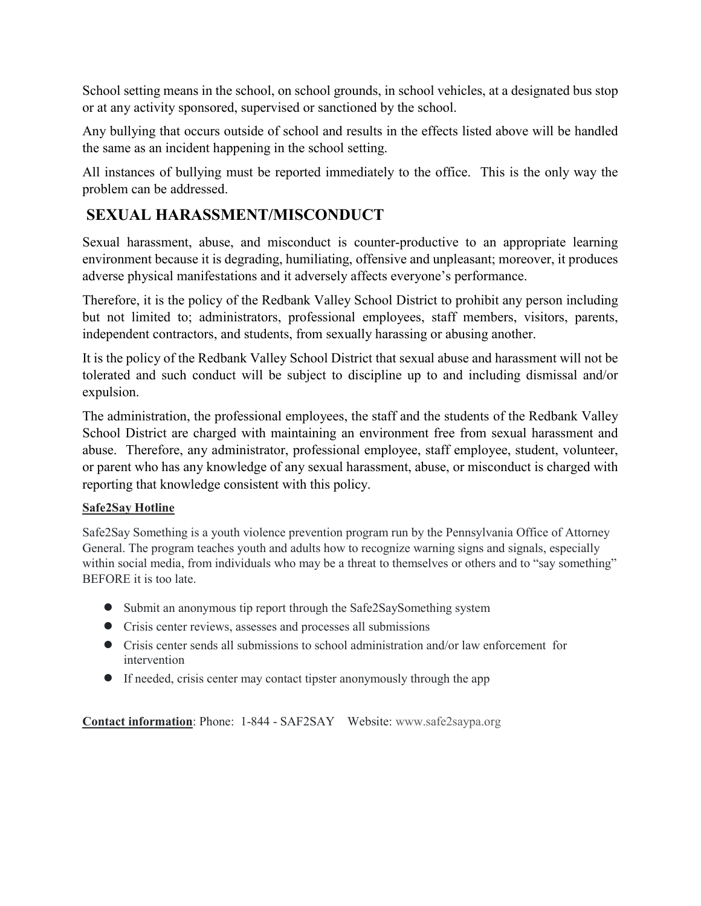School setting means in the school, on school grounds, in school vehicles, at a designated bus stop or at any activity sponsored, supervised or sanctioned by the school.

Any bullying that occurs outside of school and results in the effects listed above will be handled the same as an incident happening in the school setting.

All instances of bullying must be reported immediately to the office. This is the only way the problem can be addressed.

# **SEXUAL HARASSMENT/MISCONDUCT**

Sexual harassment, abuse, and misconduct is counter-productive to an appropriate learning environment because it is degrading, humiliating, offensive and unpleasant; moreover, it produces adverse physical manifestations and it adversely affects everyone's performance.

Therefore, it is the policy of the Redbank Valley School District to prohibit any person including but not limited to; administrators, professional employees, staff members, visitors, parents, independent contractors, and students, from sexually harassing or abusing another.

It is the policy of the Redbank Valley School District that sexual abuse and harassment will not be tolerated and such conduct will be subject to discipline up to and including dismissal and/or expulsion.

The administration, the professional employees, the staff and the students of the Redbank Valley School District are charged with maintaining an environment free from sexual harassment and abuse. Therefore, any administrator, professional employee, staff employee, student, volunteer, or parent who has any knowledge of any sexual harassment, abuse, or misconduct is charged with reporting that knowledge consistent with this policy.

#### **Safe2Say Hotline**

Safe2Say Something is a youth violence prevention program run by the Pennsylvania Office of Attorney General. The program teaches youth and adults how to recognize warning signs and signals, especially within social media, from individuals who may be a threat to themselves or others and to "say something" BEFORE it is too late.

- **●** Submit an anonymous tip report through the Safe2SaySomething system
- **●** Crisis center reviews, assesses and processes all submissions
- **●** Crisis center sends all submissions to school administration and/or law enforcement for intervention
- **●** If needed, crisis center may contact tipster anonymously through the app

**Contact information**: Phone: 1-844 - SAF2SAY Website: www.safe2saypa.org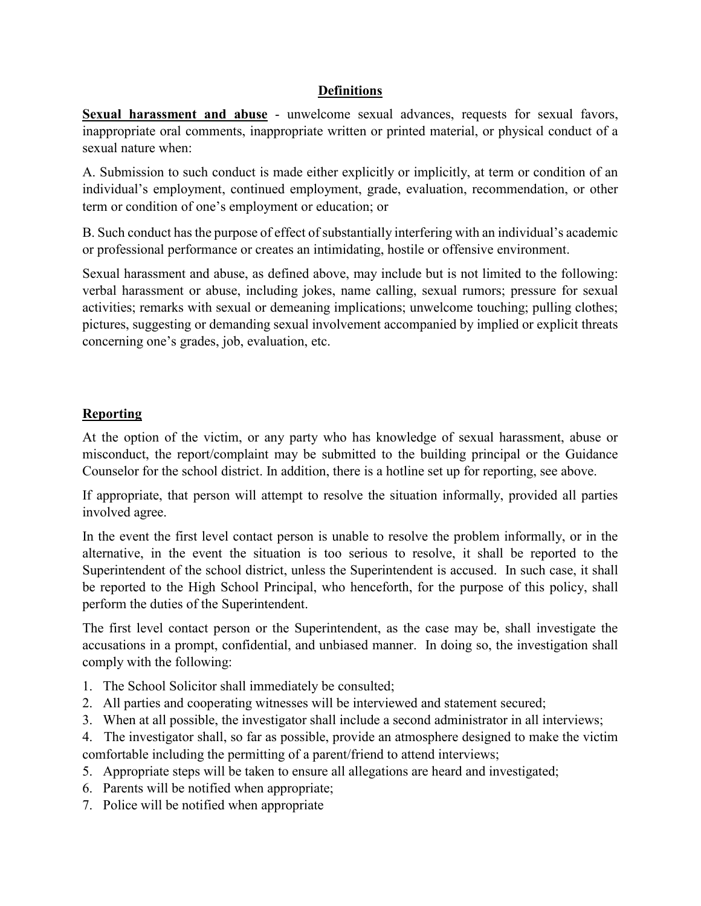#### **Definitions**

**Sexual harassment and abuse** - unwelcome sexual advances, requests for sexual favors, inappropriate oral comments, inappropriate written or printed material, or physical conduct of a sexual nature when:

A. Submission to such conduct is made either explicitly or implicitly, at term or condition of an individual's employment, continued employment, grade, evaluation, recommendation, or other term or condition of one's employment or education; or

B. Such conduct has the purpose of effect of substantially interfering with an individual's academic or professional performance or creates an intimidating, hostile or offensive environment.

Sexual harassment and abuse, as defined above, may include but is not limited to the following: verbal harassment or abuse, including jokes, name calling, sexual rumors; pressure for sexual activities; remarks with sexual or demeaning implications; unwelcome touching; pulling clothes; pictures, suggesting or demanding sexual involvement accompanied by implied or explicit threats concerning one's grades, job, evaluation, etc.

#### **Reporting**

At the option of the victim, or any party who has knowledge of sexual harassment, abuse or misconduct, the report/complaint may be submitted to the building principal or the Guidance Counselor for the school district. In addition, there is a hotline set up for reporting, see above.

If appropriate, that person will attempt to resolve the situation informally, provided all parties involved agree.

In the event the first level contact person is unable to resolve the problem informally, or in the alternative, in the event the situation is too serious to resolve, it shall be reported to the Superintendent of the school district, unless the Superintendent is accused. In such case, it shall be reported to the High School Principal, who henceforth, for the purpose of this policy, shall perform the duties of the Superintendent.

The first level contact person or the Superintendent, as the case may be, shall investigate the accusations in a prompt, confidential, and unbiased manner. In doing so, the investigation shall comply with the following:

- 1. The School Solicitor shall immediately be consulted;
- 2. All parties and cooperating witnesses will be interviewed and statement secured;
- 3. When at all possible, the investigator shall include a second administrator in all interviews;

4. The investigator shall, so far as possible, provide an atmosphere designed to make the victim comfortable including the permitting of a parent/friend to attend interviews;

- 5. Appropriate steps will be taken to ensure all allegations are heard and investigated;
- 6. Parents will be notified when appropriate;
- 7. Police will be notified when appropriate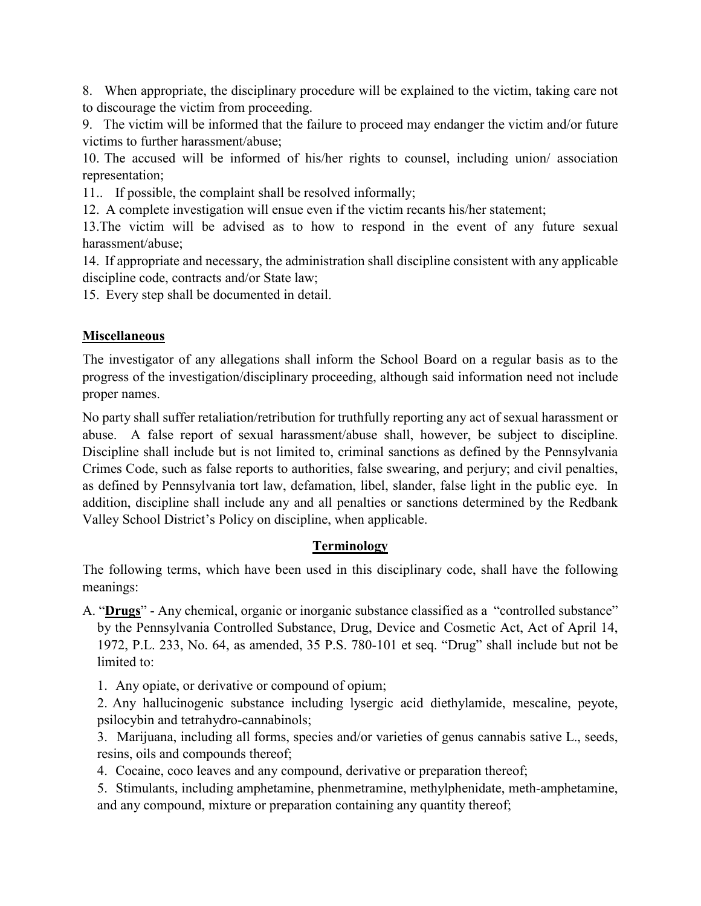8. When appropriate, the disciplinary procedure will be explained to the victim, taking care not to discourage the victim from proceeding.

9. The victim will be informed that the failure to proceed may endanger the victim and/or future victims to further harassment/abuse;

10. The accused will be informed of his/her rights to counsel, including union/ association representation;

11.. If possible, the complaint shall be resolved informally;

12. A complete investigation will ensue even if the victim recants his/her statement;

13.The victim will be advised as to how to respond in the event of any future sexual harassment/abuse;

14. If appropriate and necessary, the administration shall discipline consistent with any applicable discipline code, contracts and/or State law;

15. Every step shall be documented in detail.

#### **Miscellaneous**

The investigator of any allegations shall inform the School Board on a regular basis as to the progress of the investigation/disciplinary proceeding, although said information need not include proper names.

No party shall suffer retaliation/retribution for truthfully reporting any act of sexual harassment or abuse. A false report of sexual harassment/abuse shall, however, be subject to discipline. Discipline shall include but is not limited to, criminal sanctions as defined by the Pennsylvania Crimes Code, such as false reports to authorities, false swearing, and perjury; and civil penalties, as defined by Pennsylvania tort law, defamation, libel, slander, false light in the public eye. In addition, discipline shall include any and all penalties or sanctions determined by the Redbank Valley School District's Policy on discipline, when applicable.

#### **Terminology**

The following terms, which have been used in this disciplinary code, shall have the following meanings:

A. "**Drugs**" - Any chemical, organic or inorganic substance classified as a "controlled substance" by the Pennsylvania Controlled Substance, Drug, Device and Cosmetic Act, Act of April 14, 1972, P.L. 233, No. 64, as amended, 35 P.S. 780-101 et seq. "Drug" shall include but not be limited to:

1. Any opiate, or derivative or compound of opium;

2. Any hallucinogenic substance including lysergic acid diethylamide, mescaline, peyote, psilocybin and tetrahydro-cannabinols;

3. Marijuana, including all forms, species and/or varieties of genus cannabis sative L., seeds, resins, oils and compounds thereof;

4. Cocaine, coco leaves and any compound, derivative or preparation thereof;

5. Stimulants, including amphetamine, phenmetramine, methylphenidate, meth-amphetamine, and any compound, mixture or preparation containing any quantity thereof;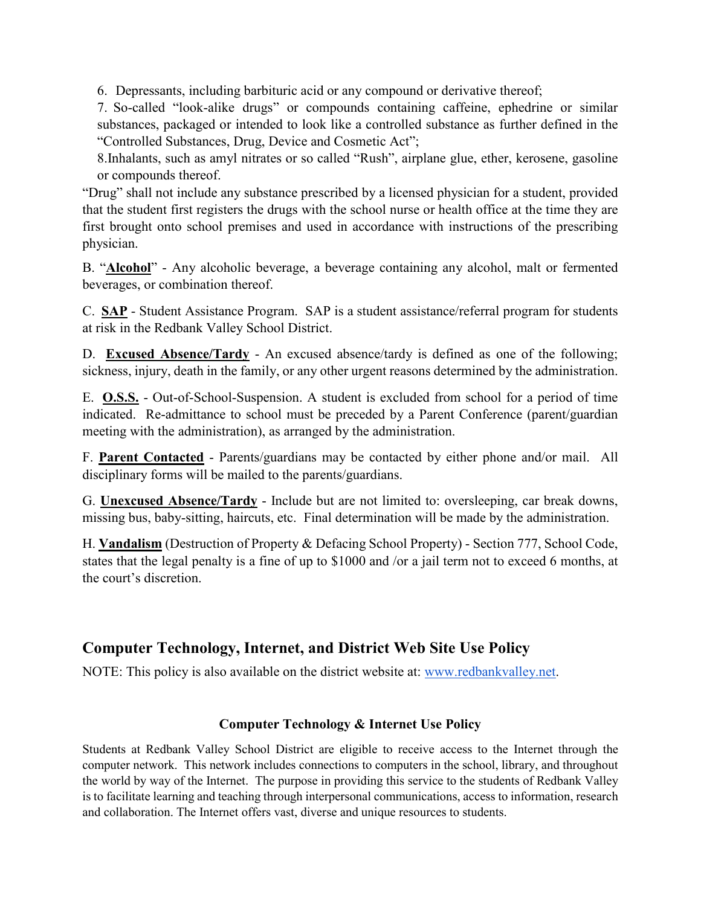6. Depressants, including barbituric acid or any compound or derivative thereof;

7. So-called "look-alike drugs" or compounds containing caffeine, ephedrine or similar substances, packaged or intended to look like a controlled substance as further defined in the "Controlled Substances, Drug, Device and Cosmetic Act";

8.Inhalants, such as amyl nitrates or so called "Rush", airplane glue, ether, kerosene, gasoline or compounds thereof.

"Drug" shall not include any substance prescribed by a licensed physician for a student, provided that the student first registers the drugs with the school nurse or health office at the time they are first brought onto school premises and used in accordance with instructions of the prescribing physician.

B. "**Alcohol**" - Any alcoholic beverage, a beverage containing any alcohol, malt or fermented beverages, or combination thereof.

C. **SAP** - Student Assistance Program. SAP is a student assistance/referral program for students at risk in the Redbank Valley School District.

D. **Excused Absence/Tardy** - An excused absence/tardy is defined as one of the following; sickness, injury, death in the family, or any other urgent reasons determined by the administration.

E. **O.S.S.** - Out-of-School-Suspension. A student is excluded from school for a period of time indicated. Re-admittance to school must be preceded by a Parent Conference (parent/guardian meeting with the administration), as arranged by the administration.

F. **Parent Contacted** - Parents/guardians may be contacted by either phone and/or mail. All disciplinary forms will be mailed to the parents/guardians.

G. **Unexcused Absence/Tardy** - Include but are not limited to: oversleeping, car break downs, missing bus, baby-sitting, haircuts, etc. Final determination will be made by the administration.

H. **Vandalism** (Destruction of Property & Defacing School Property) - Section 777, School Code, states that the legal penalty is a fine of up to \$1000 and /or a jail term not to exceed 6 months, at the court's discretion.

# **Computer Technology, Internet, and District Web Site Use Policy**

NOTE: This policy is also available on the district website at: [www.redbankvalley.net.](http://www.redbankvalley.net/)

#### **Computer Technology & Internet Use Policy**

Students at Redbank Valley School District are eligible to receive access to the Internet through the computer network. This network includes connections to computers in the school, library, and throughout the world by way of the Internet. The purpose in providing this service to the students of Redbank Valley is to facilitate learning and teaching through interpersonal communications, access to information, research and collaboration. The Internet offers vast, diverse and unique resources to students.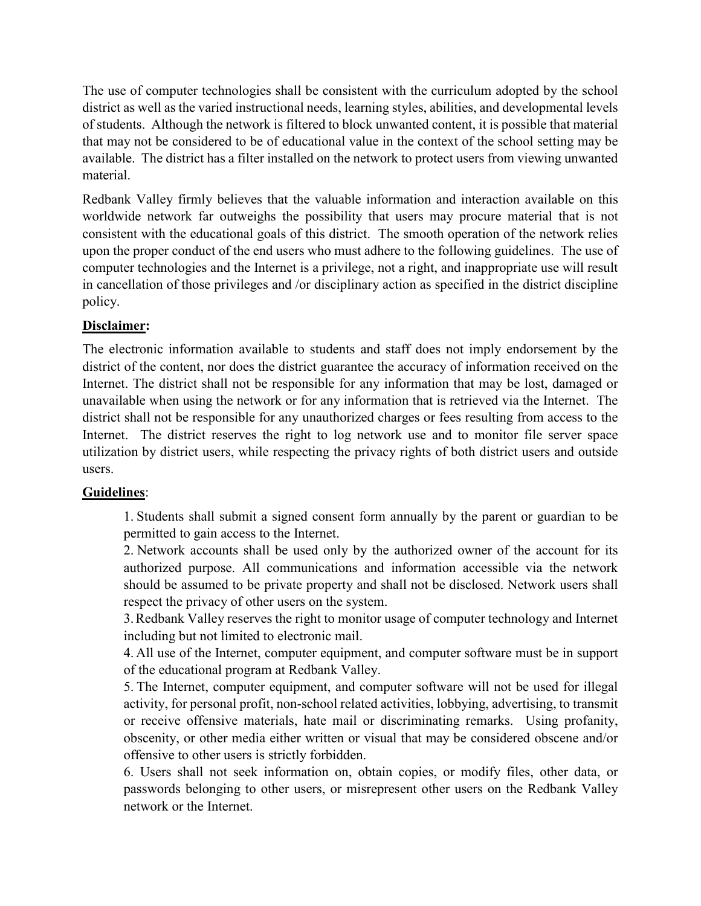The use of computer technologies shall be consistent with the curriculum adopted by the school district as well as the varied instructional needs, learning styles, abilities, and developmental levels of students. Although the network is filtered to block unwanted content, it is possible that material that may not be considered to be of educational value in the context of the school setting may be available. The district has a filter installed on the network to protect users from viewing unwanted material.

Redbank Valley firmly believes that the valuable information and interaction available on this worldwide network far outweighs the possibility that users may procure material that is not consistent with the educational goals of this district. The smooth operation of the network relies upon the proper conduct of the end users who must adhere to the following guidelines. The use of computer technologies and the Internet is a privilege, not a right, and inappropriate use will result in cancellation of those privileges and /or disciplinary action as specified in the district discipline policy.

#### **Disclaimer:**

The electronic information available to students and staff does not imply endorsement by the district of the content, nor does the district guarantee the accuracy of information received on the Internet. The district shall not be responsible for any information that may be lost, damaged or unavailable when using the network or for any information that is retrieved via the Internet. The district shall not be responsible for any unauthorized charges or fees resulting from access to the Internet. The district reserves the right to log network use and to monitor file server space utilization by district users, while respecting the privacy rights of both district users and outside users.

#### **Guidelines**:

1. Students shall submit a signed consent form annually by the parent or guardian to be permitted to gain access to the Internet.

2. Network accounts shall be used only by the authorized owner of the account for its authorized purpose. All communications and information accessible via the network should be assumed to be private property and shall not be disclosed. Network users shall respect the privacy of other users on the system.

3.Redbank Valley reserves the right to monitor usage of computer technology and Internet including but not limited to electronic mail.

4. All use of the Internet, computer equipment, and computer software must be in support of the educational program at Redbank Valley.

5. The Internet, computer equipment, and computer software will not be used for illegal activity, for personal profit, non-school related activities, lobbying, advertising, to transmit or receive offensive materials, hate mail or discriminating remarks. Using profanity, obscenity, or other media either written or visual that may be considered obscene and/or offensive to other users is strictly forbidden.

6. Users shall not seek information on, obtain copies, or modify files, other data, or passwords belonging to other users, or misrepresent other users on the Redbank Valley network or the Internet.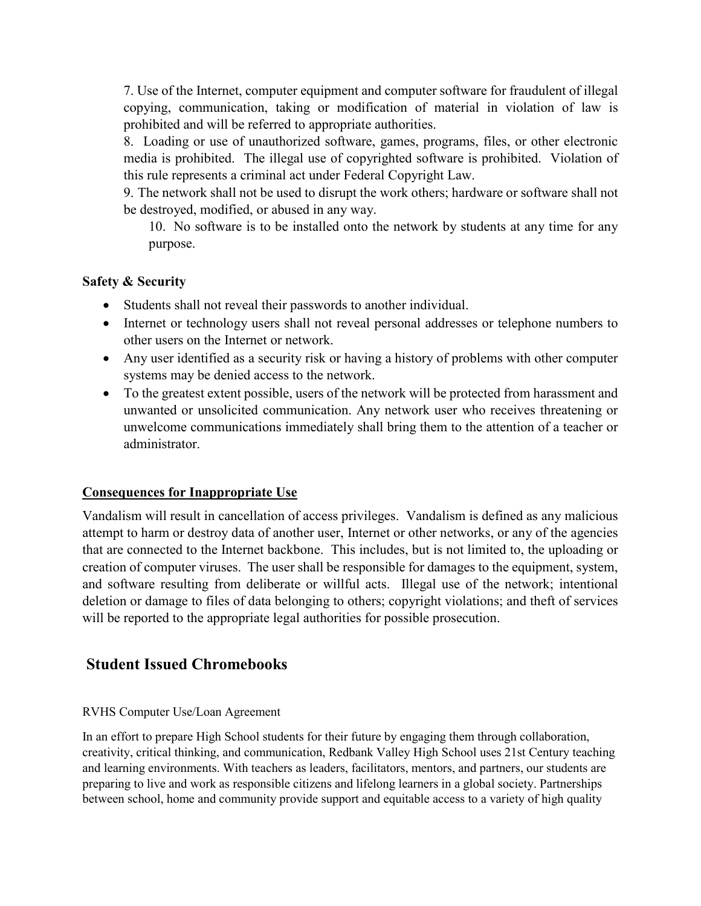7. Use of the Internet, computer equipment and computer software for fraudulent of illegal copying, communication, taking or modification of material in violation of law is prohibited and will be referred to appropriate authorities.

8. Loading or use of unauthorized software, games, programs, files, or other electronic media is prohibited. The illegal use of copyrighted software is prohibited. Violation of this rule represents a criminal act under Federal Copyright Law.

9. The network shall not be used to disrupt the work others; hardware or software shall not be destroyed, modified, or abused in any way.

10. No software is to be installed onto the network by students at any time for any purpose.

#### **Safety & Security**

- Students shall not reveal their passwords to another individual.
- Internet or technology users shall not reveal personal addresses or telephone numbers to other users on the Internet or network.
- Any user identified as a security risk or having a history of problems with other computer systems may be denied access to the network.
- To the greatest extent possible, users of the network will be protected from harassment and unwanted or unsolicited communication. Any network user who receives threatening or unwelcome communications immediately shall bring them to the attention of a teacher or administrator.

#### **Consequences for Inappropriate Use**

Vandalism will result in cancellation of access privileges. Vandalism is defined as any malicious attempt to harm or destroy data of another user, Internet or other networks, or any of the agencies that are connected to the Internet backbone. This includes, but is not limited to, the uploading or creation of computer viruses. The user shall be responsible for damages to the equipment, system, and software resulting from deliberate or willful acts. Illegal use of the network; intentional deletion or damage to files of data belonging to others; copyright violations; and theft of services will be reported to the appropriate legal authorities for possible prosecution.

#### **Student Issued Chromebooks**

#### RVHS Computer Use/Loan Agreement

In an effort to prepare High School students for their future by engaging them through collaboration, creativity, critical thinking, and communication, Redbank Valley High School uses 21st Century teaching and learning environments. With teachers as leaders, facilitators, mentors, and partners, our students are preparing to live and work as responsible citizens and lifelong learners in a global society. Partnerships between school, home and community provide support and equitable access to a variety of high quality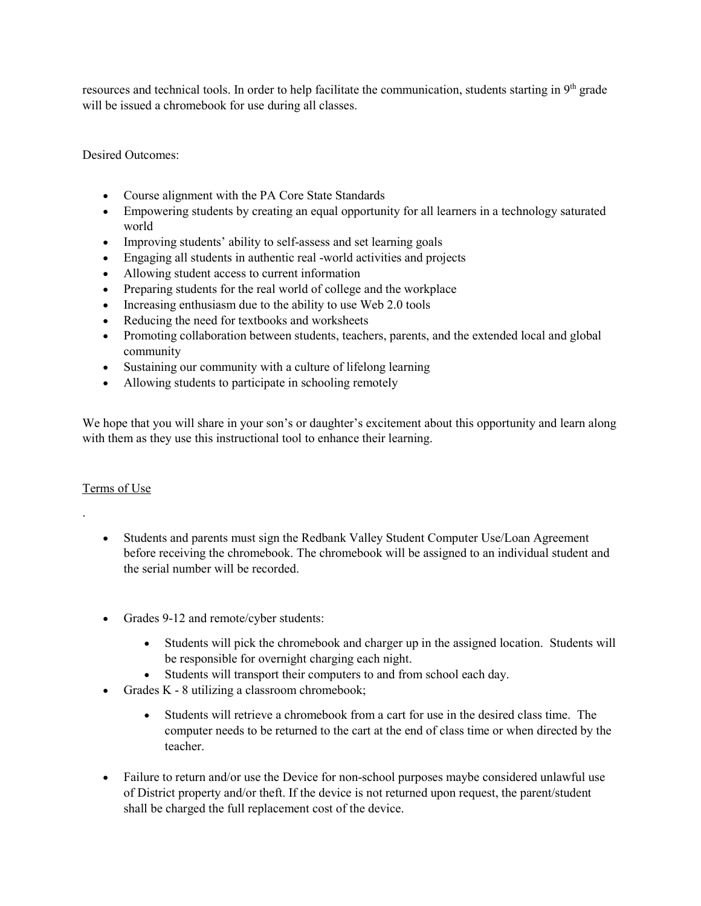resources and technical tools. In order to help facilitate the communication, students starting in  $9<sup>th</sup>$  grade will be issued a chromebook for use during all classes.

Desired Outcomes:

- Course alignment with the PA Core State Standards
- Empowering students by creating an equal opportunity for all learners in a technology saturated world
- Improving students' ability to self-assess and set learning goals
- Engaging all students in authentic real -world activities and projects
- Allowing student access to current information
- Preparing students for the real world of college and the workplace
- Increasing enthusiasm due to the ability to use Web 2.0 tools
- Reducing the need for textbooks and worksheets
- Promoting collaboration between students, teachers, parents, and the extended local and global community
- Sustaining our community with a culture of lifelong learning
- Allowing students to participate in schooling remotely

We hope that you will share in your son's or daughter's excitement about this opportunity and learn along with them as they use this instructional tool to enhance their learning.

#### Terms of Use

.

- Students and parents must sign the Redbank Valley Student Computer Use/Loan Agreement before receiving the chromebook. The chromebook will be assigned to an individual student and the serial number will be recorded.
- Grades 9-12 and remote/cyber students:
	- Students will pick the chromebook and charger up in the assigned location. Students will be responsible for overnight charging each night.
	- Students will transport their computers to and from school each day.
- Grades K 8 utilizing a classroom chromebook;
	- Students will retrieve a chromebook from a cart for use in the desired class time. The computer needs to be returned to the cart at the end of class time or when directed by the teacher.
- Failure to return and/or use the Device for non-school purposes maybe considered unlawful use of District property and/or theft. If the device is not returned upon request, the parent/student shall be charged the full replacement cost of the device.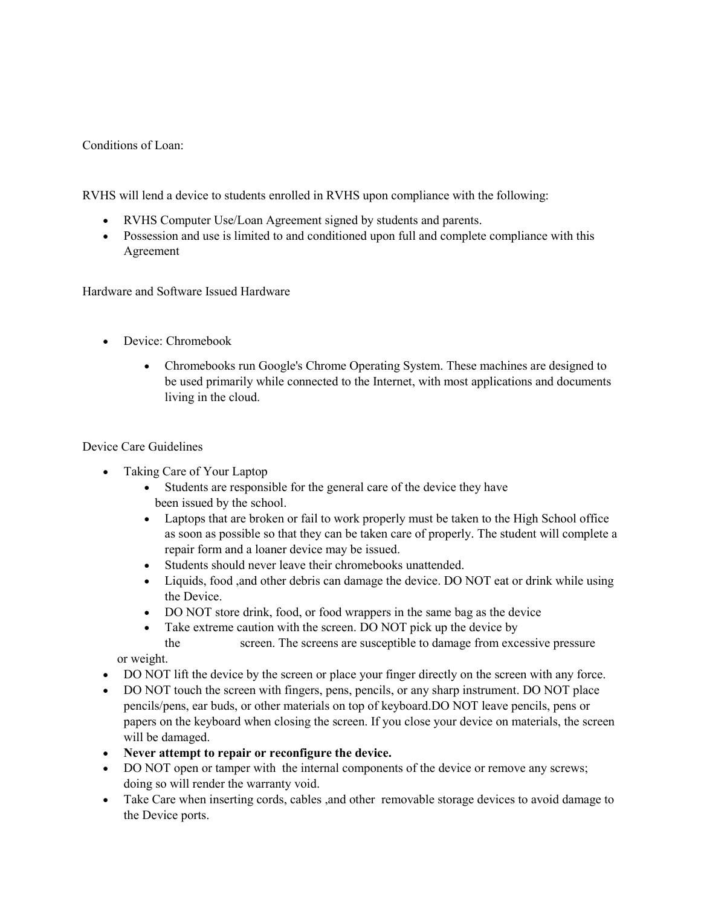#### Conditions of Loan:

RVHS will lend a device to students enrolled in RVHS upon compliance with the following:

- RVHS Computer Use/Loan Agreement signed by students and parents.
- Possession and use is limited to and conditioned upon full and complete compliance with this Agreement

Hardware and Software Issued Hardware

- Device: Chromebook
	- Chromebooks run Google's Chrome Operating System. These machines are designed to be used primarily while connected to the Internet, with most applications and documents living in the cloud.

#### Device Care Guidelines

- Taking Care of Your Laptop
	- Students are responsible for the general care of the device they have been issued by the school.
	- Laptops that are broken or fail to work properly must be taken to the High School office as soon as possible so that they can be taken care of properly. The student will complete a repair form and a loaner device may be issued.
	- Students should never leave their chromebooks unattended.
	- Liquids, food ,and other debris can damage the device. DO NOT eat or drink while using the Device.
	- DO NOT store drink, food, or food wrappers in the same bag as the device
	- Take extreme caution with the screen. DO NOT pick up the device by
	- the screen. The screens are susceptible to damage from excessive pressure

or weight.

- DO NOT lift the device by the screen or place your finger directly on the screen with any force.
- DO NOT touch the screen with fingers, pens, pencils, or any sharp instrument. DO NOT place pencils/pens, ear buds, or other materials on top of keyboard.DO NOT leave pencils, pens or papers on the keyboard when closing the screen. If you close your device on materials, the screen will be damaged.
- **Never attempt to repair or reconfigure the device.**
- DO NOT open or tamper with the internal components of the device or remove any screws; doing so will render the warranty void.
- Take Care when inserting cords, cables , and other removable storage devices to avoid damage to the Device ports.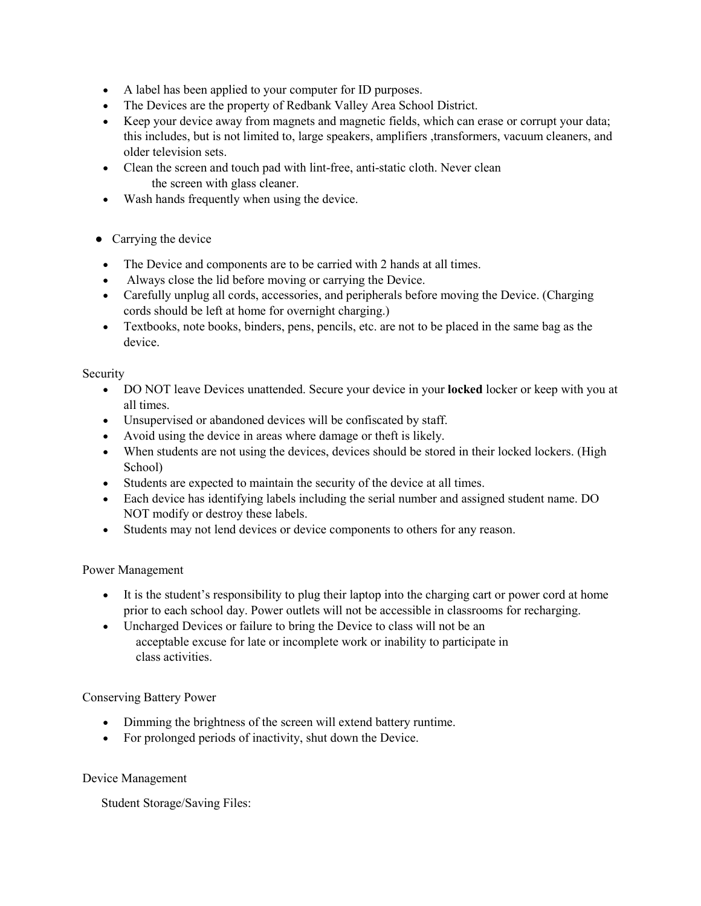- A label has been applied to your computer for ID purposes.
- The Devices are the property of Redbank Valley Area School District.
- Keep your device away from magnets and magnetic fields, which can erase or corrupt your data; this includes, but is not limited to, large speakers, amplifiers ,transformers, vacuum cleaners, and older television sets.
- Clean the screen and touch pad with lint-free, anti-static cloth. Never clean the screen with glass cleaner.
- Wash hands frequently when using the device.
- Carrying the device
- The Device and components are to be carried with 2 hands at all times.
- Always close the lid before moving or carrying the Device.
- Carefully unplug all cords, accessories, and peripherals before moving the Device. (Charging cords should be left at home for overnight charging.)
- Textbooks, note books, binders, pens, pencils, etc. are not to be placed in the same bag as the device.

#### Security

- DO NOT leave Devices unattended. Secure your device in your **locked** locker or keep with you at all times.
- Unsupervised or abandoned devices will be confiscated by staff.
- Avoid using the device in areas where damage or theft is likely.
- When students are not using the devices, devices should be stored in their locked lockers. (High School)
- Students are expected to maintain the security of the device at all times.
- Each device has identifying labels including the serial number and assigned student name. DO NOT modify or destroy these labels.
- Students may not lend devices or device components to others for any reason.

#### Power Management

- It is the student's responsibility to plug their laptop into the charging cart or power cord at home prior to each school day. Power outlets will not be accessible in classrooms for recharging.
- Uncharged Devices or failure to bring the Device to class will not be an acceptable excuse for late or incomplete work or inability to participate in class activities.

#### Conserving Battery Power

- Dimming the brightness of the screen will extend battery runtime.
- For prolonged periods of inactivity, shut down the Device.

#### Device Management

Student Storage/Saving Files: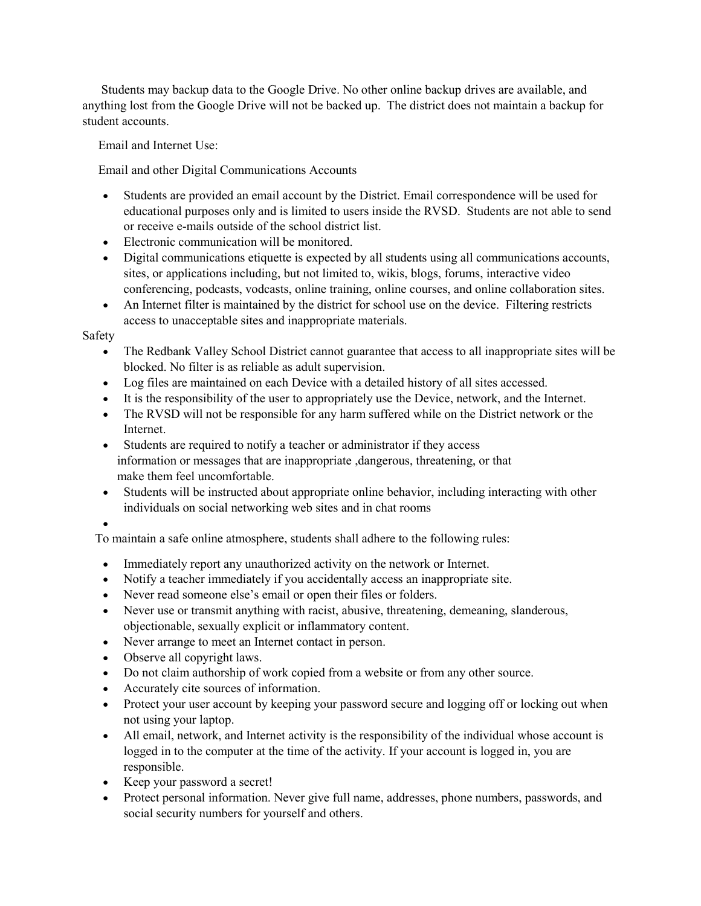Students may backup data to the Google Drive. No other online backup drives are available, and anything lost from the Google Drive will not be backed up. The district does not maintain a backup for student accounts.

Email and Internet Use:

Email and other Digital Communications Accounts

- Students are provided an email account by the District. Email correspondence will be used for educational purposes only and is limited to users inside the RVSD. Students are not able to send or receive e-mails outside of the school district list.
- Electronic communication will be monitored.
- Digital communications etiquette is expected by all students using all communications accounts, sites, or applications including, but not limited to, wikis, blogs, forums, interactive video conferencing, podcasts, vodcasts, online training, online courses, and online collaboration sites.
- An Internet filter is maintained by the district for school use on the device. Filtering restricts access to unacceptable sites and inappropriate materials.

#### Safety

- The Redbank Valley School District cannot guarantee that access to all inappropriate sites will be blocked. No filter is as reliable as adult supervision.
- Log files are maintained on each Device with a detailed history of all sites accessed.
- It is the responsibility of the user to appropriately use the Device, network, and the Internet.
- The RVSD will not be responsible for any harm suffered while on the District network or the Internet.
- Students are required to notify a teacher or administrator if they access information or messages that are inappropriate ,dangerous, threatening, or that make them feel uncomfortable.
- Students will be instructed about appropriate online behavior, including interacting with other individuals on social networking web sites and in chat rooms
- •

To maintain a safe online atmosphere, students shall adhere to the following rules:

- Immediately report any unauthorized activity on the network or Internet.
- Notify a teacher immediately if you accidentally access an inappropriate site.
- Never read someone else's email or open their files or folders.
- Never use or transmit anything with racist, abusive, threatening, demeaning, slanderous, objectionable, sexually explicit or inflammatory content.
- Never arrange to meet an Internet contact in person.
- Observe all copyright laws.
- Do not claim authorship of work copied from a website or from any other source.
- Accurately cite sources of information.
- Protect your user account by keeping your password secure and logging off or locking out when not using your laptop.
- All email, network, and Internet activity is the responsibility of the individual whose account is logged in to the computer at the time of the activity. If your account is logged in, you are responsible.
- Keep your password a secret!
- Protect personal information. Never give full name, addresses, phone numbers, passwords, and social security numbers for yourself and others.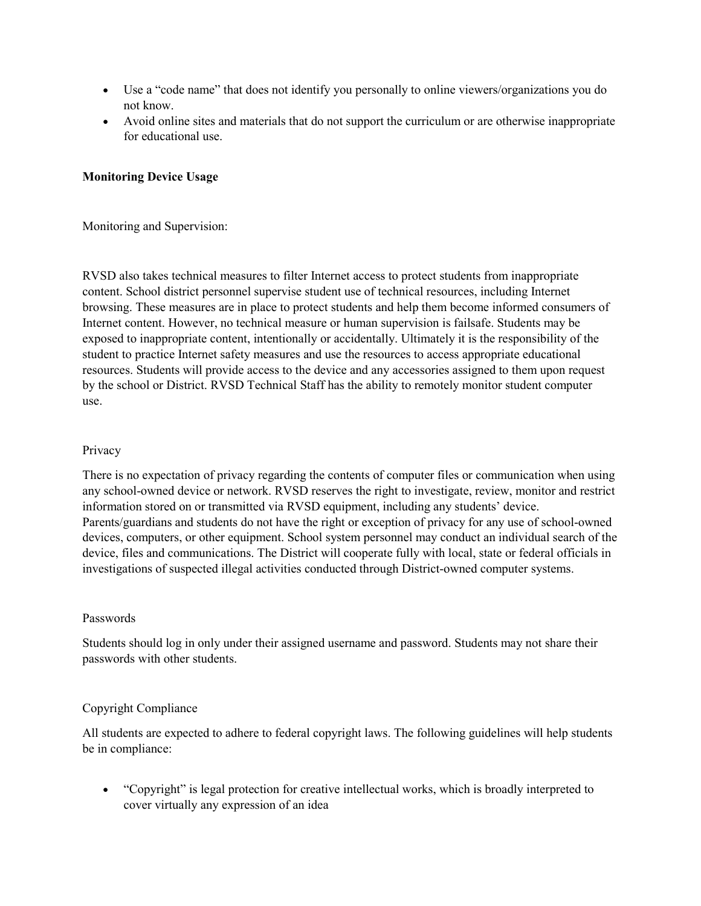- Use a "code name" that does not identify you personally to online viewers/organizations you do not know.
- Avoid online sites and materials that do not support the curriculum or are otherwise inappropriate for educational use.

#### **Monitoring Device Usage**

Monitoring and Supervision:

RVSD also takes technical measures to filter Internet access to protect students from inappropriate content. School district personnel supervise student use of technical resources, including Internet browsing. These measures are in place to protect students and help them become informed consumers of Internet content. However, no technical measure or human supervision is failsafe. Students may be exposed to inappropriate content, intentionally or accidentally. Ultimately it is the responsibility of the student to practice Internet safety measures and use the resources to access appropriate educational resources. Students will provide access to the device and any accessories assigned to them upon request by the school or District. RVSD Technical Staff has the ability to remotely monitor student computer use.

#### Privacy

There is no expectation of privacy regarding the contents of computer files or communication when using any school-owned device or network. RVSD reserves the right to investigate, review, monitor and restrict information stored on or transmitted via RVSD equipment, including any students' device. Parents/guardians and students do not have the right or exception of privacy for any use of school-owned devices, computers, or other equipment. School system personnel may conduct an individual search of the device, files and communications. The District will cooperate fully with local, state or federal officials in investigations of suspected illegal activities conducted through District-owned computer systems.

#### Passwords

Students should log in only under their assigned username and password. Students may not share their passwords with other students.

#### Copyright Compliance

All students are expected to adhere to federal copyright laws. The following guidelines will help students be in compliance:

• "Copyright" is legal protection for creative intellectual works, which is broadly interpreted to cover virtually any expression of an idea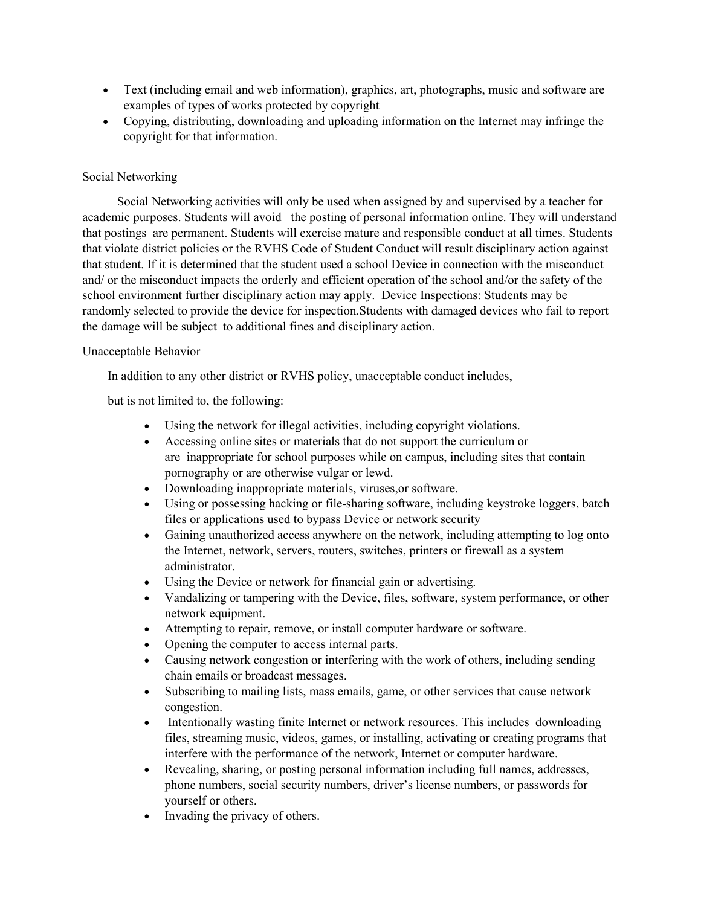- Text (including email and web information), graphics, art, photographs, music and software are examples of types of works protected by copyright
- Copying, distributing, downloading and uploading information on the Internet may infringe the copyright for that information.

#### Social Networking

 Social Networking activities will only be used when assigned by and supervised by a teacher for academic purposes. Students will avoid the posting of personal information online. They will understand that postings are permanent. Students will exercise mature and responsible conduct at all times. Students that violate district policies or the RVHS Code of Student Conduct will result disciplinary action against that student. If it is determined that the student used a school Device in connection with the misconduct and/ or the misconduct impacts the orderly and efficient operation of the school and/or the safety of the school environment further disciplinary action may apply. Device Inspections: Students may be randomly selected to provide the device for inspection.Students with damaged devices who fail to report the damage will be subject to additional fines and disciplinary action.

#### Unacceptable Behavior

In addition to any other district or RVHS policy, unacceptable conduct includes,

but is not limited to, the following:

- Using the network for illegal activities, including copyright violations.
- Accessing online sites or materials that do not support the curriculum or are inappropriate for school purposes while on campus, including sites that contain pornography or are otherwise vulgar or lewd.
- Downloading inappropriate materials, viruses,or software.
- Using or possessing hacking or file-sharing software, including keystroke loggers, batch files or applications used to bypass Device or network security
- Gaining unauthorized access anywhere on the network, including attempting to log onto the Internet, network, servers, routers, switches, printers or firewall as a system administrator.
- Using the Device or network for financial gain or advertising.
- Vandalizing or tampering with the Device, files, software, system performance, or other network equipment.
- Attempting to repair, remove, or install computer hardware or software.
- Opening the computer to access internal parts.
- Causing network congestion or interfering with the work of others, including sending chain emails or broadcast messages.
- Subscribing to mailing lists, mass emails, game, or other services that cause network congestion.
- Intentionally wasting finite Internet or network resources. This includes downloading files, streaming music, videos, games, or installing, activating or creating programs that interfere with the performance of the network, Internet or computer hardware.
- Revealing, sharing, or posting personal information including full names, addresses, phone numbers, social security numbers, driver's license numbers, or passwords for yourself or others.
- Invading the privacy of others.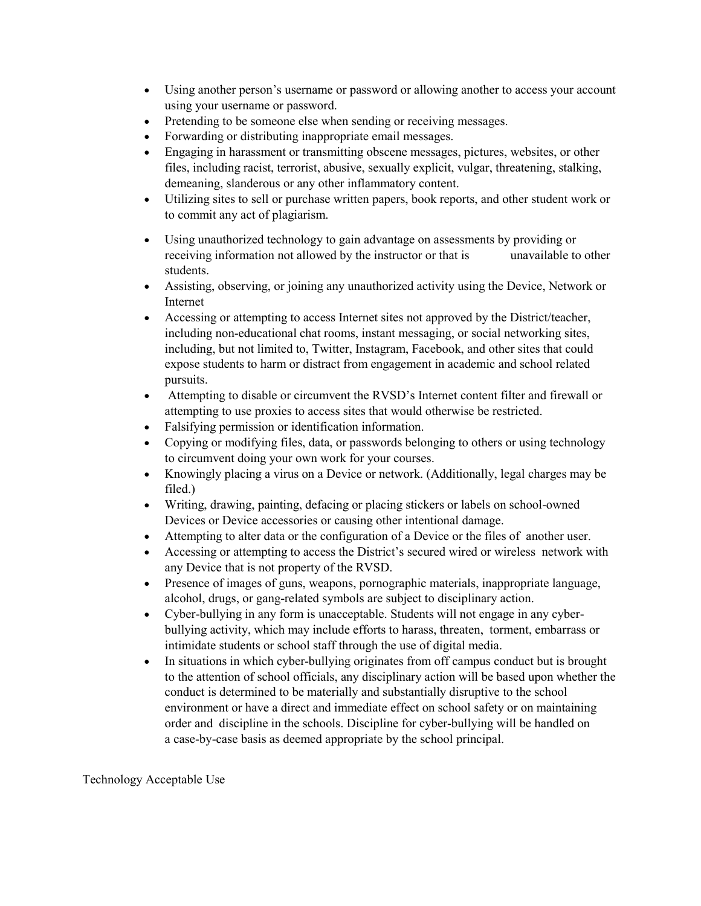- Using another person's username or password or allowing another to access your account using your username or password.
- Pretending to be someone else when sending or receiving messages.
- Forwarding or distributing inappropriate email messages.
- Engaging in harassment or transmitting obscene messages, pictures, websites, or other files, including racist, terrorist, abusive, sexually explicit, vulgar, threatening, stalking, demeaning, slanderous or any other inflammatory content.
- Utilizing sites to sell or purchase written papers, book reports, and other student work or to commit any act of plagiarism.
- Using unauthorized technology to gain advantage on assessments by providing or receiving information not allowed by the instructor or that is unavailable to other students.
- Assisting, observing, or joining any unauthorized activity using the Device, Network or Internet
- Accessing or attempting to access Internet sites not approved by the District/teacher, including non-educational chat rooms, instant messaging, or social networking sites, including, but not limited to, Twitter, Instagram, Facebook, and other sites that could expose students to harm or distract from engagement in academic and school related pursuits.
- Attempting to disable or circumvent the RVSD's Internet content filter and firewall or attempting to use proxies to access sites that would otherwise be restricted.
- Falsifying permission or identification information.
- Copying or modifying files, data, or passwords belonging to others or using technology to circumvent doing your own work for your courses.
- Knowingly placing a virus on a Device or network. (Additionally, legal charges may be filed.)
- Writing, drawing, painting, defacing or placing stickers or labels on school-owned Devices or Device accessories or causing other intentional damage.
- Attempting to alter data or the configuration of a Device or the files of another user.
- Accessing or attempting to access the District's secured wired or wireless network with any Device that is not property of the RVSD.
- Presence of images of guns, weapons, pornographic materials, inappropriate language, alcohol, drugs, or gang-related symbols are subject to disciplinary action.
- Cyber-bullying in any form is unacceptable. Students will not engage in any cyberbullying activity, which may include efforts to harass, threaten, torment, embarrass or intimidate students or school staff through the use of digital media.
- In situations in which cyber-bullying originates from off campus conduct but is brought to the attention of school officials, any disciplinary action will be based upon whether the conduct is determined to be materially and substantially disruptive to the school environment or have a direct and immediate effect on school safety or on maintaining order and discipline in the schools. Discipline for cyber-bullying will be handled on a case-by-case basis as deemed appropriate by the school principal.

Technology Acceptable Use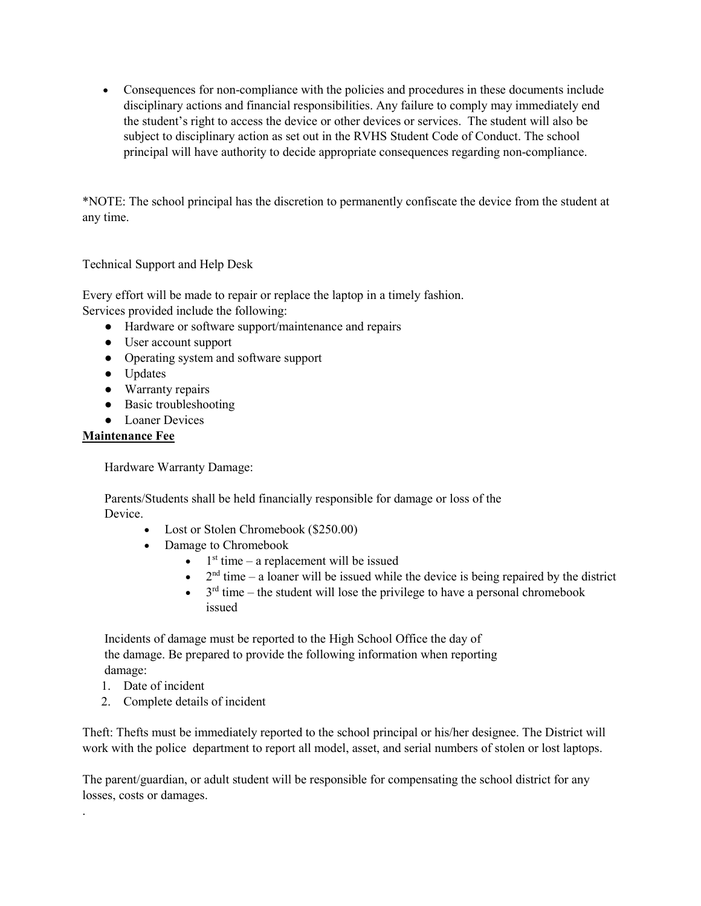• Consequences for non-compliance with the policies and procedures in these documents include disciplinary actions and financial responsibilities. Any failure to comply may immediately end the student's right to access the device or other devices or services. The student will also be subject to disciplinary action as set out in the RVHS Student Code of Conduct. The school principal will have authority to decide appropriate consequences regarding non-compliance.

\*NOTE: The school principal has the discretion to permanently confiscate the device from the student at any time.

Technical Support and Help Desk

Every effort will be made to repair or replace the laptop in a timely fashion. Services provided include the following:

- Hardware or software support/maintenance and repairs
- User account support
- Operating system and software support
- Updates
- Warranty repairs
- Basic troubleshooting
- Loaner Devices

#### **Maintenance Fee**

Hardware Warranty Damage:

 Parents/Students shall be held financially responsible for damage or loss of the Device.

- Lost or Stolen Chromebook (\$250.00)
- Damage to Chromebook
	- $\bullet$  1<sup>st</sup> time a replacement will be issued
	- $2<sup>nd</sup>$  time a loaner will be issued while the device is being repaired by the district
	- $\bullet$  3<sup>rd</sup> time the student will lose the privilege to have a personal chromebook issued

 Incidents of damage must be reported to the High School Office the day of the damage. Be prepared to provide the following information when reporting damage:

1. Date of incident

.

2. Complete details of incident

Theft: Thefts must be immediately reported to the school principal or his/her designee. The District will work with the police department to report all model, asset, and serial numbers of stolen or lost laptops.

The parent/guardian, or adult student will be responsible for compensating the school district for any losses, costs or damages.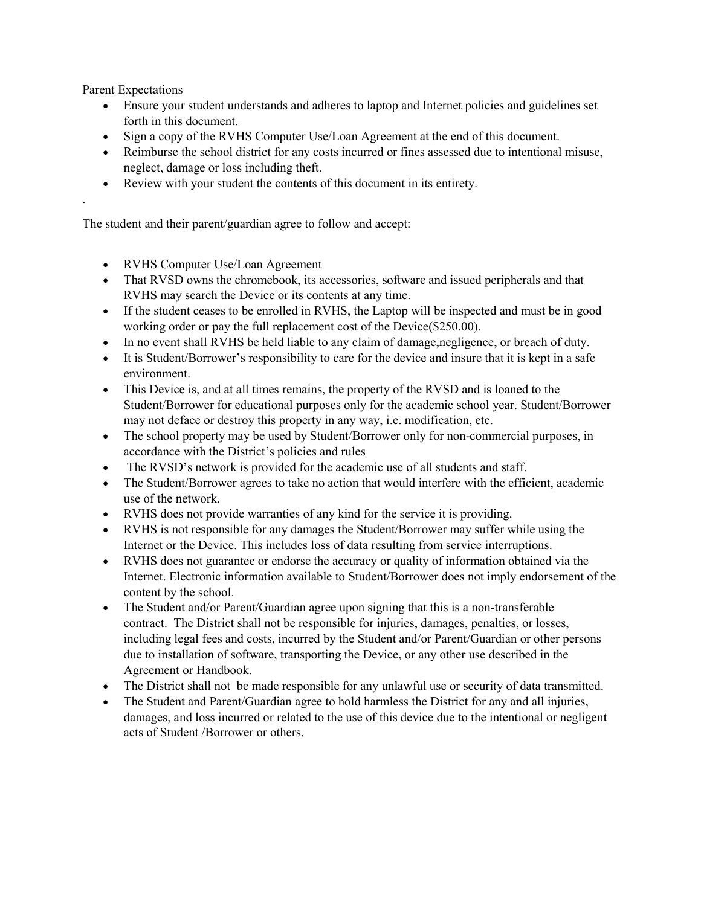Parent Expectations

.

- Ensure your student understands and adheres to laptop and Internet policies and guidelines set forth in this document.
- Sign a copy of the RVHS Computer Use/Loan Agreement at the end of this document.
- Reimburse the school district for any costs incurred or fines assessed due to intentional misuse, neglect, damage or loss including theft.
- Review with your student the contents of this document in its entirety.

The student and their parent/guardian agree to follow and accept:

- RVHS Computer Use/Loan Agreement
- That RVSD owns the chromebook, its accessories, software and issued peripherals and that RVHS may search the Device or its contents at any time.
- If the student ceases to be enrolled in RVHS, the Laptop will be inspected and must be in good working order or pay the full replacement cost of the Device(\$250.00).
- In no event shall RVHS be held liable to any claim of damage, negligence, or breach of duty.
- It is Student/Borrower's responsibility to care for the device and insure that it is kept in a safe environment.
- This Device is, and at all times remains, the property of the RVSD and is loaned to the Student/Borrower for educational purposes only for the academic school year. Student/Borrower may not deface or destroy this property in any way, i.e. modification, etc.
- The school property may be used by Student/Borrower only for non-commercial purposes, in accordance with the District's policies and rules
- The RVSD's network is provided for the academic use of all students and staff.
- The Student/Borrower agrees to take no action that would interfere with the efficient, academic use of the network.
- RVHS does not provide warranties of any kind for the service it is providing.
- RVHS is not responsible for any damages the Student/Borrower may suffer while using the Internet or the Device. This includes loss of data resulting from service interruptions.
- RVHS does not guarantee or endorse the accuracy or quality of information obtained via the Internet. Electronic information available to Student/Borrower does not imply endorsement of the content by the school.
- The Student and/or Parent/Guardian agree upon signing that this is a non-transferable contract. The District shall not be responsible for injuries, damages, penalties, or losses, including legal fees and costs, incurred by the Student and/or Parent/Guardian or other persons due to installation of software, transporting the Device, or any other use described in the Agreement or Handbook.
- The District shall not be made responsible for any unlawful use or security of data transmitted.
- The Student and Parent/Guardian agree to hold harmless the District for any and all injuries, damages, and loss incurred or related to the use of this device due to the intentional or negligent acts of Student /Borrower or others.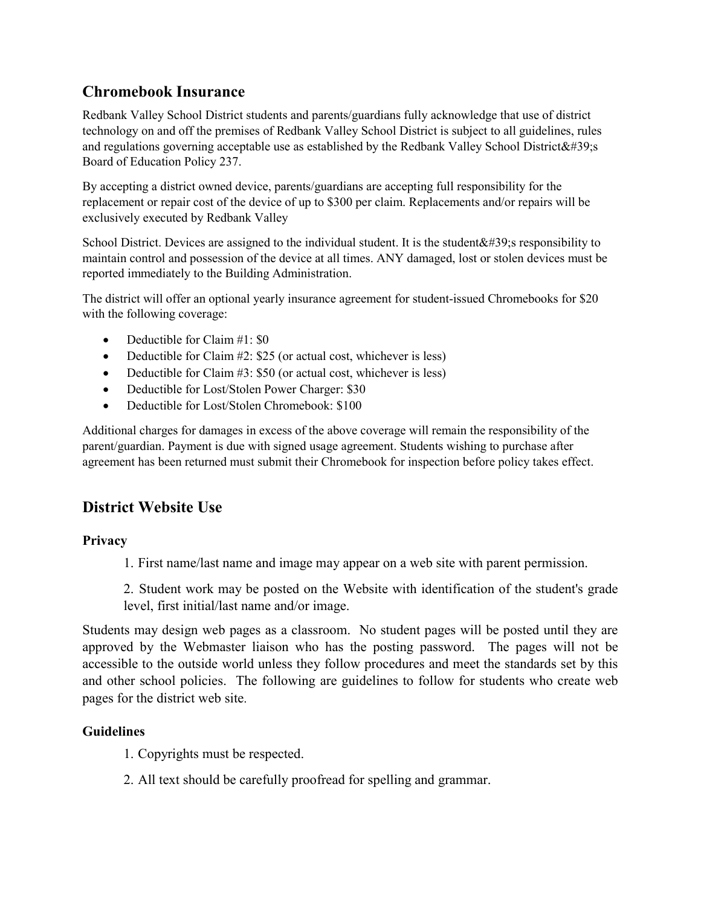#### **Chromebook Insurance**

Redbank Valley School District students and parents/guardians fully acknowledge that use of district technology on and off the premises of Redbank Valley School District is subject to all guidelines, rules and regulations governing acceptable use as established by the Redbank Valley School District $&\#39$ : Board of Education Policy 237.

By accepting a district owned device, parents/guardians are accepting full responsibility for the replacement or repair cost of the device of up to \$300 per claim. Replacements and/or repairs will be exclusively executed by Redbank Valley

School District. Devices are assigned to the individual student. It is the student  $\&\#39$ ; responsibility to maintain control and possession of the device at all times. ANY damaged, lost or stolen devices must be reported immediately to the Building Administration.

The district will offer an optional yearly insurance agreement for student-issued Chromebooks for \$20 with the following coverage:

- Deductible for Claim #1: \$0
- Deductible for Claim #2: \$25 (or actual cost, whichever is less)
- Deductible for Claim #3: \$50 (or actual cost, whichever is less)
- Deductible for Lost/Stolen Power Charger: \$30
- Deductible for Lost/Stolen Chromebook: \$100

Additional charges for damages in excess of the above coverage will remain the responsibility of the parent/guardian. Payment is due with signed usage agreement. Students wishing to purchase after agreement has been returned must submit their Chromebook for inspection before policy takes effect.

# **District Website Use**

#### **Privacy**

1. First name/last name and image may appear on a web site with parent permission.

2. Student work may be posted on the Website with identification of the student's grade level, first initial/last name and/or image.

Students may design web pages as a classroom. No student pages will be posted until they are approved by the Webmaster liaison who has the posting password. The pages will not be accessible to the outside world unless they follow procedures and meet the standards set by this and other school policies. The following are guidelines to follow for students who create web pages for the district web site.

#### **Guidelines**

- 1. Copyrights must be respected.
- 2. All text should be carefully proofread for spelling and grammar.